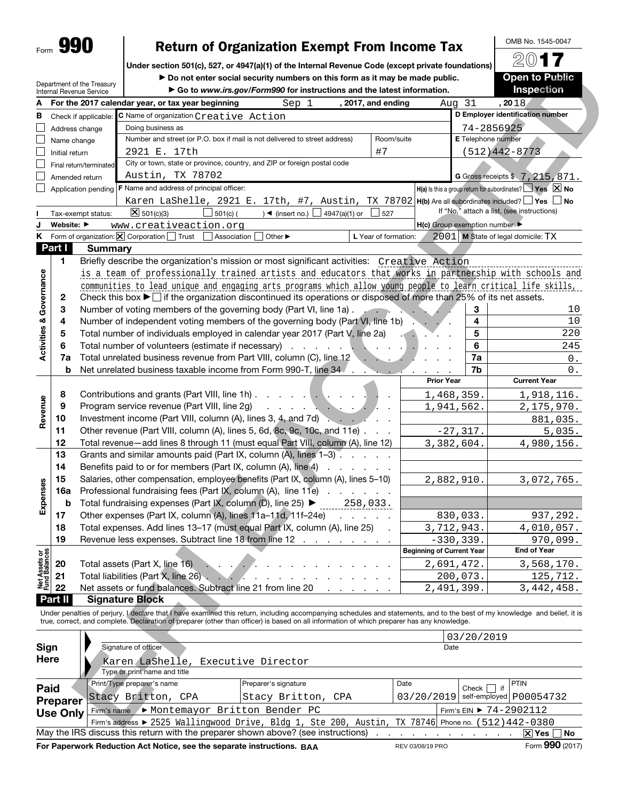|      | т<br>١<br>ı |
|------|-------------|
| Form |             |

**Return of Organization Exempt From Income Tax Under section 501(c), 527, or 4947(a)(1) of the Internal Revenue Code (except private foundations)**

20**17**

OMB No. 1545-0047

|                                |                 |                            |                                                                                    | Under section 501(c), 527, or 4947(a)(1) of the Internal Revenue Code (except private foundations)                                                                                                                                                                                                                       |                      |                                  |                             | (59 ∎ ∎                                                              |
|--------------------------------|-----------------|----------------------------|------------------------------------------------------------------------------------|--------------------------------------------------------------------------------------------------------------------------------------------------------------------------------------------------------------------------------------------------------------------------------------------------------------------------|----------------------|----------------------------------|-----------------------------|----------------------------------------------------------------------|
|                                |                 | Department of the Treasury |                                                                                    | Do not enter social security numbers on this form as it may be made public.                                                                                                                                                                                                                                              |                      |                                  |                             | <b>Open to Public</b>                                                |
|                                |                 | Internal Revenue Service   |                                                                                    | Go to www.irs.gov/Form990 for instructions and the latest information.                                                                                                                                                                                                                                                   |                      |                                  |                             | Inspection                                                           |
| А                              |                 |                            | For the 2017 calendar year, or tax year beginning                                  | Sep 1                                                                                                                                                                                                                                                                                                                    | , 2017, and ending   |                                  | Aug 31                      | , 2018                                                               |
| в                              |                 | Check if applicable:       | C Name of organization Creative Action                                             |                                                                                                                                                                                                                                                                                                                          |                      |                                  |                             | D Employer identification number                                     |
|                                |                 | Address change             | Doing business as                                                                  |                                                                                                                                                                                                                                                                                                                          |                      |                                  |                             | 74-2856925                                                           |
|                                | Name change     |                            |                                                                                    | Number and street (or P.O. box if mail is not delivered to street address)                                                                                                                                                                                                                                               | Room/suite           |                                  | E Telephone number          |                                                                      |
|                                | Initial return  |                            | 2921 E. 17th                                                                       |                                                                                                                                                                                                                                                                                                                          | #7                   |                                  |                             | $(512)442 - 8773$                                                    |
|                                |                 | Final return/terminated    |                                                                                    | City or town, state or province, country, and ZIP or foreign postal code                                                                                                                                                                                                                                                 |                      |                                  |                             |                                                                      |
|                                | Amended return  |                            | Austin, TX 78702                                                                   |                                                                                                                                                                                                                                                                                                                          |                      |                                  |                             | G Gross receipts \$7, 215, 871.                                      |
|                                |                 |                            | Application pending   F Name and address of principal officer:                     |                                                                                                                                                                                                                                                                                                                          |                      |                                  |                             | $H(a)$ is this a group return for subordinates? $\Box$ Yes $\Box$ No |
|                                |                 |                            |                                                                                    | Karen LaShelle, 2921 E. 17th, #7, Austin, TX 78702 $ H(b)$ Are all subordinates included? $\Box$ Yes $\Box$ No                                                                                                                                                                                                           |                      |                                  |                             |                                                                      |
|                                |                 | Tax-exempt status:         | $\boxed{\mathbf{X}}$ 501(c)(3)<br>$\Box$ 501(c) (                                  | $\rightarrow$ (insert no.) $\Box$ 4947(a)(1) or $\Box$ 527                                                                                                                                                                                                                                                               |                      |                                  |                             | If "No," attach a list. (see instructions)                           |
|                                | Website: ▶      |                            | www.creativeaction.org                                                             |                                                                                                                                                                                                                                                                                                                          |                      |                                  | H(c) Group exemption number |                                                                      |
| Κ                              |                 |                            | Form of organization: $\boxed{\mathbf{X}}$ Corporation $\boxed{\phantom{1}}$ Trust | Association<br>Other $\blacktriangleright$                                                                                                                                                                                                                                                                               | L Year of formation: |                                  |                             | 2001 M State of legal domicile: TX                                   |
|                                | Part I          | <b>Summary</b>             |                                                                                    |                                                                                                                                                                                                                                                                                                                          |                      |                                  |                             |                                                                      |
|                                | $\mathbf{1}$    |                            |                                                                                    | Briefly describe the organization's mission or most significant activities: Creative Action                                                                                                                                                                                                                              |                      |                                  |                             |                                                                      |
|                                |                 |                            |                                                                                    |                                                                                                                                                                                                                                                                                                                          |                      |                                  |                             |                                                                      |
| Governance                     |                 |                            |                                                                                    | is a team of professionally trained artists and educators that works in partnership with schools and                                                                                                                                                                                                                     |                      |                                  |                             |                                                                      |
|                                |                 |                            |                                                                                    | communities to lead unique and engaging arts programs which allow young people to learn critical life skills,                                                                                                                                                                                                            |                      |                                  |                             |                                                                      |
|                                | 2               |                            |                                                                                    | Check this box $\blacktriangleright$ if the organization discontinued its operations or disposed of more than 25% of its net assets.                                                                                                                                                                                     |                      |                                  |                             |                                                                      |
|                                | 3               |                            |                                                                                    | Number of voting members of the governing body (Part VI, line 1a)                                                                                                                                                                                                                                                        |                      |                                  | 3                           | 10                                                                   |
|                                | 4               |                            |                                                                                    | Number of independent voting members of the governing body (Part VI, line 1b)                                                                                                                                                                                                                                            |                      |                                  | 4                           | 10                                                                   |
|                                | 5               |                            |                                                                                    | Total number of individuals employed in calendar year 2017 (Part V, line 2a)                                                                                                                                                                                                                                             |                      | and a control                    | 5                           | 220                                                                  |
|                                | 6               |                            |                                                                                    | Total number of volunteers (estimate if necessary) entering the set of the set of the set of the set of the set of the set of the set of the set of the set of the set of the set of the set of the set of the set of the set                                                                                            |                      |                                  | 6                           | 245                                                                  |
|                                | 7a              |                            |                                                                                    | Total unrelated business revenue from Part VIII, column (C), line 12                                                                                                                                                                                                                                                     |                      |                                  | 7a                          | $0$ .                                                                |
|                                | b               |                            |                                                                                    | Net unrelated business taxable income from Form 990-T, line 34                                                                                                                                                                                                                                                           |                      |                                  | 7b                          | 0.                                                                   |
|                                |                 |                            |                                                                                    |                                                                                                                                                                                                                                                                                                                          |                      | <b>Prior Year</b>                |                             | <b>Current Year</b>                                                  |
|                                | 8               |                            |                                                                                    | Contributions and grants (Part VIII, line 1h)<br><u>and the second contract of the second contract of the second contract of the second contract of the second contract of the second contract of the second contract of the second contract of the second contract of the second</u>                                    |                      |                                  | 1,468,359.                  | 1,918,116.                                                           |
|                                | 9               |                            | Program service revenue (Part VIII, line 2g)                                       |                                                                                                                                                                                                                                                                                                                          | 1,941,562.           | 2,175,970.                       |                             |                                                                      |
|                                | 10              |                            |                                                                                    | Investment income (Part VIII, column (A), lines 3, 4, and 7d)                                                                                                                                                                                                                                                            |                      |                                  |                             | 881,035.                                                             |
| Revenue                        | 11              |                            |                                                                                    | Other revenue (Part VIII, column (A), lines 5, 6d, 8c, 9c, 10c, and 11e)                                                                                                                                                                                                                                                 |                      |                                  | $-27, 317.$                 | 5,035.                                                               |
|                                | 12              |                            |                                                                                    | Total revenue-add lines 8 through 11 (must equal Part VIII, column (A), line 12)                                                                                                                                                                                                                                         |                      |                                  | 3,382,604.                  | 4,980,156.                                                           |
|                                | 13              |                            |                                                                                    | Grants and similar amounts paid (Part IX, column (A), lines 1-3)                                                                                                                                                                                                                                                         |                      |                                  |                             |                                                                      |
|                                | 14              |                            |                                                                                    | Benefits paid to or for members (Part IX, column (A), line 4)                                                                                                                                                                                                                                                            |                      |                                  |                             |                                                                      |
|                                | 15              |                            |                                                                                    | Salaries, other compensation, employee benefits (Part IX, column (A), lines 5-10)                                                                                                                                                                                                                                        |                      |                                  | 2,882,910.                  | 3,072,765.                                                           |
|                                | 16a             |                            |                                                                                    | Professional fundraising fees (Part IX, column (A), line 11e)                                                                                                                                                                                                                                                            |                      |                                  |                             |                                                                      |
| Expenses                       | b               |                            |                                                                                    | Total fundraising expenses (Part IX, column (D), line 25) > 258, 033.                                                                                                                                                                                                                                                    |                      |                                  |                             |                                                                      |
|                                | 17              |                            |                                                                                    | Other expenses (Part IX, column (A), lines 11a-11d, 11f-24e)                                                                                                                                                                                                                                                             |                      |                                  | 830,033.                    | 937,292.                                                             |
|                                | 18              |                            |                                                                                    | Total expenses. Add lines 13-17 (must equal Part IX, column (A), line 25)                                                                                                                                                                                                                                                |                      |                                  | 3,712,943.                  | 4,010,057.                                                           |
|                                | 19              |                            |                                                                                    | Revenue less expenses. Subtract line 18 from line 12                                                                                                                                                                                                                                                                     |                      |                                  | $-330, 339.$                | 970,099.                                                             |
|                                |                 |                            |                                                                                    |                                                                                                                                                                                                                                                                                                                          |                      | <b>Beginning of Current Year</b> |                             | <b>End of Year</b>                                                   |
| Net Assets or<br>Fund Balances | 20              |                            | Total assets (Part X, line 16)                                                     | .                                                                                                                                                                                                                                                                                                                        |                      |                                  | 2,691,472.                  | 3,568,170.                                                           |
|                                | 21              |                            |                                                                                    |                                                                                                                                                                                                                                                                                                                          |                      |                                  | 200,073.                    | 125,712.                                                             |
|                                | 22              |                            |                                                                                    | Net assets or fund balances. Subtract line 21 from line 20                                                                                                                                                                                                                                                               |                      |                                  | 2,491,399.                  | 3,442,458.                                                           |
|                                | <b>Part II</b>  |                            | <b>Signature Block</b>                                                             |                                                                                                                                                                                                                                                                                                                          |                      |                                  |                             |                                                                      |
|                                |                 |                            |                                                                                    |                                                                                                                                                                                                                                                                                                                          |                      |                                  |                             |                                                                      |
|                                |                 |                            |                                                                                    | Under penalties of perjury, I declare that I have examined this return, including accompanying schedules and statements, and to the best of my knowledge and belief, it is<br>true, correct, and complete. Declaration of preparer (other than officer) is based on all information of which preparer has any knowledge. |                      |                                  |                             |                                                                      |
|                                |                 |                            |                                                                                    |                                                                                                                                                                                                                                                                                                                          |                      |                                  |                             |                                                                      |
|                                |                 |                            |                                                                                    |                                                                                                                                                                                                                                                                                                                          |                      |                                  | 03/20/2019                  |                                                                      |
|                                | <b>Sign</b>     |                            | Signature of officer                                                               |                                                                                                                                                                                                                                                                                                                          |                      | Date                             |                             |                                                                      |
|                                | <b>Here</b>     |                            | Karen LaShelle, Executive Director                                                 |                                                                                                                                                                                                                                                                                                                          |                      |                                  |                             |                                                                      |
|                                |                 |                            | Type or print name and title                                                       |                                                                                                                                                                                                                                                                                                                          |                      |                                  |                             |                                                                      |
|                                | Paid            |                            | Print/Type preparer's name                                                         | Preparer's signature                                                                                                                                                                                                                                                                                                     |                      | Date                             | $Check$     if              | <b>PTIN</b>                                                          |
|                                | Preparer        |                            | Stacy Britton, CPA                                                                 | Stacy Britton, CPA                                                                                                                                                                                                                                                                                                       |                      | 03/20/2019                       |                             | $ set$ -employed $ $ $P00054732$                                     |
|                                | <b>Use Only</b> |                            | Firm's name > Montemayor Britton Bender PC                                         |                                                                                                                                                                                                                                                                                                                          |                      |                                  |                             | Firm's EIN ▶ 74-2902112                                              |
|                                |                 |                            |                                                                                    | Firm's address ▶ 2525 Wallingwood Drive, Bldg 1, Ste 200, Austin, TX 78746 Phone no. (512)442-0380                                                                                                                                                                                                                       |                      |                                  |                             |                                                                      |
|                                |                 |                            |                                                                                    |                                                                                                                                                                                                                                                                                                                          |                      |                                  |                             |                                                                      |

|             |                                                                        |                                                                                                    |                          | 03/20/2019                               |  |  |  |
|-------------|------------------------------------------------------------------------|----------------------------------------------------------------------------------------------------|--------------------------|------------------------------------------|--|--|--|
| <b>Sign</b> | Signature of officer                                                   |                                                                                                    | Date                     |                                          |  |  |  |
| <b>Here</b> | Karen LaShelle, Executive Director                                     |                                                                                                    |                          |                                          |  |  |  |
|             | Type or print name and title                                           |                                                                                                    |                          |                                          |  |  |  |
| <b>Paid</b> | Print/Type preparer's name                                             | Preparer's signature                                                                               | Date                     | I PTIN<br>Check                          |  |  |  |
| Preparer    | Stacy Britton, CPA                                                     | Stacy Britton, CPA                                                                                 |                          | $03/20/2019$ self-employed   $P00054732$ |  |  |  |
| Use Only    | Firm's name > Montemayor Britton Bender PC                             |                                                                                                    |                          | Firm's EIN $\triangleright$ 74-2902112   |  |  |  |
|             |                                                                        | Firm's address ▶ 2525 Wallingwood Drive, Bldg 1, Ste 200, Austin, TX 78746 Phone no. (512)442-0380 |                          |                                          |  |  |  |
|             |                                                                        | May the IRS discuss this return with the preparer shown above? (see instructions).                 |                          | $ X $ Yes $\Box$ No                      |  |  |  |
|             | Ear Danonuark Doduction Act Notice, and the concrete instructions. DAA |                                                                                                    | D <sub>1</sub> 100/00/40 | $F_{\text{orm}}$ QQ $\Omega$ (2017)      |  |  |  |

**For Paperwork Reduction Act Notice, see the separate instructions. BAA REV 03/08/19 PRO REV 03/08/19 PRO** Form 990 (2017)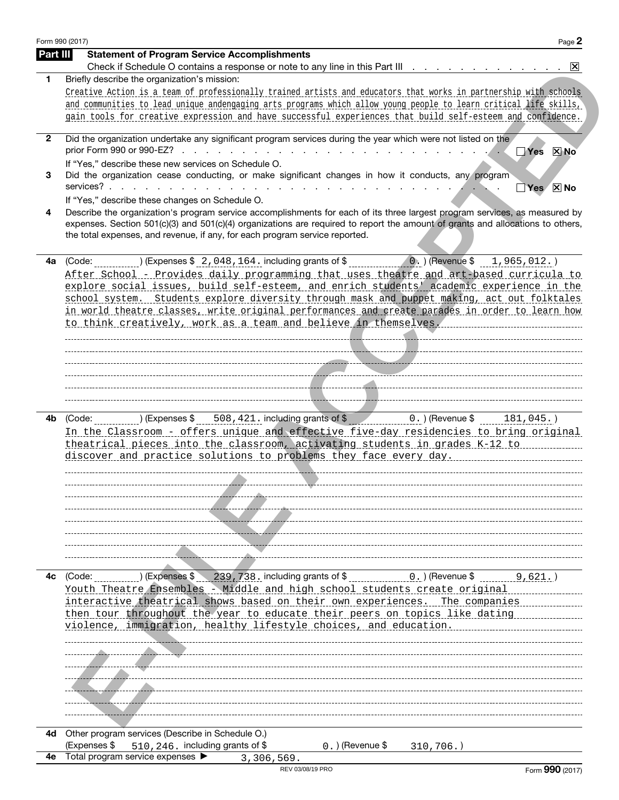|              | Form 990 (2017)<br>Page 2                                                                                                                                                                                                                                                                                                                                                         |
|--------------|-----------------------------------------------------------------------------------------------------------------------------------------------------------------------------------------------------------------------------------------------------------------------------------------------------------------------------------------------------------------------------------|
| Part III     | <b>Statement of Program Service Accomplishments</b>                                                                                                                                                                                                                                                                                                                               |
|              | Check if Schedule O contains a response or note to any line in this Part III<br>$\mathbf{X}$                                                                                                                                                                                                                                                                                      |
| 1            | Briefly describe the organization's mission:                                                                                                                                                                                                                                                                                                                                      |
|              | Creative Action is a team of professionally trained artists and educators that works in partnership with schools                                                                                                                                                                                                                                                                  |
|              | and communities to lead unique andengaging arts programs which allow young people to learn critical life skills,                                                                                                                                                                                                                                                                  |
|              | gain tools for creative expression and have successful experiences that build self-esteem and confidence.                                                                                                                                                                                                                                                                         |
| $\mathbf{2}$ | Did the organization undertake any significant program services during the year which were not listed on the<br>Yes <b>X</b> No                                                                                                                                                                                                                                                   |
| 3            | If "Yes," describe these new services on Schedule O.<br>Did the organization cease conducting, or make significant changes in how it conducts, any program<br>$\exists$ Yes $\boxtimes$ No                                                                                                                                                                                        |
|              | If "Yes," describe these changes on Schedule O.                                                                                                                                                                                                                                                                                                                                   |
| 4            | Describe the organization's program service accomplishments for each of its three largest program services, as measured by<br>expenses. Section 501(c)(3) and 501(c)(4) organizations are required to report the amount of grants and allocations to others,<br>the total expenses, and revenue, if any, for each program service reported.                                       |
| 4a           | (Code: (Code: ) (Expenses \$ 2,048,164. including grants of \$ 0. ) (Revenue \$ 1,965,012.)                                                                                                                                                                                                                                                                                       |
|              | After School  Provides daily programming that uses theatre and art-based curricula to<br>explore social issues, build self-esteem, and enrich students' academic experience in the<br>school systemStudents explore diversity through mask and puppet making, act out folktales<br>in world theatre classes, write original performances and create parades in order to learn how |
|              |                                                                                                                                                                                                                                                                                                                                                                                   |
|              |                                                                                                                                                                                                                                                                                                                                                                                   |
|              |                                                                                                                                                                                                                                                                                                                                                                                   |
|              |                                                                                                                                                                                                                                                                                                                                                                                   |
|              |                                                                                                                                                                                                                                                                                                                                                                                   |
| 4b           |                                                                                                                                                                                                                                                                                                                                                                                   |
|              | (Code: (Expenses \$508,421. including grants of \$600, 0. ) (Revenue \$10,045.)<br>In the Classroom - offers unique and effective five-day residencies to bring original<br>theatrical pieces into the classroom, activating students in grades K-12 to                                                                                                                           |
|              |                                                                                                                                                                                                                                                                                                                                                                                   |
|              |                                                                                                                                                                                                                                                                                                                                                                                   |
|              |                                                                                                                                                                                                                                                                                                                                                                                   |
|              |                                                                                                                                                                                                                                                                                                                                                                                   |
|              |                                                                                                                                                                                                                                                                                                                                                                                   |
|              |                                                                                                                                                                                                                                                                                                                                                                                   |
|              |                                                                                                                                                                                                                                                                                                                                                                                   |
|              |                                                                                                                                                                                                                                                                                                                                                                                   |
|              | ) (Expenses $\frac{1}{2}$ , $\frac{239}{738}$ , including grants of $\frac{1}{2}$ , $\frac{1}{2}$ , $\frac{1}{2}$ , $\frac{1}{2}$ , $\frac{1}{2}$ , $\frac{1}{2}$ , $\frac{1}{2}$ , $\frac{1}{2}$ , $\frac{1}{2}$ , $\frac{1}{2}$ , $\frac{1}{2}$ , $\frac{1}{2}$ , $\frac{1}{2}$ , $\frac{1}{2}$ , $\frac{1}{2}$<br>(Code:                                                       |
|              | Youth Theatre Ensembles - Middle and high school students create original                                                                                                                                                                                                                                                                                                         |
|              | interactive theatrical shows based on their own experiences. The companies                                                                                                                                                                                                                                                                                                        |
|              | then tour throughout the year to educate their peers on topics like dating                                                                                                                                                                                                                                                                                                        |
|              | violence, immigration, healthy lifestyle choices, and education.                                                                                                                                                                                                                                                                                                                  |
|              |                                                                                                                                                                                                                                                                                                                                                                                   |
|              |                                                                                                                                                                                                                                                                                                                                                                                   |
|              |                                                                                                                                                                                                                                                                                                                                                                                   |
|              |                                                                                                                                                                                                                                                                                                                                                                                   |
|              |                                                                                                                                                                                                                                                                                                                                                                                   |
|              |                                                                                                                                                                                                                                                                                                                                                                                   |
|              |                                                                                                                                                                                                                                                                                                                                                                                   |
|              | Other program services (Describe in Schedule O.)                                                                                                                                                                                                                                                                                                                                  |
| 4c<br>4d     | (Expenses \$<br>$0.$ ) (Revenue \$<br>510, 246. including grants of \$<br>310, 706.                                                                                                                                                                                                                                                                                               |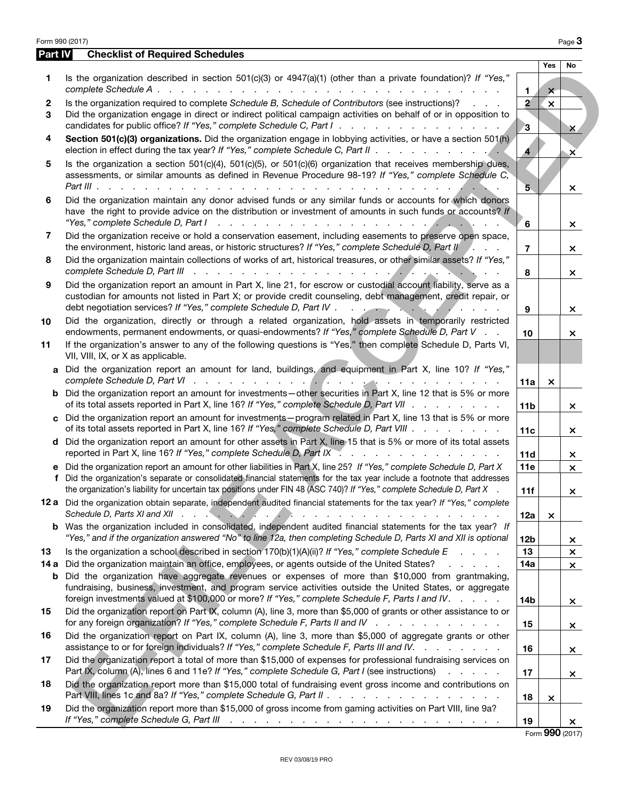|                | Form 990 (2017)                                                                                                                                                                                                                                                                                                                                                                                                               |                      |                            | Page 3                    |
|----------------|-------------------------------------------------------------------------------------------------------------------------------------------------------------------------------------------------------------------------------------------------------------------------------------------------------------------------------------------------------------------------------------------------------------------------------|----------------------|----------------------------|---------------------------|
| <b>Part IV</b> | <b>Checklist of Required Schedules</b>                                                                                                                                                                                                                                                                                                                                                                                        |                      |                            |                           |
| 1.             | Is the organization described in section 501(c)(3) or 4947(a)(1) (other than a private foundation)? If "Yes,"                                                                                                                                                                                                                                                                                                                 |                      | Yes                        | No                        |
| 2<br>3         | Is the organization required to complete Schedule B, Schedule of Contributors (see instructions)?<br>Did the organization engage in direct or indirect political campaign activities on behalf of or in opposition to                                                                                                                                                                                                         | 1.<br>$\overline{2}$ | $\times$<br>$\pmb{\times}$ |                           |
| 4              | Section 501(c)(3) organizations. Did the organization engage in lobbying activities, or have a section 501(h)                                                                                                                                                                                                                                                                                                                 | ΄3                   |                            | $\times$                  |
|                | election in effect during the tax year? If "Yes," complete Schedule C, Part II                                                                                                                                                                                                                                                                                                                                                | $\overline{4}$       |                            | $\boldsymbol{\mathsf{x}}$ |
| 5              | Is the organization a section $501(c)(4)$ , $501(c)(5)$ , or $501(c)(6)$ organization that receives membership dues,<br>assessments, or similar amounts as defined in Revenue Procedure 98-19? If "Yes," complete Schedule C,                                                                                                                                                                                                 | 5                    |                            | ×                         |
| 6              | Did the organization maintain any donor advised funds or any similar funds or accounts for which donors<br>have the right to provide advice on the distribution or investment of amounts in such funds or accounts? If<br>"Yes," complete Schedule D, Part I                                                                                                                                                                  | 6                    |                            | $\times$                  |
| 7              | Did the organization receive or hold a conservation easement, including easements to preserve open space,<br>the environment, historic land areas, or historic structures? If "Yes," complete Schedule D, Part II /                                                                                                                                                                                                           | $\overline{7}$       |                            | ×                         |
| 8              | Did the organization maintain collections of works of art, historical treasures, or other similar assets? If "Yes,"<br>complete Schedule D, Part III                                                                                                                                                                                                                                                                          | 8                    |                            | ×                         |
| 9              | Did the organization report an amount in Part X, line 21, for escrow or custodial account liability, serve as a<br>custodian for amounts not listed in Part X; or provide credit counseling, debt management, credit repair, or<br>debt negotiation services? If "Yes," complete Schedule D, Part IV .<br>the property of the state of the state of                                                                           | 9                    |                            | ×                         |
| 10             | Did the organization, directly or through a related organization, hold assets in temporarily restricted<br>endowments, permanent endowments, or quasi-endowments? If "Yes," complete Schedule D, Part V                                                                                                                                                                                                                       | 10                   |                            |                           |
| 11             | If the organization's answer to any of the following questions is "Yes," then complete Schedule D, Parts VI,<br>VII, VIII, IX, or X as applicable.                                                                                                                                                                                                                                                                            |                      |                            | $\times$                  |
| a              | Did the organization report an amount for land, buildings, and equipment in Part X, line 10? If "Yes,"                                                                                                                                                                                                                                                                                                                        | 11a                  | $\times$                   |                           |
|                | <b>b</b> Did the organization report an amount for investments—other securities in Part X, line 12 that is 5% or more<br>of its total assets reported in Part X, line 16? If "Yes," complete Schedule D, Part VII                                                                                                                                                                                                             | 11 <sub>b</sub>      |                            | ×                         |
|                | c Did the organization report an amount for investments—program related in Part X, line 13 that is 5% or more<br>of its total assets reported in Part X, line 16? If "Yes," complete Schedule D, Part VIII                                                                                                                                                                                                                    | 11c                  |                            | ×                         |
|                | d Did the organization report an amount for other assets in Part X, line 15 that is 5% or more of its total assets<br>reported in Part X, line 16? If "Yes," complete Schedule D, Part IX                                                                                                                                                                                                                                     | 11d                  |                            | $\times$                  |
|                | e Did the organization report an amount for other liabilities in Part X, line 25? If "Yes," complete Schedule D, Part X                                                                                                                                                                                                                                                                                                       | 11e                  |                            | $\times$                  |
| f              | Did the organization's separate or consolidated financial statements for the tax year include a footnote that addresses<br>the organization's liability for uncertain tax positions under FIN 48 (ASC 740)? If "Yes," complete Schedule D, Part X                                                                                                                                                                             | 11f                  |                            | $\pmb{\times}$            |
|                | 12 a Did the organization obtain separate, independent audited financial statements for the tax year? If "Yes," complete                                                                                                                                                                                                                                                                                                      | 12a                  | $\times$                   |                           |
|                | <b>b</b> Was the organization included in consolidated, independent audited financial statements for the tax year? If<br>"Yes," and if the organization answered "No" to line 12a, then completing Schedule D, Parts XI and XII is optional                                                                                                                                                                                   | 12 <sub>b</sub>      |                            | ×                         |
| 13             | Is the organization a school described in section $170(b)(1)(A)(ii)?$ If "Yes," complete Schedule E                                                                                                                                                                                                                                                                                                                           | 13                   |                            | $\times$                  |
|                | 14 a Did the organization maintain an office, employees, or agents outside of the United States?<br><b>b</b> Did the organization have aggregate revenues or expenses of more than \$10,000 from grantmaking,<br>fundraising, business, investment, and program service activities outside the United States, or aggregate<br>foreign investments valued at \$100,000 or more? If "Yes," complete Schedule F, Parts I and IV. | 14a<br>14b           |                            | $\times$                  |
| 15             | Did the organization report on Part IX, column (A), line 3, more than \$5,000 of grants or other assistance to or<br>for any foreign organization? If "Yes," complete Schedule F, Parts II and IV                                                                                                                                                                                                                             | 15                   |                            | $\boldsymbol{\mathsf{x}}$ |
| 16             | Did the organization report on Part IX, column (A), line 3, more than \$5,000 of aggregate grants or other<br>assistance to or for foreign individuals? If "Yes," complete Schedule F, Parts III and IV.                                                                                                                                                                                                                      |                      |                            | $\times$                  |
| 17             | Did the organization report a total of more than \$15,000 of expenses for professional fundraising services on<br>Part IX, column (A), lines 6 and 11e? If "Yes," complete Schedule G, Part I (see instructions)                                                                                                                                                                                                              | 16                   |                            | $\times$                  |
| 18             | Did the organization report more than \$15,000 total of fundraising event gross income and contributions on<br>Part VIII, lines 1c and 8a? If "Yes," complete Schedule G, Part II                                                                                                                                                                                                                                             | 17                   |                            | $\times$                  |
| 19             | Did the organization report more than \$15,000 of gross income from gaming activities on Part VIII, line 9a?                                                                                                                                                                                                                                                                                                                  | 18                   | $\boldsymbol{\mathsf{x}}$  |                           |
|                | If "Yes," complete Schedule G, Part III (Alleman Alexandrei Alexandrei Alexandrei Alexandrei Alexandrei Alexandrei Alexandrei Alexandrei Alexandrei Alexandrei Alexandrei Alexandrei Alexandrei Alexandrei Alexandrei Alexandr                                                                                                                                                                                                | 19                   |                            | $\times$                  |

Form **990** (2017)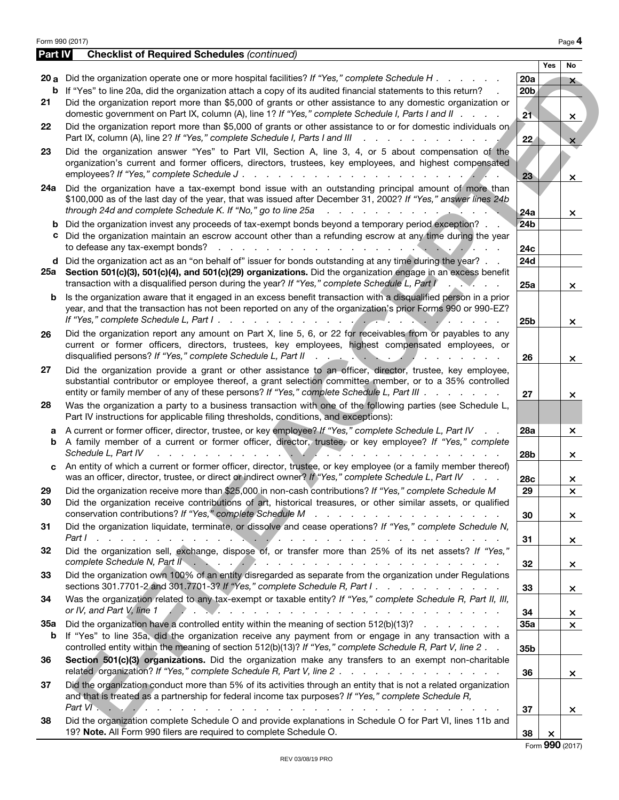|          | Form 990 (2017)                                                                                                                                                                                                                                                                                                                                                                                                                                   |                        |          | Page 4                    |
|----------|---------------------------------------------------------------------------------------------------------------------------------------------------------------------------------------------------------------------------------------------------------------------------------------------------------------------------------------------------------------------------------------------------------------------------------------------------|------------------------|----------|---------------------------|
| Part IV  | <b>Checklist of Required Schedules (continued)</b>                                                                                                                                                                                                                                                                                                                                                                                                |                        |          |                           |
|          |                                                                                                                                                                                                                                                                                                                                                                                                                                                   |                        | Yes      | No                        |
|          | 20 a Did the organization operate one or more hospital facilities? If "Yes," complete Schedule H<br><b>b</b> If "Yes" to line 20a, did the organization attach a copy of its audited financial statements to this return?                                                                                                                                                                                                                         | 20a<br>20 <sub>b</sub> |          | $\times$                  |
| 21       | Did the organization report more than \$5,000 of grants or other assistance to any domestic organization or<br>domestic government on Part IX, column (A), line 1? If "Yes," complete Schedule I, Parts I and II                                                                                                                                                                                                                                  | 21                     |          | $\times$                  |
| 22       | Did the organization report more than \$5,000 of grants or other assistance to or for domestic individuals on<br>Part IX, column (A), line 2? If "Yes," complete Schedule I, Parts I and III<br>and a construction of the con-                                                                                                                                                                                                                    | 22 <sup>°</sup>        |          | $\pmb{\times}$            |
| 23       | Did the organization answer "Yes" to Part VII, Section A, line 3, 4, or 5 about compensation of the<br>organization's current and former officers, directors, trustees, key employees, and highest compensated<br>employees? If "Yes," complete Schedule J.                                                                                                                                                                                       | 23                     |          | $\boldsymbol{\times}$     |
|          | 24a Did the organization have a tax-exempt bond issue with an outstanding principal amount of more than<br>\$100,000 as of the last day of the year, that was issued after December 31, 2002? If "Yes," answer lines 24b<br>through 24d and complete Schedule K. If "No," go to line 25a<br>and a series of the company of the                                                                                                                    | 24a                    |          | $\times$                  |
| C        | <b>b</b> Did the organization invest any proceeds of tax-exempt bonds beyond a temporary period exception?<br>Did the organization maintain an escrow account other than a refunding escrow at any time during the year<br>to defease any tax-exempt bonds?                                                                                                                                                                                       | 24 <sub>b</sub><br>24c |          |                           |
|          | <b>d</b> Did the organization act as an "on behalf of" issuer for bonds outstanding at any time during the year? $\ldots$<br>25a Section 501(c)(3), 501(c)(4), and 501(c)(29) organizations. Did the organization engage in an excess benefit<br>transaction with a disqualified person during the year? If "Yes," complete Schedule L, Part I                                                                                                    | <b>24d</b><br>25a      |          | ×                         |
| b        | Is the organization aware that it engaged in an excess benefit transaction with a disqualified person in a prior<br>year, and that the transaction has not been reported on any of the organization's prior Forms 990 or 990-EZ?                                                                                                                                                                                                                  | 25 <sub>b</sub>        |          | $\times$                  |
| 26       | Did the organization report any amount on Part X, line 5, 6, or 22 for receivables from or payables to any<br>current or former officers, directors, trustees, key employees, highest compensated employees, or<br>disqualified persons? If "Yes," complete Schedule L, Part II et al. All and the state of the state of the state of the state of the state of the state of the state of the state of the state of the state of the state of the | 26                     |          | $\times$                  |
| 27       | Did the organization provide a grant or other assistance to an officer, director, trustee, key employee,<br>substantial contributor or employee thereof, a grant selection committee member, or to a 35% controlled<br>entity or family member of any of these persons? If "Yes," complete Schedule L, Part III                                                                                                                                   | 27                     |          | $\times$                  |
| 28       | Was the organization a party to a business transaction with one of the following parties (see Schedule L,<br>Part IV instructions for applicable filing thresholds, conditions, and exceptions):                                                                                                                                                                                                                                                  |                        |          |                           |
| а<br>b   | A current or former officer, director, trustee, or key employee? If "Yes," complete Schedule L, Part IV<br>A family member of a current or former officer, director, trustee, or key employee? If "Yes," complete<br>Schedule L, Part IV<br>and the state of the state of the state of the<br>Valley 1<br>$\sqrt{2}$<br>$\mathbf{r}$ . The set of $\mathbf{r}$                                                                                    | 28a<br>28b             |          | $\times$<br>×             |
|          | c An entity of which a current or former officer, director, trustee, or key employee (or a family member thereof)<br>was an officer, director, trustee, or direct or indirect owner? If "Yes," complete Schedule L, Part IV                                                                                                                                                                                                                       | 28c                    |          | ×                         |
| 29<br>30 | Did the organization receive more than \$25,000 in non-cash contributions? If "Yes," complete Schedule M<br>Did the organization receive contributions of art, historical treasures, or other similar assets, or qualified                                                                                                                                                                                                                        | 29                     |          | $\pmb{\times}$            |
| 31       | Did the organization liquidate, terminate, or dissolve and cease operations? If "Yes," complete Schedule N,                                                                                                                                                                                                                                                                                                                                       | 30<br>31               |          | $\times$                  |
| 32       | Did the organization sell, exchange, dispose of, or transfer more than 25% of its net assets? If "Yes,"                                                                                                                                                                                                                                                                                                                                           | 32                     |          | $\times$<br>$\times$      |
| 33       | Did the organization own 100% of an entity disregarded as separate from the organization under Regulations<br>sections 301.7701-2 and 301.7701-3? If "Yes," complete Schedule R, Part I.                                                                                                                                                                                                                                                          | 33                     |          | $\times$                  |
| 34       | Was the organization related to any tax-exempt or taxable entity? If "Yes," complete Schedule R, Part II, III,<br>or IV, and Part V, line 1 $\sqrt{2}$ . $\sqrt{2}$ . $\sqrt{2}$ . $\sqrt{2}$ . $\sqrt{2}$ . $\sqrt{2}$ . $\sqrt{2}$ . $\sqrt{2}$ . $\sqrt{2}$ . $\sqrt{2}$ . $\sqrt{2}$ . $\sqrt{2}$ . $\sqrt{2}$ . $\sqrt{2}$ . $\sqrt{2}$ . $\sqrt{2}$ . $\sqrt{2}$ . $\sqrt{2}$ . $\sqrt{2}$ . $\sqrt{2$                                      | 34                     |          | ×                         |
| 35a      | Did the organization have a controlled entity within the meaning of section $512(b)(13)?$                                                                                                                                                                                                                                                                                                                                                         | 35a                    |          | $\times$                  |
| b        | If "Yes" to line 35a, did the organization receive any payment from or engage in any transaction with a<br>controlled entity within the meaning of section 512(b)(13)? If "Yes," complete Schedule R, Part V, line 2.                                                                                                                                                                                                                             | 35b                    |          |                           |
| 36       | Section 501(c)(3) organizations. Did the organization make any transfers to an exempt non-charitable                                                                                                                                                                                                                                                                                                                                              | 36                     |          | $\boldsymbol{\mathsf{x}}$ |
| 37       | Did the organization conduct more than 5% of its activities through an entity that is not a related organization<br>and that is treated as a partnership for federal income tax purposes? If "Yes," complete Schedule R,                                                                                                                                                                                                                          |                        |          |                           |
| 38       | Did the organization complete Schedule O and provide explanations in Schedule O for Part VI, lines 11b and<br>19? Note. All Form 990 filers are required to complete Schedule O.                                                                                                                                                                                                                                                                  | 37<br>38               | $\times$ | $\times$                  |
|          |                                                                                                                                                                                                                                                                                                                                                                                                                                                   |                        |          | $Eorm$ QQQ (2017)         |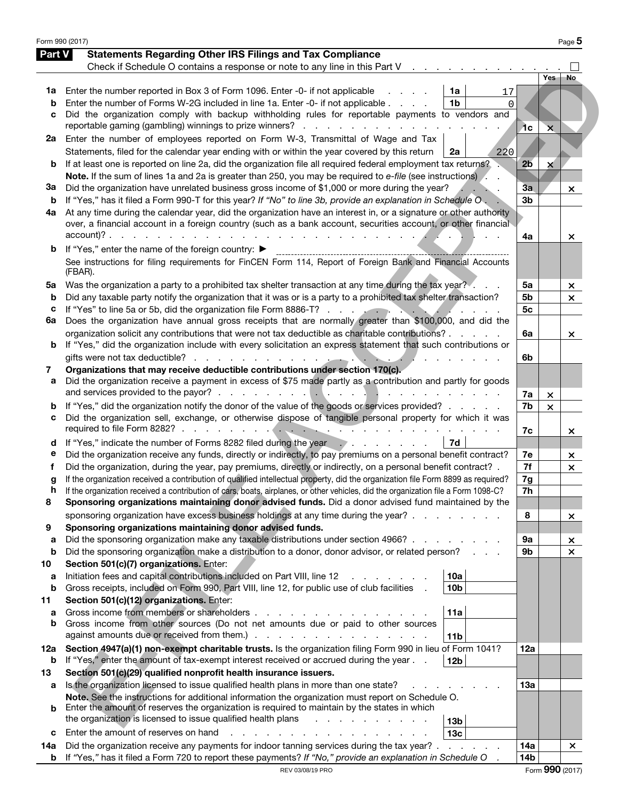|        | Form 990 (2017)                                                                                                                                              |                |                           | Page 5                         |
|--------|--------------------------------------------------------------------------------------------------------------------------------------------------------------|----------------|---------------------------|--------------------------------|
| Part V | <b>Statements Regarding Other IRS Filings and Tax Compliance</b>                                                                                             |                |                           |                                |
|        | Check if Schedule O contains a response or note to any line in this Part V<br>and a string of the                                                            |                |                           |                                |
|        |                                                                                                                                                              |                | Yes                       | No                             |
| 1a     | Enter the number reported in Box 3 of Form 1096. Enter -0- if not applicable<br>1a<br>17                                                                     |                |                           |                                |
| b      | Enter the number of Forms W-2G included in line 1a. Enter -0- if not applicable<br>1 <sub>b</sub><br>$\Omega$                                                |                |                           |                                |
| c      | Did the organization comply with backup withholding rules for reportable payments to vendors and                                                             |                |                           |                                |
|        | reportable gaming (gambling) winnings to prize winners?                                                                                                      | 1 <sub>c</sub> | $\overline{\mathsf{x}}$   |                                |
| 2a     | Enter the number of employees reported on Form W-3, Transmittal of Wage and Tax                                                                              |                |                           |                                |
|        | Statements, filed for the calendar year ending with or within the year covered by this return<br>2a<br>220                                                   |                |                           |                                |
| b      | If at least one is reported on line 2a, did the organization file all required federal employment tax returns?                                               | 2 <sub>b</sub> |                           |                                |
|        | Note. If the sum of lines 1a and 2a is greater than 250, you may be required to e-file (see instructions).                                                   |                |                           |                                |
| За     | Did the organization have unrelated business gross income of \$1,000 or more during the year?                                                                | 3a             |                           | ×                              |
| b      | If "Yes," has it filed a Form 990-T for this year? If "No" to line 3b, provide an explanation in Schedule O.                                                 | 3 <sub>b</sub> |                           |                                |
| 4a     | At any time during the calendar year, did the organization have an interest in, or a signature or other authority                                            |                |                           |                                |
|        | over, a financial account in a foreign country (such as a bank account, securities account, or other financial                                               |                |                           |                                |
|        |                                                                                                                                                              | 4a             |                           | ×                              |
|        | If "Yes," enter the name of the foreign country: ▶                                                                                                           |                |                           |                                |
|        | See instructions for filing requirements for FinCEN Form 114, Report of Foreign Bank and Financial Accounts<br>(FBAR).                                       |                |                           |                                |
| 5a     | Was the organization a party to a prohibited tax shelter transaction at any time during the tax year?                                                        | 5a             |                           |                                |
| b      | Did any taxable party notify the organization that it was or is a party to a prohibited tax shelter transaction?                                             | 5b             |                           | ×<br>$\times$                  |
| с      | If "Yes" to line 5a or 5b, did the organization file Form 8886-T?                                                                                            | 5 <sub>c</sub> |                           |                                |
| 6a     | Does the organization have annual gross receipts that are normally greater than \$100,000, and did the                                                       |                |                           |                                |
|        | organization solicit any contributions that were not tax deductible as charitable contributions?.                                                            | 6a             |                           | ×.                             |
| b      | If "Yes," did the organization include with every solicitation an express statement that such contributions or                                               |                |                           |                                |
|        | gifts were not tax deductible?                                                                                                                               | 6 <sub>b</sub> |                           |                                |
| 7      | Organizations that may receive deductible contributions under section 170(c).                                                                                |                |                           |                                |
| а      | Did the organization receive a payment in excess of \$75 made partly as a contribution and partly for goods                                                  |                |                           |                                |
|        | and services provided to the payor?                                                                                                                          | 7a             | $\times$                  |                                |
| b      | If "Yes," did the organization notify the donor of the value of the goods or services provided?                                                              | 7b             | $\boldsymbol{\mathsf{x}}$ |                                |
| c      | Did the organization sell, exchange, or otherwise dispose of tangible personal property for which it was                                                     |                |                           |                                |
|        |                                                                                                                                                              | 7c             |                           | ×                              |
| d      | If "Yes," indicate the number of Forms 8282 filed during the year<br>7d                                                                                      |                |                           |                                |
| е      | Did the organization receive any funds, directly or indirectly, to pay premiums on a personal benefit contract?                                              | 7e             |                           | ×                              |
| f      | Did the organization, during the year, pay premiums, directly or indirectly, on a personal benefit contract? .                                               | 7f             |                           | $\pmb{\times}$                 |
| g      | If the organization received a contribution of qualified intellectual property, did the organization file Form 8899 as required?                             | 7g             |                           |                                |
| n      | If the organization received a contribution of cars, boats, airplanes, or other vehicles, did the organization file a Form 1098-C?                           | 7h             |                           |                                |
| 8      | Sponsoring organizations maintaining donor advised funds. Did a donor advised fund maintained by the                                                         |                |                           |                                |
|        | sponsoring organization have excess business holdings at any time during the year?<br>Sponsoring organizations maintaining donor advised funds.              | 8              |                           | ×                              |
| 9      | Did the sponsoring organization make any taxable distributions under section 4966?                                                                           | 9а             |                           |                                |
| а<br>b | Did the sponsoring organization make a distribution to a donor, donor advisor, or related person?                                                            | 9b             |                           | ×<br>$\boldsymbol{\mathsf{x}}$ |
| 10     | Section 501(c)(7) organizations. Enter:                                                                                                                      |                |                           |                                |
| a      | Initiation fees and capital contributions included on Part VIII, line 12<br>10a                                                                              |                |                           |                                |
| b      | Gross receipts, included on Form 990, Part VIII, line 12, for public use of club facilities<br>10 <sub>b</sub>                                               |                |                           |                                |
| 11     | Section 501(c)(12) organizations. Enter:                                                                                                                     |                |                           |                                |
| a      | 11a<br>Gross income from members or shareholders.                                                                                                            |                |                           |                                |
| b      | Gross income from other sources (Do not net amounts due or paid to other sources                                                                             |                |                           |                                |
|        | against amounts due or received from them.)<br>11 <sub>b</sub>                                                                                               |                |                           |                                |
| 12a    | Section 4947(a)(1) non-exempt charitable trusts. Is the organization filing Form 990 in lieu of Form 1041?                                                   | 12a            |                           |                                |
| b      | If "Yes," enter the amount of tax-exempt interest received or accrued during the year.<br>12 <sub>b</sub>                                                    |                |                           |                                |
| 13     | Section 501(c)(29) qualified nonprofit health insurance issuers.                                                                                             |                |                           |                                |
| a      | Is the organization licensed to issue qualified health plans in more than one state?                                                                         | 13а            |                           |                                |
|        | Note. See the instructions for additional information the organization must report on Schedule O.                                                            |                |                           |                                |
| b      | Enter the amount of reserves the organization is required to maintain by the states in which<br>the organization is licensed to issue qualified health plans |                |                           |                                |
|        | 13 <sub>b</sub>                                                                                                                                              |                |                           |                                |
| c      | Enter the amount of reserves on hand<br>13 <sub>c</sub><br>and the company of the company                                                                    |                |                           |                                |
| 14a    | Did the organization receive any payments for indoor tanning services during the tax year?.<br>and a state of the                                            | 14a            |                           | ×                              |
| b      | If "Yes," has it filed a Form 720 to report these payments? If "No," provide an explanation in Schedule O                                                    | 14b            |                           |                                |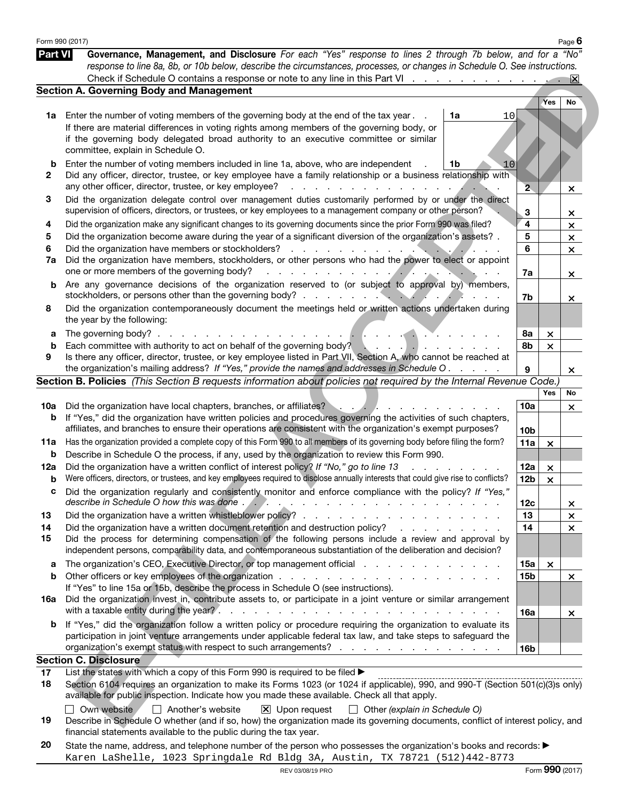|          | Form 990 (2017)                                                                                                                                                                                                                                                                                                                                                                                                 |                         |                           | Page 6                    |
|----------|-----------------------------------------------------------------------------------------------------------------------------------------------------------------------------------------------------------------------------------------------------------------------------------------------------------------------------------------------------------------------------------------------------------------|-------------------------|---------------------------|---------------------------|
| Part VI  | Governance, Management, and Disclosure For each "Yes" response to lines 2 through 7b below, and for a "No"<br>response to line 8a, 8b, or 10b below, describe the circumstances, processes, or changes in Schedule O. See instructions.                                                                                                                                                                         |                         |                           |                           |
|          | Check if Schedule O contains a response or note to any line in this Part VI                                                                                                                                                                                                                                                                                                                                     |                         |                           | $\mathbf{X}$              |
|          | <b>Section A. Governing Body and Management</b>                                                                                                                                                                                                                                                                                                                                                                 |                         |                           |                           |
|          |                                                                                                                                                                                                                                                                                                                                                                                                                 |                         | Yes                       | No                        |
| 1a       | Enter the number of voting members of the governing body at the end of the tax year.<br>1a<br>10 <sub>1</sub><br>If there are material differences in voting rights among members of the governing body, or<br>if the governing body delegated broad authority to an executive committee or similar<br>committee, explain in Schedule O.                                                                        |                         |                           |                           |
| b<br>2   | Enter the number of voting members included in line 1a, above, who are independent<br>1b<br>10<br>Did any officer, director, trustee, or key employee have a family relationship or a business relationship with<br>any other officer, director, trustee, or key employee?<br>.                                                                                                                                 | 2 <sup>1</sup>          |                           | ×                         |
| 3        | Did the organization delegate control over management duties customarily performed by or under the direct<br>supervision of officers, directors, or trustees, or key employees to a management company or other person?                                                                                                                                                                                         | 3                       |                           | ×                         |
| 4        | Did the organization make any significant changes to its governing documents since the prior Form 990 was filed?                                                                                                                                                                                                                                                                                                | $\overline{\mathbf{4}}$ |                           | $\times$                  |
| 5        | Did the organization become aware during the year of a significant diversion of the organization's assets? .                                                                                                                                                                                                                                                                                                    | 5                       |                           | $\boldsymbol{\mathsf{X}}$ |
| 6        | Did the organization have members or stockholders?<br><u>a sa salawan sa salawan sa sa</u>                                                                                                                                                                                                                                                                                                                      | 6                       |                           | $\times$                  |
| 7a       | Did the organization have members, stockholders, or other persons who had the power to elect or appoint<br>one or more members of the governing body?<br>.                                                                                                                                                                                                                                                      | 7a                      |                           | $\times$                  |
| b        | Are any governance decisions of the organization reserved to (or subject to approval by) members,                                                                                                                                                                                                                                                                                                               | 7b                      |                           | ×                         |
| 8        | Did the organization contemporaneously document the meetings held or written actions undertaken during<br>the year by the following:                                                                                                                                                                                                                                                                            |                         |                           |                           |
| a        | The governing body? $\ldots$ $\ldots$ $\ldots$ $\ldots$ $\ldots$ $\ldots$                                                                                                                                                                                                                                                                                                                                       | 8a                      | $\times$                  |                           |
| b        | Each committee with authority to act on behalf of the governing body?<br>.                                                                                                                                                                                                                                                                                                                                      | 8b                      | $\mathsf{x}$              |                           |
| 9        | Is there any officer, director, trustee, or key employee listed in Part VII, Section A, who cannot be reached at<br>the organization's mailing address? If "Yes," provide the names and addresses in Schedule O.                                                                                                                                                                                                | 9                       |                           | ×                         |
|          | Section B. Policies (This Section B requests information about policies not required by the Internal Revenue Code.)                                                                                                                                                                                                                                                                                             |                         |                           |                           |
|          |                                                                                                                                                                                                                                                                                                                                                                                                                 |                         | Yes                       | No                        |
| 10a      | Did the organization have local chapters, branches, or affiliates?                                                                                                                                                                                                                                                                                                                                              | 10a                     |                           | $\times$                  |
| b        | If "Yes," did the organization have written policies and procedures governing the activities of such chapters,<br>affiliates, and branches to ensure their operations are consistent with the organization's exempt purposes?                                                                                                                                                                                   | 10 <sub>b</sub>         |                           |                           |
| 11a      | Has the organization provided a complete copy of this Form 990 to all members of its governing body before filing the form?                                                                                                                                                                                                                                                                                     | 11a                     | $\times$                  |                           |
| b        | Describe in Schedule O the process, if any, used by the organization to review this Form 990.                                                                                                                                                                                                                                                                                                                   |                         |                           |                           |
| 12a      | Did the organization have a written conflict of interest policy? If "No," go to line 13<br>$\mathbf{r}$ and $\mathbf{r}$ and $\mathbf{r}$                                                                                                                                                                                                                                                                       | 12a                     | $\times$                  |                           |
| b        | Were officers, directors, or trustees, and key employees required to disclose annually interests that could give rise to conflicts?                                                                                                                                                                                                                                                                             | 12 <sub>b</sub>         | $\overline{\mathsf{x}}$   |                           |
|          | Did the organization regularly and consistently monitor and enforce compliance with the policy? If "Yes,"<br>describe in Schedule O how this was done.                                                                                                                                                                                                                                                          | 12c                     |                           | ×                         |
| 13       |                                                                                                                                                                                                                                                                                                                                                                                                                 | 13                      |                           | $\pmb{\times}$            |
| 14       | Did the organization have a written document retention and destruction policy?<br>and the company of the company                                                                                                                                                                                                                                                                                                | 14                      |                           | $\times$                  |
| 15       | Did the process for determining compensation of the following persons include a review and approval by<br>independent persons, comparability data, and contemporaneous substantiation of the deliberation and decision?                                                                                                                                                                                         |                         |                           |                           |
| a        | The organization's CEO, Executive Director, or top management official                                                                                                                                                                                                                                                                                                                                          | 15a                     | $\boldsymbol{\mathsf{x}}$ |                           |
| b        |                                                                                                                                                                                                                                                                                                                                                                                                                 | 15 <sub>b</sub>         |                           | $\times$                  |
|          | If "Yes" to line 15a or 15b, describe the process in Schedule O (see instructions).                                                                                                                                                                                                                                                                                                                             |                         |                           |                           |
| 16a      | Did the organization invest in, contribute assets to, or participate in a joint venture or similar arrangement                                                                                                                                                                                                                                                                                                  | 16a                     |                           | ×                         |
| b        | If "Yes," did the organization follow a written policy or procedure requiring the organization to evaluate its<br>participation in joint venture arrangements under applicable federal tax law, and take steps to safeguard the                                                                                                                                                                                 |                         |                           |                           |
|          | organization's exempt status with respect to such arrangements?                                                                                                                                                                                                                                                                                                                                                 | 16b                     |                           |                           |
|          | <b>Section C. Disclosure</b>                                                                                                                                                                                                                                                                                                                                                                                    |                         |                           |                           |
| 17<br>18 | List the states with which a copy of this Form 990 is required to be filed ><br>Section 6104 requires an organization to make its Forms 1023 (or 1024 if applicable), 990, and 990-T (Section 501(c)(3)s only)<br>available for public inspection. Indicate how you made these available. Check all that apply.<br>Own website<br>$\Box$ Another's website<br>$X$ Upon request<br>Other (explain in Schedule O) |                         |                           |                           |
| 19       | Describe in Schedule O whether (and if so, how) the organization made its governing documents, conflict of interest policy, and                                                                                                                                                                                                                                                                                 |                         |                           |                           |

| $\blacksquare$ $\blacksquare$ $\blacksquare$ $\blacksquare$ $\blacksquare$ $\blacksquare$ $\blacksquare$ $\blacksquare$ $\blacksquare$ $\blacksquare$ $\blacksquare$ $\blacksquare$ $\blacksquare$ $\blacksquare$ $\blacksquare$ $\blacksquare$ $\blacksquare$ $\blacksquare$ $\blacksquare$ $\blacksquare$ $\blacksquare$ $\blacksquare$ $\blacksquare$ $\blacksquare$ $\blacksquare$ $\blacksquare$ $\blacksquare$ $\blacksquare$ $\blacksquare$ $\blacksquare$ $\blacksquare$ $\blacks$<br>$\sim$ open request $\Box$ only (explain in ocheque of |
|------------------------------------------------------------------------------------------------------------------------------------------------------------------------------------------------------------------------------------------------------------------------------------------------------------------------------------------------------------------------------------------------------------------------------------------------------------------------------------------------------------------------------------------------------|
| Describe in Schedule O whether (and if so, how) the organization made its governing documents, conflict of interest policy, and                                                                                                                                                                                                                                                                                                                                                                                                                      |
| financial statements available to the public during the tax year.                                                                                                                                                                                                                                                                                                                                                                                                                                                                                    |

20 State the name, address, and telephone number of the person who possesses the organization's books and records: Karen LaShelle, 1023 Springdale Rd Bldg 3A, Austin, TX 78721 (512)442-8773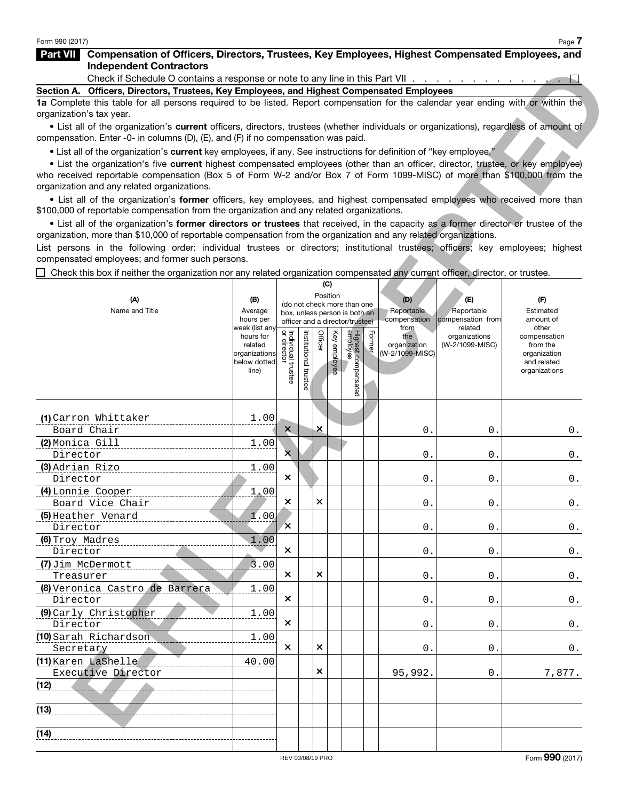#### **Part VII Compensation of Officers, Directors, Trustees, Key Employees, Highest Compensated Employees, and Independent Contractors**

| <b>Independent Contractors</b>                                                                                                                                                                                                                          |                               |                                   |                       |          |              |                                                              |        |                 |                          |                             |
|---------------------------------------------------------------------------------------------------------------------------------------------------------------------------------------------------------------------------------------------------------|-------------------------------|-----------------------------------|-----------------------|----------|--------------|--------------------------------------------------------------|--------|-----------------|--------------------------|-----------------------------|
| Check if Schedule O contains a response or note to any line in this Part VII                                                                                                                                                                            |                               |                                   |                       |          |              |                                                              |        |                 |                          |                             |
| Section A. Officers, Directors, Trustees, Key Employees, and Highest Compensated Employees                                                                                                                                                              |                               |                                   |                       |          |              |                                                              |        |                 |                          |                             |
| 1a Complete this table for all persons required to be listed. Report compensation for the calendar year ending with or within the                                                                                                                       |                               |                                   |                       |          |              |                                                              |        |                 |                          |                             |
| organization's tax year.                                                                                                                                                                                                                                |                               |                                   |                       |          |              |                                                              |        |                 |                          |                             |
| • List all of the organization's current officers, directors, trustees (whether individuals or organizations), regardless of amount of<br>compensation. Enter -0- in columns (D), (E), and (F) if no compensation was paid.                             |                               |                                   |                       |          |              |                                                              |        |                 |                          |                             |
| • List all of the organization's current key employees, if any. See instructions for definition of "key employee."                                                                                                                                      |                               |                                   |                       |          |              |                                                              |        |                 |                          |                             |
| • List the organization's five current highest compensated employees (other than an officer, director, trustee, or key employee)                                                                                                                        |                               |                                   |                       |          |              |                                                              |        |                 |                          |                             |
| who received reportable compensation (Box 5 of Form W-2 and/or Box 7 of Form 1099-MISC) of more than \$100,000 from the<br>organization and any related organizations.                                                                                  |                               |                                   |                       |          |              |                                                              |        |                 |                          |                             |
| . List all of the organization's former officers, key employees, and highest compensated employees who received more than<br>\$100,000 of reportable compensation from the organization and any related organizations.                                  |                               |                                   |                       |          |              |                                                              |        |                 |                          |                             |
| . List all of the organization's former directors or trustees that received, in the capacity as a former director or trustee of the<br>organization, more than \$10,000 of reportable compensation from the organization and any related organizations. |                               |                                   |                       |          |              |                                                              |        |                 |                          |                             |
| List persons in the following order: individual trustees or directors; institutional trustees; officers; key employees; highest<br>compensated employees; and former such persons.                                                                      |                               |                                   |                       |          |              |                                                              |        |                 |                          |                             |
| Check this box if neither the organization nor any related organization compensated any current officer, director, or trustee.                                                                                                                          |                               |                                   |                       |          |              |                                                              |        |                 |                          |                             |
|                                                                                                                                                                                                                                                         |                               |                                   |                       |          | (C)          |                                                              |        |                 |                          |                             |
| (A)                                                                                                                                                                                                                                                     |                               |                                   |                       |          | Position     |                                                              |        | (D)             |                          | (F)                         |
| Name and Title                                                                                                                                                                                                                                          | (B)<br>Average                |                                   |                       |          |              | (do not check more than one<br>box, unless person is both an |        | Reportable      | (E)<br>Reportable        | Estimated                   |
|                                                                                                                                                                                                                                                         | hours per                     |                                   |                       |          |              | officer and a director/trustee)                              |        | compensation    | compensation from        | amount of                   |
|                                                                                                                                                                                                                                                         | week (list any<br>hours for   |                                   |                       |          |              |                                                              |        | from<br>the     | related<br>organizations | other<br>compensation       |
|                                                                                                                                                                                                                                                         | related                       |                                   |                       | Officer  | Key employee |                                                              | Former | organization    | (W-2/1099-MISC)          | from the                    |
|                                                                                                                                                                                                                                                         | organizations<br>below dotted |                                   |                       |          |              |                                                              |        | (W-2/1099-MISC) |                          | organization<br>and related |
|                                                                                                                                                                                                                                                         | line)                         | Individual trustee<br>or director | Institutional trustee |          |              | Highest compensated<br>employee                              |        |                 |                          | organizations               |
|                                                                                                                                                                                                                                                         |                               |                                   |                       |          |              |                                                              |        |                 |                          |                             |
|                                                                                                                                                                                                                                                         |                               |                                   |                       |          |              |                                                              |        |                 |                          |                             |
|                                                                                                                                                                                                                                                         |                               |                                   |                       |          |              |                                                              |        |                 |                          |                             |
| (1) Carron Whittaker                                                                                                                                                                                                                                    | 1.00                          |                                   |                       |          |              |                                                              |        |                 |                          |                             |
| Board Chair                                                                                                                                                                                                                                             |                               | $\times$                          |                       | ×        |              |                                                              |        | $0\,$ .         | 0.                       | 0.                          |
| (2) Monica Gill                                                                                                                                                                                                                                         | 1.00                          |                                   |                       |          |              |                                                              |        |                 |                          |                             |
| Director                                                                                                                                                                                                                                                |                               | $\overline{\mathsf{x}}$           |                       |          |              |                                                              |        | 0.              | 0.                       | 0.                          |
| (3) Adrian Rizo                                                                                                                                                                                                                                         | 1.00                          | $\times$                          |                       |          |              |                                                              |        |                 |                          |                             |
| Director                                                                                                                                                                                                                                                |                               |                                   |                       |          |              |                                                              |        | 0.              | 0.                       | 0.                          |
| (4) Lonnie Cooper                                                                                                                                                                                                                                       | 1.00                          | $\times$                          |                       | ×        |              |                                                              |        |                 |                          |                             |
| Board Vice Chair                                                                                                                                                                                                                                        |                               |                                   |                       |          |              |                                                              |        | $0\,$ .         | 0.                       | 0.                          |
| <u>(5)Heather Venard</u><br>Director                                                                                                                                                                                                                    | 1.00                          | $\boldsymbol{\times}$             |                       |          |              |                                                              |        | $0\;.$          | 0.                       | $0$ .                       |
| (6) Troy Madres                                                                                                                                                                                                                                         | 1.00                          |                                   |                       |          |              |                                                              |        |                 |                          |                             |
| Director                                                                                                                                                                                                                                                |                               | $\times$                          |                       |          |              |                                                              |        | $0$ .           | 0.                       | $0$ .                       |
| (7) Jim McDermott                                                                                                                                                                                                                                       | 3.00                          |                                   |                       |          |              |                                                              |        |                 |                          |                             |
| Treasurer                                                                                                                                                                                                                                               |                               | $\boldsymbol{\times}$             |                       | $\times$ |              |                                                              |        | 0.              | 0.                       | $0$ .                       |
| (8) Veronica Castro de Barrera                                                                                                                                                                                                                          | 1.00                          |                                   |                       |          |              |                                                              |        |                 |                          |                             |
| Director                                                                                                                                                                                                                                                |                               | $\boldsymbol{\times}$             |                       |          |              |                                                              |        | 0.              | 0.                       | $0$ .                       |
| (9) Carly Christopher                                                                                                                                                                                                                                   | 1.00                          |                                   |                       |          |              |                                                              |        |                 |                          |                             |
| Director                                                                                                                                                                                                                                                |                               | $\boldsymbol{\times}$             |                       |          |              |                                                              |        | 0.              | 0.                       | $0$ .                       |
| (10) Sarah Richardson                                                                                                                                                                                                                                   | 1.00                          |                                   |                       |          |              |                                                              |        |                 |                          |                             |
| Secretary                                                                                                                                                                                                                                               |                               | $\boldsymbol{\times}$             |                       | ×        |              |                                                              |        | 0.              | 0.                       | 0.                          |
| (11) Karen LaShelle                                                                                                                                                                                                                                     | 40.00                         |                                   |                       |          |              |                                                              |        |                 |                          |                             |
| Executive Director                                                                                                                                                                                                                                      |                               |                                   |                       | ×        |              |                                                              |        | 95,992.         | 0.                       | 7,877.                      |
| (12)                                                                                                                                                                                                                                                    |                               |                                   |                       |          |              |                                                              |        |                 |                          |                             |
| (13)                                                                                                                                                                                                                                                    |                               |                                   |                       |          |              |                                                              |        |                 |                          |                             |
|                                                                                                                                                                                                                                                         |                               |                                   |                       |          |              |                                                              |        |                 |                          |                             |
| (14)                                                                                                                                                                                                                                                    |                               |                                   |                       |          |              |                                                              |        |                 |                          |                             |
|                                                                                                                                                                                                                                                         |                               |                                   |                       |          |              |                                                              |        |                 |                          |                             |
|                                                                                                                                                                                                                                                         |                               |                                   |                       |          |              |                                                              |        |                 |                          |                             |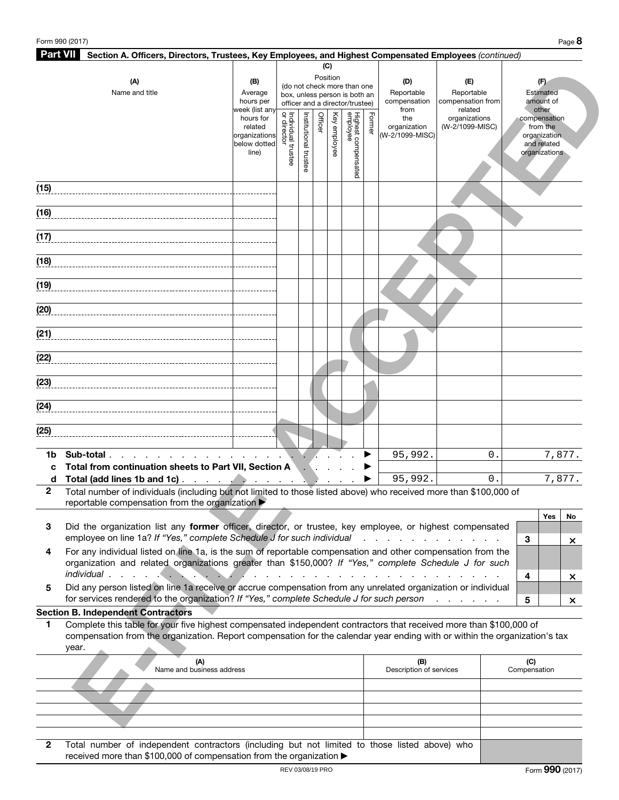| <b>Part VII</b> | Section A. Officers, Directors, Trustees, Key Employees, and Highest Compensated Employees (continued)                                                                                                               |                      |                                   |                       |          |              |                                 |        |                            |                                  |                |              |                          |                           |
|-----------------|----------------------------------------------------------------------------------------------------------------------------------------------------------------------------------------------------------------------|----------------------|-----------------------------------|-----------------------|----------|--------------|---------------------------------|--------|----------------------------|----------------------------------|----------------|--------------|--------------------------|---------------------------|
|                 |                                                                                                                                                                                                                      |                      |                                   |                       | (C)      |              |                                 |        |                            |                                  |                |              |                          |                           |
|                 | (A)                                                                                                                                                                                                                  | (B)                  |                                   |                       | Position |              | (do not check more than one     |        | (D)                        | (E)                              |                |              | (F)                      |                           |
|                 | Name and title                                                                                                                                                                                                       | Average<br>hours per |                                   |                       |          |              | box, unless person is both an   |        | Reportable<br>compensation | Reportable<br>compensation from  |                |              | Estimated<br>amount of   |                           |
|                 |                                                                                                                                                                                                                      | week (list any       |                                   |                       |          |              | officer and a director/trustee) |        | from                       | related                          |                |              | other                    |                           |
|                 |                                                                                                                                                                                                                      | hours for<br>related | Individual trustee<br>or director | Institutional trustee | Officer  | Key employee |                                 | Former | the<br>organization        | organizations<br>(W-2/1099-MISC) |                |              | compensation<br>from the |                           |
|                 |                                                                                                                                                                                                                      | organizations        |                                   |                       |          |              |                                 |        | (W-2/1099-MISC)            |                                  |                |              | organization             |                           |
|                 |                                                                                                                                                                                                                      | below dotted         |                                   |                       |          |              |                                 |        |                            |                                  |                |              | and related              |                           |
|                 |                                                                                                                                                                                                                      | line)                |                                   |                       |          |              |                                 |        |                            |                                  |                |              | organizations            |                           |
|                 |                                                                                                                                                                                                                      |                      |                                   |                       |          |              | Highest compensated<br>employee |        |                            |                                  |                |              |                          |                           |
| (15)            |                                                                                                                                                                                                                      |                      |                                   |                       |          |              |                                 |        |                            |                                  |                |              |                          |                           |
|                 |                                                                                                                                                                                                                      |                      |                                   |                       |          |              |                                 |        |                            |                                  |                |              |                          |                           |
| (16)            |                                                                                                                                                                                                                      |                      |                                   |                       |          |              |                                 |        |                            |                                  |                |              |                          |                           |
|                 |                                                                                                                                                                                                                      |                      |                                   |                       |          |              |                                 |        |                            |                                  |                |              |                          |                           |
| (17)            |                                                                                                                                                                                                                      |                      |                                   |                       |          |              |                                 |        |                            |                                  |                |              |                          |                           |
|                 |                                                                                                                                                                                                                      |                      |                                   |                       |          |              |                                 |        |                            |                                  |                |              |                          |                           |
| (18)            |                                                                                                                                                                                                                      |                      |                                   |                       |          |              |                                 |        |                            |                                  |                |              |                          |                           |
|                 |                                                                                                                                                                                                                      |                      |                                   |                       |          |              |                                 |        |                            |                                  |                |              |                          |                           |
| (19)            |                                                                                                                                                                                                                      |                      |                                   |                       |          |              |                                 |        |                            |                                  |                |              |                          |                           |
|                 |                                                                                                                                                                                                                      |                      |                                   |                       |          |              |                                 |        |                            |                                  |                |              |                          |                           |
| (20)            |                                                                                                                                                                                                                      |                      |                                   |                       |          |              |                                 |        |                            |                                  |                |              |                          |                           |
|                 |                                                                                                                                                                                                                      |                      |                                   |                       |          |              |                                 |        |                            |                                  |                |              |                          |                           |
| (21)            |                                                                                                                                                                                                                      |                      |                                   |                       |          |              |                                 |        |                            |                                  |                |              |                          |                           |
|                 |                                                                                                                                                                                                                      |                      |                                   |                       |          |              |                                 |        |                            |                                  |                |              |                          |                           |
| (22)            |                                                                                                                                                                                                                      |                      |                                   |                       |          |              |                                 |        |                            |                                  |                |              |                          |                           |
|                 |                                                                                                                                                                                                                      |                      |                                   |                       |          |              |                                 |        |                            |                                  |                |              |                          |                           |
| (23)            |                                                                                                                                                                                                                      |                      |                                   |                       |          |              |                                 |        |                            |                                  |                |              |                          |                           |
|                 |                                                                                                                                                                                                                      |                      |                                   |                       |          |              |                                 |        |                            |                                  |                |              |                          |                           |
| (24)            |                                                                                                                                                                                                                      |                      |                                   |                       |          |              |                                 |        |                            |                                  |                |              |                          |                           |
|                 |                                                                                                                                                                                                                      |                      |                                   |                       |          |              |                                 |        |                            |                                  |                |              |                          |                           |
| (25)            |                                                                                                                                                                                                                      |                      |                                   |                       |          |              |                                 |        |                            |                                  |                |              |                          |                           |
|                 |                                                                                                                                                                                                                      |                      |                                   |                       |          |              |                                 |        |                            |                                  |                |              |                          |                           |
| 1b.             | Sub-total                                                                                                                                                                                                            |                      |                                   |                       |          |              |                                 |        | 95,992.                    |                                  | $0$ .          |              |                          | 7,877.                    |
| C               | Total from continuation sheets to Part VII, Section A                                                                                                                                                                |                      |                                   | and the control       |          |              |                                 |        |                            |                                  |                |              |                          |                           |
| d               | Total (add lines 1b and 1c)                                                                                                                                                                                          |                      |                                   |                       |          |              |                                 |        | 95,992.                    |                                  | $\mathbf{0}$ . |              |                          | 7,877.                    |
| 2               | Total number of individuals (including but not limited to those listed above) who received more than \$100,000 of                                                                                                    |                      |                                   |                       |          |              |                                 |        |                            |                                  |                |              |                          |                           |
|                 | reportable compensation from the organization ▶                                                                                                                                                                      |                      |                                   |                       |          |              |                                 |        |                            |                                  |                |              |                          |                           |
|                 | Did the organization list any former officer, director, or trustee, key employee, or highest compensated                                                                                                             |                      |                                   |                       |          |              |                                 |        |                            |                                  |                |              | Yes                      | No                        |
| 3               | employee on line 1a? If "Yes," complete Schedule J for such individual                                                                                                                                               |                      |                                   |                       |          |              |                                 |        | $1 - 1 - 1 = 1$            |                                  |                |              |                          |                           |
|                 |                                                                                                                                                                                                                      |                      |                                   |                       |          |              |                                 |        |                            |                                  |                | 3            |                          | ×                         |
| 4               | For any individual listed on line 1a, is the sum of reportable compensation and other compensation from the<br>organization and related organizations greater than \$150,000? If "Yes," complete Schedule J for such |                      |                                   |                       |          |              |                                 |        |                            |                                  |                |              |                          |                           |
|                 | individual.                                                                                                                                                                                                          |                      |                                   |                       |          |              |                                 |        |                            |                                  |                | 4            |                          |                           |
| 5               | Did any person listed on line 1a receive or accrue compensation from any unrelated organization or individual                                                                                                        |                      |                                   |                       |          |              |                                 |        |                            |                                  |                |              |                          | ×                         |
|                 | for services rendered to the organization? If "Yes," complete Schedule J for such person                                                                                                                             |                      |                                   |                       |          |              |                                 |        |                            | and a series of                  |                | 5            |                          | $\boldsymbol{\mathsf{x}}$ |
|                 | <b>Section B. Independent Contractors</b>                                                                                                                                                                            |                      |                                   |                       |          |              |                                 |        |                            |                                  |                |              |                          |                           |
| 1               | Complete this table for your five highest compensated independent contractors that received more than \$100,000 of                                                                                                   |                      |                                   |                       |          |              |                                 |        |                            |                                  |                |              |                          |                           |
|                 | compensation from the organization. Report compensation for the calendar year ending with or within the organization's tax                                                                                           |                      |                                   |                       |          |              |                                 |        |                            |                                  |                |              |                          |                           |
|                 | year.                                                                                                                                                                                                                |                      |                                   |                       |          |              |                                 |        |                            |                                  |                |              |                          |                           |
|                 | (A)                                                                                                                                                                                                                  |                      |                                   |                       |          |              |                                 |        | (B)                        |                                  |                | (C)          |                          |                           |
|                 | Name and business address                                                                                                                                                                                            |                      |                                   |                       |          |              |                                 |        | Description of services    |                                  |                | Compensation |                          |                           |
|                 |                                                                                                                                                                                                                      |                      |                                   |                       |          |              |                                 |        |                            |                                  |                |              |                          |                           |
|                 |                                                                                                                                                                                                                      |                      |                                   |                       |          |              |                                 |        |                            |                                  |                |              |                          |                           |
|                 |                                                                                                                                                                                                                      |                      |                                   |                       |          |              |                                 |        |                            |                                  |                |              |                          |                           |
|                 |                                                                                                                                                                                                                      |                      |                                   |                       |          |              |                                 |        |                            |                                  |                |              |                          |                           |
|                 |                                                                                                                                                                                                                      |                      |                                   |                       |          |              |                                 |        |                            |                                  |                |              |                          |                           |

**2** Total number of independent contractors (including but not limited to those listed above) who received more than \$100,000 of compensation from the organization  $\blacktriangleright$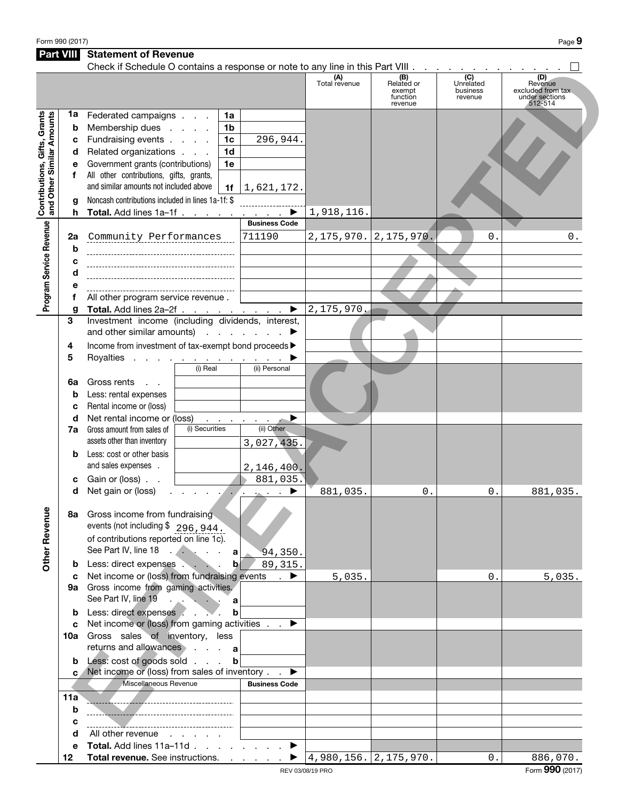Form 990 (2017) Page **9** 

## **Part VIII Statement of Revenue**

|                                                           |     | Check if Schedule O contains a response or note to any line in this Part VIII                                                                                                                   |                                |                                                    |                                         |                                                                   |
|-----------------------------------------------------------|-----|-------------------------------------------------------------------------------------------------------------------------------------------------------------------------------------------------|--------------------------------|----------------------------------------------------|-----------------------------------------|-------------------------------------------------------------------|
|                                                           |     |                                                                                                                                                                                                 | (A)<br>Total revenue           | (B)<br>Related or<br>exempt<br>function<br>revenue | (C)<br>Unrelated<br>business<br>revenue | (D)<br>Revenue<br>excluded from tax.<br>under sections<br>512-514 |
|                                                           | 1a  | Federated campaigns<br>1a                                                                                                                                                                       |                                |                                                    |                                         |                                                                   |
|                                                           | b   | Membership dues<br>1 <sub>b</sub>                                                                                                                                                               |                                |                                                    |                                         |                                                                   |
|                                                           | c   | 296,944.<br>Fundraising events<br>1 <sub>c</sub>                                                                                                                                                |                                |                                                    |                                         |                                                                   |
| Contributions, Gifts, Grants<br>and Other Similar Amounts | d   | Related organizations<br>1 <sub>d</sub>                                                                                                                                                         |                                |                                                    |                                         |                                                                   |
|                                                           | е   | Government grants (contributions)<br>1e                                                                                                                                                         |                                |                                                    |                                         |                                                                   |
|                                                           | f   | All other contributions, gifts, grants,                                                                                                                                                         |                                |                                                    |                                         |                                                                   |
|                                                           |     | and similar amounts not included above<br>1f<br>1,621,172.                                                                                                                                      |                                |                                                    |                                         |                                                                   |
|                                                           | a   | Noncash contributions included in lines 1a-1f: \$                                                                                                                                               |                                |                                                    |                                         |                                                                   |
|                                                           | h.  | Total. Add lines 1a-1f.                                                                                                                                                                         | 1,918,116.                     |                                                    |                                         |                                                                   |
|                                                           |     | <b>Business Code</b>                                                                                                                                                                            |                                |                                                    |                                         |                                                                   |
|                                                           | 2a  | 711190<br>Community Performances                                                                                                                                                                | $2, 175, 970.$ $ 2, 175, 970.$ |                                                    | 0.                                      | 0.                                                                |
|                                                           | b   |                                                                                                                                                                                                 |                                |                                                    |                                         |                                                                   |
| Program Service Revenue                                   | с   |                                                                                                                                                                                                 |                                |                                                    |                                         |                                                                   |
|                                                           | d   |                                                                                                                                                                                                 |                                |                                                    |                                         |                                                                   |
|                                                           | е   |                                                                                                                                                                                                 |                                |                                                    |                                         |                                                                   |
|                                                           | f   | All other program service revenue.                                                                                                                                                              |                                |                                                    |                                         |                                                                   |
|                                                           | g   | Total. Add lines $2a-2f$ $\blacktriangleright$                                                                                                                                                  | 2,175,970.                     |                                                    |                                         |                                                                   |
|                                                           | 3   | Investment income (including dividends, interest,                                                                                                                                               |                                |                                                    |                                         |                                                                   |
|                                                           |     | and other similar amounts) $\cdots$ $\cdots$                                                                                                                                                    |                                |                                                    |                                         |                                                                   |
|                                                           | 4   | Income from investment of tax-exempt bond proceeds $\blacktriangleright$                                                                                                                        |                                |                                                    |                                         |                                                                   |
|                                                           | 5   | Royalties D                                                                                                                                                                                     |                                |                                                    |                                         |                                                                   |
|                                                           |     | (i) Real<br>(ii) Personal                                                                                                                                                                       |                                |                                                    |                                         |                                                                   |
|                                                           | 6a  | Gross rents<br>$\sim$ $\sim$                                                                                                                                                                    |                                |                                                    |                                         |                                                                   |
|                                                           | b   | Less: rental expenses                                                                                                                                                                           |                                |                                                    |                                         |                                                                   |
|                                                           | C   | Rental income or (loss)                                                                                                                                                                         |                                |                                                    |                                         |                                                                   |
|                                                           | d   | Net rental income or (loss)<br>▶<br>the company of the company<br>(ii) Other<br>Gross amount from sales of<br>(i) Securities                                                                    |                                |                                                    |                                         |                                                                   |
|                                                           | 7a  | assets other than inventory<br>3,027,435.                                                                                                                                                       |                                |                                                    |                                         |                                                                   |
|                                                           | b   | Less: cost or other basis<br>and sales expenses.<br>2,146,400.                                                                                                                                  |                                |                                                    |                                         |                                                                   |
|                                                           | c   | Gain or (loss)<br>881,035.                                                                                                                                                                      |                                |                                                    |                                         |                                                                   |
|                                                           |     | d Net gain or (loss)<br>▶<br><b>Contract Contract</b>                                                                                                                                           | 881,035.                       | 0.                                                 | 0.                                      | 881,035.                                                          |
| Φ<br><b>Other Revent</b>                                  |     | 8a Gross income from fundraising<br>events (not including $$296,944.$<br>of contributions reported on line 1c).<br>$\mathbf{a}$<br>94,350.<br><b>b</b> Less: direct expenses<br> b <br>89, 315. |                                |                                                    |                                         |                                                                   |
|                                                           |     | c Net income or (loss) from fundraising events $\qquad \blacktriangleright$                                                                                                                     | 5,035.                         |                                                    | 0.                                      | 5,035.                                                            |
|                                                           |     | 9a Gross income from gaming activities.<br>See Part IV, line 19<br>- 17<br>a                                                                                                                    |                                |                                                    |                                         |                                                                   |
|                                                           |     | b Less: direct expenses<br>$\mathbf b$                                                                                                                                                          |                                |                                                    |                                         |                                                                   |
|                                                           |     | c Net income or (loss) from gaming activities                                                                                                                                                   |                                |                                                    |                                         |                                                                   |
|                                                           |     | 10a Gross sales of inventory, less<br>returns and allowances a                                                                                                                                  |                                |                                                    |                                         |                                                                   |
|                                                           | b   | Less: cost of goods sold<br>$\mathbf b$                                                                                                                                                         |                                |                                                    |                                         |                                                                   |
|                                                           |     | Net income or (loss) from sales of inventory<br>▶                                                                                                                                               |                                |                                                    |                                         |                                                                   |
|                                                           |     | Miscellaneous Revenue<br><b>Business Code</b>                                                                                                                                                   |                                |                                                    |                                         |                                                                   |
|                                                           | 11a |                                                                                                                                                                                                 |                                |                                                    |                                         |                                                                   |
|                                                           | b   |                                                                                                                                                                                                 |                                |                                                    |                                         |                                                                   |
|                                                           | с   |                                                                                                                                                                                                 |                                |                                                    |                                         |                                                                   |
|                                                           | d   | All other revenue                                                                                                                                                                               |                                |                                                    |                                         |                                                                   |
|                                                           | е   | <b>Total.</b> Add lines $11a-11d$<br>▶                                                                                                                                                          |                                |                                                    |                                         |                                                                   |
|                                                           | 12  | Total revenue. See instructions.<br>▶                                                                                                                                                           |                                | 4,980,156. 2,175,970.                              | 0.                                      | 886,070.                                                          |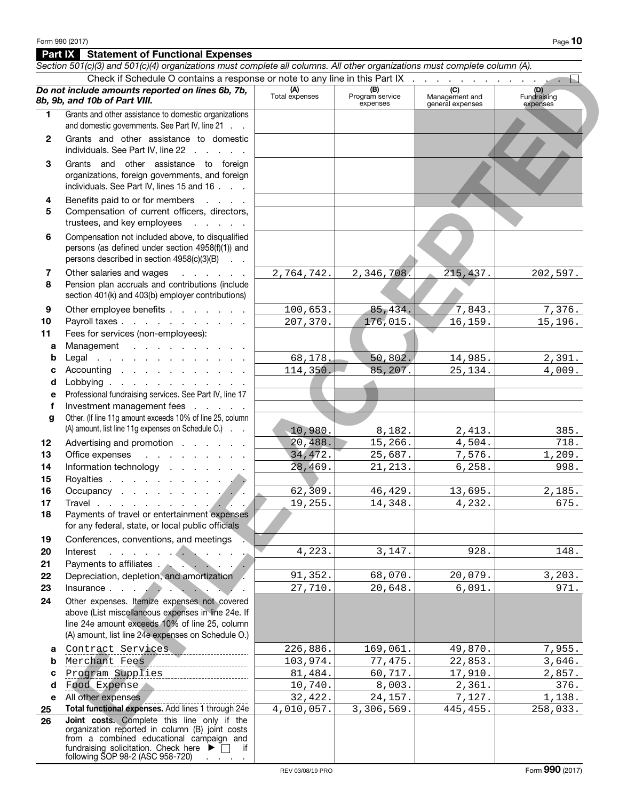# **Part IX Statement of Functional Expenses**

|                     | Section 501(c)(3) and 501(c)(4) organizations must complete all columns. All other organizations must complete column (A).                                                                                                                                                                                                                                                                                                                                                         |                       |                                    |                                    |                                |
|---------------------|------------------------------------------------------------------------------------------------------------------------------------------------------------------------------------------------------------------------------------------------------------------------------------------------------------------------------------------------------------------------------------------------------------------------------------------------------------------------------------|-----------------------|------------------------------------|------------------------------------|--------------------------------|
|                     | Check if Schedule O contains a response or note to any line in this Part IX<br>Do not include amounts reported on lines 6b, 7b,                                                                                                                                                                                                                                                                                                                                                    |                       |                                    | $\overline{C}$                     |                                |
|                     | 8b, 9b, and 10b of Part VIII.                                                                                                                                                                                                                                                                                                                                                                                                                                                      | (A)<br>Total expenses | (B)<br>Program service<br>expenses | Management and<br>general expenses | (D)<br>Fundraising<br>expenses |
| $\mathbf{1}$        | Grants and other assistance to domestic organizations<br>and domestic governments. See Part IV, line 21                                                                                                                                                                                                                                                                                                                                                                            |                       |                                    |                                    |                                |
| $\mathbf{2}$        | Grants and other assistance to domestic<br>individuals. See Part IV, line 22                                                                                                                                                                                                                                                                                                                                                                                                       |                       |                                    |                                    |                                |
| 3                   | Grants and other assistance to foreign<br>organizations, foreign governments, and foreign<br>individuals. See Part IV, lines 15 and 16                                                                                                                                                                                                                                                                                                                                             |                       |                                    |                                    |                                |
| 4<br>5              | Benefits paid to or for members<br>Compensation of current officers, directors,<br>trustees, and key employees<br><b>Contractor</b> Contractor                                                                                                                                                                                                                                                                                                                                     |                       |                                    |                                    |                                |
| 6                   | Compensation not included above, to disqualified<br>persons (as defined under section 4958(f)(1)) and<br>persons described in section 4958(c)(3)(B)<br>$\sim 100$ km s $^{-1}$                                                                                                                                                                                                                                                                                                     |                       |                                    |                                    |                                |
| $\overline{7}$<br>8 | Other salaries and wages<br>and the company of the second<br>Pension plan accruals and contributions (include<br>section 401(k) and 403(b) employer contributions)                                                                                                                                                                                                                                                                                                                 | 2,764,742.            | 2,346,708.                         | 215, 437.                          | 202,597.                       |
| 9                   | Other employee benefits                                                                                                                                                                                                                                                                                                                                                                                                                                                            | 100,653.              | 85,434.                            | 7,843.                             | 7,376.                         |
| 10                  | Payroll taxes                                                                                                                                                                                                                                                                                                                                                                                                                                                                      | 207,370.              | 176,015.                           | 16,159.                            | 15,196.                        |
| 11                  | Fees for services (non-employees):                                                                                                                                                                                                                                                                                                                                                                                                                                                 |                       |                                    |                                    |                                |
| a                   | Management                                                                                                                                                                                                                                                                                                                                                                                                                                                                         |                       |                                    |                                    |                                |
| b<br>c              | Legal<br>Accounting                                                                                                                                                                                                                                                                                                                                                                                                                                                                | 68,178.<br>114,350.   | 50,802.<br>85,207.                 | 14,985.<br>25, 134.                | 2,391.<br>4,009.               |
| d                   | Lobbying                                                                                                                                                                                                                                                                                                                                                                                                                                                                           |                       |                                    |                                    |                                |
| е                   | Professional fundraising services. See Part IV, line 17                                                                                                                                                                                                                                                                                                                                                                                                                            |                       |                                    |                                    |                                |
| f                   | Investment management fees                                                                                                                                                                                                                                                                                                                                                                                                                                                         |                       |                                    |                                    |                                |
| g                   | Other. (If line 11g amount exceeds 10% of line 25, column                                                                                                                                                                                                                                                                                                                                                                                                                          |                       |                                    |                                    |                                |
|                     | (A) amount, list line 11g expenses on Schedule O.)                                                                                                                                                                                                                                                                                                                                                                                                                                 | 10,980.               | 8,182.                             | 2,413.                             | 385.                           |
| 12 <sup>12</sup>    | Advertising and promotion                                                                                                                                                                                                                                                                                                                                                                                                                                                          | 20,488.               | 15,266.                            | 4,504.                             | 718.                           |
| 13                  | Office expenses                                                                                                                                                                                                                                                                                                                                                                                                                                                                    | 34,472.               | 25,687.                            | 7,576.                             | 1,209.                         |
| 14                  | Information technology                                                                                                                                                                                                                                                                                                                                                                                                                                                             | 28,469.               | 21, 213.                           | 6, 258.                            | 998.                           |
| 15                  | Royalties                                                                                                                                                                                                                                                                                                                                                                                                                                                                          |                       |                                    |                                    |                                |
| 16<br>17            |                                                                                                                                                                                                                                                                                                                                                                                                                                                                                    | 62,309.<br>19,255.    | 46,429.<br>14,348.                 | 13,695.<br>4,232.                  | 2,185.<br>675.                 |
| 18                  | Payments of travel or entertainment expenses<br>for any federal, state, or local public officials                                                                                                                                                                                                                                                                                                                                                                                  |                       |                                    |                                    |                                |
| 19                  | Conferences, conventions, and meetings                                                                                                                                                                                                                                                                                                                                                                                                                                             |                       |                                    |                                    |                                |
| 20<br>21            | <u>and a strong of the strong of the strong of the strong of the strong of the strong of the strong of the strong of the strong of the strong of the strong of the strong of the strong of the strong of the strong of the stron</u><br>Interest<br>Payments to affiliates . A series and the series of the series of the series of the series of the series of the series of the series of the series of the series of the series of the series of the series of the series of th | 4,223.                | 3,147.                             | 928.                               | 148.                           |
| 22                  | Depreciation, depletion, and amortization                                                                                                                                                                                                                                                                                                                                                                                                                                          | 91,352.               | 68,070.                            | 20,079.                            | 3,203.                         |
| 23                  |                                                                                                                                                                                                                                                                                                                                                                                                                                                                                    | 27,710.               | 20,648.                            | 6,091.                             | 971.                           |
| 24                  | Other expenses. Itemize expenses not covered<br>above (List miscellaneous expenses in line 24e. If<br>line 24e amount exceeds 10% of line 25, column                                                                                                                                                                                                                                                                                                                               |                       |                                    |                                    |                                |
|                     | (A) amount, list line 24e expenses on Schedule O.)                                                                                                                                                                                                                                                                                                                                                                                                                                 |                       |                                    |                                    |                                |
| a                   | Contract Services                                                                                                                                                                                                                                                                                                                                                                                                                                                                  | 226,886.              | 169,061.                           | 49,870.                            | 7,955.                         |
| b                   | Merchant Fees                                                                                                                                                                                                                                                                                                                                                                                                                                                                      | 103,974.              | 77,475.                            | 22,853.                            | 3,646.                         |
| c                   | Program Supplies                                                                                                                                                                                                                                                                                                                                                                                                                                                                   | 81,484.               | 60,717.                            | 17,910.                            | 2,857.                         |
| d                   | Food Expense                                                                                                                                                                                                                                                                                                                                                                                                                                                                       | 10,740.               | 8,003.                             | 2,361.                             | 376.                           |
| е                   | All other expenses                                                                                                                                                                                                                                                                                                                                                                                                                                                                 | 32,422.               | 24, 157.                           | 7,127.                             | 1,138.                         |
| 25                  | Total functional expenses. Add lines 1 through 24e<br>Joint costs. Complete this line only if the                                                                                                                                                                                                                                                                                                                                                                                  | 4,010,057.            | 3,306,569.                         | 445, 455.                          | 258,033.                       |
| 26                  | organization reported in column (B) joint costs<br>from a combined educational campaign and<br>fundraising solicitation. Check here $\blacktriangleright \Box$<br>if<br>following SOP 98-2 (ASC 958-720)                                                                                                                                                                                                                                                                           |                       |                                    |                                    |                                |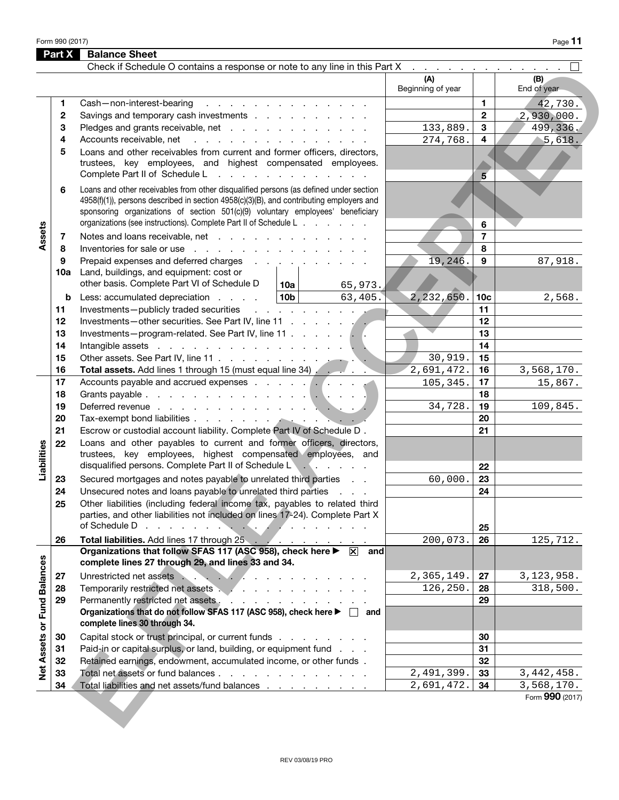Form 990 (2017) Page **11** 

|                             | <b>Part X</b> | <b>Balance Sheet</b>                                                                                                                                                                                                                                               |                          |                 |                    |
|-----------------------------|---------------|--------------------------------------------------------------------------------------------------------------------------------------------------------------------------------------------------------------------------------------------------------------------|--------------------------|-----------------|--------------------|
|                             |               | Check if Schedule O contains a response or note to any line in this Part X                                                                                                                                                                                         |                          |                 |                    |
|                             |               |                                                                                                                                                                                                                                                                    | (A)<br>Beginning of year |                 | (B)<br>End of year |
|                             | 1             | Cash-non-interest-bearing<br>and the contract of the contract of the contract of                                                                                                                                                                                   |                          | 1               | 42,730.            |
|                             | 2             | Savings and temporary cash investments                                                                                                                                                                                                                             |                          | $\overline{2}$  | 2,930,000.         |
|                             | 3             | Pledges and grants receivable, net                                                                                                                                                                                                                                 | 133,889.                 | 3               | 499,336.           |
|                             | 4             | Accounts receivable, net                                                                                                                                                                                                                                           | 274,768.                 | 4               | 5,618.             |
|                             | 5             | Loans and other receivables from current and former officers, directors,<br>trustees, key employees, and highest compensated employees.<br>Complete Part II of Schedule L                                                                                          |                          |                 |                    |
|                             |               |                                                                                                                                                                                                                                                                    |                          | 5               |                    |
|                             | 6             | Loans and other receivables from other disqualified persons (as defined under section<br>4958(f)(1)), persons described in section 4958(c)(3)(B), and contributing employers and<br>sponsoring organizations of section 501(c)(9) voluntary employees' beneficiary |                          |                 |                    |
|                             |               | organizations (see instructions). Complete Part II of Schedule L                                                                                                                                                                                                   |                          | 6               |                    |
| Assets                      | 7             | Notes and loans receivable, net                                                                                                                                                                                                                                    |                          | $\overline{7}$  |                    |
|                             | 8             | Inventories for sale or use $\cdots$ , $\cdots$ , $\cdots$ , $\cdots$ , $\cdots$ , $\cdots$                                                                                                                                                                        |                          | 8               |                    |
|                             | 9             | Prepaid expenses and deferred charges                                                                                                                                                                                                                              | 19,246.                  | 9               | 87,918.            |
|                             | 10a           | Land, buildings, and equipment: cost or<br>other basis. Complete Part VI of Schedule D<br>10a l<br>65,973.                                                                                                                                                         |                          |                 |                    |
|                             | b             | 10 <sub>b</sub>  <br>63,405.<br>Less: accumulated depreciation                                                                                                                                                                                                     | 2, 232, 650.             | 10 <sub>c</sub> | 2,568.             |
|                             | 11            | Investments-publicly traded securities<br>and the contract of the contract of the                                                                                                                                                                                  |                          | 11              |                    |
|                             | 12            | Investments-other securities. See Part IV, line 11                                                                                                                                                                                                                 |                          | 12              |                    |
|                             | 13            | Investments-program-related. See Part IV, line 11                                                                                                                                                                                                                  |                          | 13              |                    |
|                             | 14            |                                                                                                                                                                                                                                                                    |                          | 14              |                    |
|                             | 15            | G.                                                                                                                                                                                                                                                                 | 30,919.                  | 15              |                    |
|                             | 16            | Total assets. Add lines 1 through 15 (must equal line 34)                                                                                                                                                                                                          | 2,691,472.               | 16              | 3,568,170.         |
|                             | 17            |                                                                                                                                                                                                                                                                    | 105,345.                 | 17              | 15,867.            |
|                             | 18            |                                                                                                                                                                                                                                                                    |                          | 18              |                    |
|                             | 19            |                                                                                                                                                                                                                                                                    | 34,728.                  | 19              | 109,845.           |
|                             | 20            | Tax-exempt bond liabilities                                                                                                                                                                                                                                        |                          | 20              |                    |
|                             | 21            | Escrow or custodial account liability. Complete Part IV of Schedule D.                                                                                                                                                                                             |                          | 21              |                    |
|                             | 22            | Loans and other payables to current and former officers, directors,<br>trustees, key employees, highest compensated employees, and                                                                                                                                 |                          |                 |                    |
|                             |               | disqualified persons. Complete Part II of Schedule Lewissimple and sub-                                                                                                                                                                                            |                          | 22              |                    |
| Liabilities                 | 23            | Secured mortgages and notes payable to unrelated third parties                                                                                                                                                                                                     |                          | 23              |                    |
|                             | 24            | Unsecured notes and loans payable to unrelated third parties                                                                                                                                                                                                       | 60,000.                  | 24              |                    |
|                             |               | Other liabilities (including federal income tax, payables to related third                                                                                                                                                                                         |                          |                 |                    |
|                             | 25            | parties, and other liabilities not included on lines 17-24). Complete Part X                                                                                                                                                                                       |                          |                 |                    |
|                             |               | of Schedule D                                                                                                                                                                                                                                                      |                          | 25              |                    |
|                             | 26            | Total liabilities. Add lines 17 through 25                                                                                                                                                                                                                         | 200,073.                 | 26              | 125,712.           |
|                             |               | Organizations that follow SFAS 117 (ASC 958), check here $\triangleright \; \overline{\times} \;$ and<br>complete lines 27 through 29, and lines 33 and 34.                                                                                                        |                          |                 |                    |
| Net Assets or Fund Balances | 27            |                                                                                                                                                                                                                                                                    | 2,365,149.               | 27              | 3, 123, 958.       |
|                             | 28            | Temporarily restricted net assets                                                                                                                                                                                                                                  | 126, 250.                | 28              | 318,500.           |
|                             | 29            | Permanently restricted net assets.                                                                                                                                                                                                                                 |                          | 29              |                    |
|                             |               | Organizations that do not follow SFAS 117 (ASC 958), check here ▶ □ and<br>complete lines 30 through 34.                                                                                                                                                           |                          |                 |                    |
|                             | 30            | Capital stock or trust principal, or current funds                                                                                                                                                                                                                 |                          | 30              |                    |
|                             | 31            | Paid-in or capital surplus, or land, building, or equipment fund                                                                                                                                                                                                   |                          | 31              |                    |
|                             | 32            | Retained earnings, endowment, accumulated income, or other funds.                                                                                                                                                                                                  |                          | 32              |                    |
|                             | 33            | Total net assets or fund balances                                                                                                                                                                                                                                  | 2,491,399.               | 33              | 3,442,458.         |
|                             |               | Total liabilities and net assets/fund balances                                                                                                                                                                                                                     | 2,691,472.               | 34              | 3,568,170.         |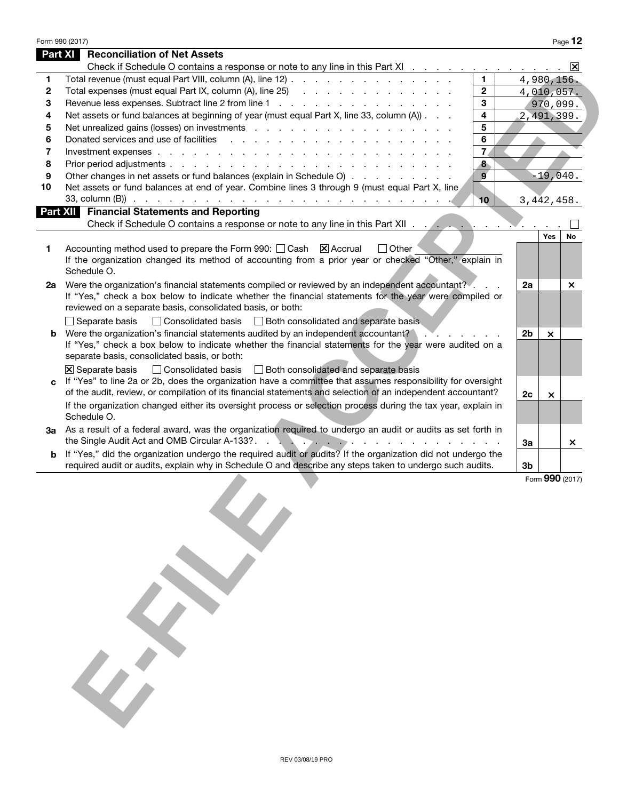|    | Form 990 (2017)                                                                                                                                                                                                                |                |    | Page 12               |
|----|--------------------------------------------------------------------------------------------------------------------------------------------------------------------------------------------------------------------------------|----------------|----|-----------------------|
|    | <b>Part XI</b> Reconciliation of Net Assets                                                                                                                                                                                    |                |    |                       |
|    | Check if Schedule O contains a response or note to any line in this Part XI                                                                                                                                                    |                |    | $\mathbf{\times}$     |
| 1  | Total revenue (must equal Part VIII, column (A), line 12)                                                                                                                                                                      | $\blacksquare$ |    | 4,980,156.            |
| 2  | Total expenses (must equal Part IX, column (A), line 25)                                                                                                                                                                       | $\mathbf{2}$   |    | 4,010,057.            |
| 3  |                                                                                                                                                                                                                                | 3              |    | 970,099.              |
| 4  | Net assets or fund balances at beginning of year (must equal Part X, line 33, column (A))                                                                                                                                      | 4              |    | 2,491,399.            |
| 5  |                                                                                                                                                                                                                                | 5              |    |                       |
| 6  | Donated services and use of facilities<br>the contract of the contract of the contract of the contract of the contract of the contract of the contract of                                                                      | 6              |    |                       |
| 7  |                                                                                                                                                                                                                                | $\overline{7}$ |    |                       |
| 8  |                                                                                                                                                                                                                                | 8              |    |                       |
| 9  | Other changes in net assets or fund balances (explain in Schedule O)                                                                                                                                                           | $\overline{9}$ |    | $-19,040.$            |
| 10 | Net assets or fund balances at end of year. Combine lines 3 through 9 (must equal Part X, line                                                                                                                                 |                |    |                       |
|    | 33, column (B)) $\ldots$ $\ldots$ $\ldots$ $\ldots$ $\ldots$ $\ldots$ $\ldots$ $\ldots$ $\ldots$ $\ldots$ $\ldots$ $\ldots$                                                                                                    | 10             |    | 3,442,458.            |
|    | <b>Financial Statements and Reporting</b><br><b>Part XII</b>                                                                                                                                                                   |                |    |                       |
|    | Check if Schedule O contains a response or note to any line in this Part XII and the set of the set of the set of the set of the set of the set of the set of the set of the set of the set of the set of the set of the set o |                |    |                       |
|    |                                                                                                                                                                                                                                |                |    | Yes<br>No             |
| 1  | Accounting method used to prepare the Form 990: $\Box$ Cash $\Box$ Accrual<br>$\Box$ Other                                                                                                                                     |                |    |                       |
|    | If the organization changed its method of accounting from a prior year or checked "Other," explain in<br>Schedule O.                                                                                                           |                |    |                       |
| 2a | Were the organization's financial statements compiled or reviewed by an independent accountant? $\ldots$                                                                                                                       |                | 2a | $\times$              |
|    | If "Yes," check a box below to indicate whether the financial statements for the year were compiled or                                                                                                                         |                |    |                       |
|    | reviewed on a separate basis, consolidated basis, or both:                                                                                                                                                                     |                |    |                       |
|    | □ Consolidated basis □ Both consolidated and separate basis<br>□ Separate basis                                                                                                                                                |                |    |                       |
| b  | Were the organization's financial statements audited by an independent accountant?<br>and the state of the state of the                                                                                                        |                | 2b | $\times$              |
|    | If "Yes," check a box below to indicate whether the financial statements for the year were audited on a                                                                                                                        |                |    |                       |
|    | separate basis, consolidated basis, or both:                                                                                                                                                                                   |                |    |                       |
|    | □ Consolidated basis □ Both consolidated and separate basis<br>$\overline{X}$ Separate basis                                                                                                                                   |                |    |                       |
|    | If "Yes" to line 2a or 2b, does the organization have a committee that assumes responsibility for oversight                                                                                                                    |                |    |                       |
| C  | of the audit, review, or compilation of its financial statements and selection of an independent accountant?                                                                                                                   |                |    |                       |
|    |                                                                                                                                                                                                                                |                | 2c | $\boldsymbol{\times}$ |
|    | If the organization changed either its oversight process or selection process during the tax year, explain in<br>Schedule O.                                                                                                   |                |    |                       |
|    |                                                                                                                                                                                                                                |                |    |                       |
| За | As a result of a federal award, was the organization required to undergo an audit or audits as set forth in                                                                                                                    |                |    |                       |
|    | the Single Audit Act and OMB Circular A-133?                                                                                                                                                                                   |                | За | ×.                    |
| b  | If "Yes," did the organization undergo the required audit or audits? If the organization did not undergo the                                                                                                                   |                |    |                       |
|    | required audit or audits, explain why in Schedule O and describe any steps taken to undergo such audits.                                                                                                                       |                | 3b |                       |
|    |                                                                                                                                                                                                                                |                |    | Form 990 (2017)       |
|    |                                                                                                                                                                                                                                |                |    |                       |
|    |                                                                                                                                                                                                                                |                |    |                       |
|    |                                                                                                                                                                                                                                |                |    |                       |
|    |                                                                                                                                                                                                                                |                |    |                       |
|    |                                                                                                                                                                                                                                |                |    |                       |
|    |                                                                                                                                                                                                                                |                |    |                       |
|    |                                                                                                                                                                                                                                |                |    |                       |
|    |                                                                                                                                                                                                                                |                |    |                       |
|    |                                                                                                                                                                                                                                |                |    |                       |
|    |                                                                                                                                                                                                                                |                |    |                       |
|    |                                                                                                                                                                                                                                |                |    |                       |
|    |                                                                                                                                                                                                                                |                |    |                       |
|    |                                                                                                                                                                                                                                |                |    |                       |
|    |                                                                                                                                                                                                                                |                |    |                       |
|    |                                                                                                                                                                                                                                |                |    |                       |
|    |                                                                                                                                                                                                                                |                |    |                       |
|    |                                                                                                                                                                                                                                |                |    |                       |
|    |                                                                                                                                                                                                                                |                |    |                       |
|    |                                                                                                                                                                                                                                |                |    |                       |
|    |                                                                                                                                                                                                                                |                |    |                       |
|    |                                                                                                                                                                                                                                |                |    |                       |
|    |                                                                                                                                                                                                                                |                |    |                       |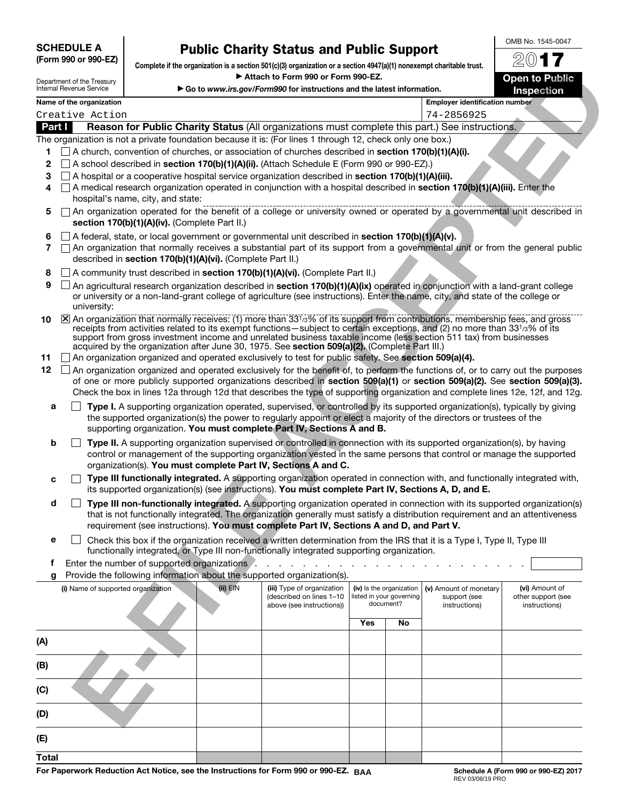| <b>SCHEDULE A</b> |                      |
|-------------------|----------------------|
|                   | (Form 990 or 990-EZ) |

## **Public Charity Status and Public Support**

**Complete if the organization is a section 501(c)(3) organization or a section 4947(a)(1) nonexempt charitable trust.** a **Attach to Form 990 or Form 990-EZ.** 

**(E) Total**

| Go to www.irs.gov/Form990 for instructions and the latest information. |  |
|------------------------------------------------------------------------|--|
|------------------------------------------------------------------------|--|

20**17 Open to Public Inspection**

OMB No. 1545-0047

|  | Name of the organization |  |
|--|--------------------------|--|
|  |                          |  |

|                 |                                    |                                                            |          | Complete if the organization is a section 501(c)(3) organization or a section 4947(a)(1) nonexempt charitable trust.                                                                                                                                                                                                                                                                                                                                                             |     |                                                                   |                                                         | 4 U M                                                 |
|-----------------|------------------------------------|------------------------------------------------------------|----------|----------------------------------------------------------------------------------------------------------------------------------------------------------------------------------------------------------------------------------------------------------------------------------------------------------------------------------------------------------------------------------------------------------------------------------------------------------------------------------|-----|-------------------------------------------------------------------|---------------------------------------------------------|-------------------------------------------------------|
|                 | Department of the Treasury         |                                                            |          | Attach to Form 990 or Form 990-EZ.                                                                                                                                                                                                                                                                                                                                                                                                                                               |     |                                                                   |                                                         | <b>Open to Public</b>                                 |
|                 | Internal Revenue Service           |                                                            |          | Go to www.irs.gov/Form990 for instructions and the latest information.                                                                                                                                                                                                                                                                                                                                                                                                           |     |                                                                   |                                                         | Inspection                                            |
|                 | Name of the organization           |                                                            |          |                                                                                                                                                                                                                                                                                                                                                                                                                                                                                  |     |                                                                   | <b>Employer identification number</b>                   |                                                       |
| Part I          | Creative Action                    |                                                            |          | Reason for Public Charity Status (All organizations must complete this part.) See instructions.                                                                                                                                                                                                                                                                                                                                                                                  |     |                                                                   | 74-2856925                                              |                                                       |
|                 |                                    |                                                            |          | The organization is not a private foundation because it is: (For lines 1 through 12, check only one box.)                                                                                                                                                                                                                                                                                                                                                                        |     |                                                                   |                                                         |                                                       |
| 1               |                                    |                                                            |          | $\Box$ A church, convention of churches, or association of churches described in <b>section 170(b)(1)(A)(i).</b>                                                                                                                                                                                                                                                                                                                                                                 |     |                                                                   |                                                         |                                                       |
| 2               |                                    |                                                            |          | $\Box$ A school described in <b>section 170(b)(1)(A)(ii).</b> (Attach Schedule E (Form 990 or 990-EZ).)                                                                                                                                                                                                                                                                                                                                                                          |     |                                                                   |                                                         |                                                       |
| 3               |                                    |                                                            |          | $\Box$ A hospital or a cooperative hospital service organization described in <b>section 170(b)(1)(A)(iii).</b>                                                                                                                                                                                                                                                                                                                                                                  |     |                                                                   |                                                         |                                                       |
| 4               |                                    | hospital's name, city, and state:                          |          | □ A medical research organization operated in conjunction with a hospital described in section 170(b)(1)(A)(iii). Enter the                                                                                                                                                                                                                                                                                                                                                      |     |                                                                   |                                                         |                                                       |
| 5               |                                    | section 170(b)(1)(A)(iv). (Complete Part II.)              |          | An organization operated for the benefit of a college or university owned or operated by a governmental unit described in                                                                                                                                                                                                                                                                                                                                                        |     |                                                                   |                                                         |                                                       |
| 6<br>7          |                                    | described in section 170(b)(1)(A)(vi). (Complete Part II.) |          | $\Box$ A federal, state, or local government or governmental unit described in section 170(b)(1)(A)(v).<br>$\Box$ An organization that normally receives a substantial part of its support from a governmental unit or from the general public                                                                                                                                                                                                                                   |     |                                                                   |                                                         |                                                       |
| 8               |                                    |                                                            |          | $\Box$ A community trust described in section 170(b)(1)(A)(vi). (Complete Part II.)                                                                                                                                                                                                                                                                                                                                                                                              |     |                                                                   |                                                         |                                                       |
| 9               | university:                        |                                                            |          | $\Box$ An agricultural research organization described in section 170(b)(1)(A)(ix) operated in conjunction with a land-grant college<br>or university or a non-land-grant college of agriculture (see instructions). Enter the name, city, and state of the college or                                                                                                                                                                                                           |     |                                                                   |                                                         |                                                       |
| 10              |                                    |                                                            |          | X An organization that normally receives: (1) more than 331/3% of its support from contributions, membership fees, and gross<br>receipts from activities related to its exempt functions—subject to certain exceptions, and (2) no more than 331/3% of its<br>support from gross investment income and unrelated business taxable income (less section 511 tax) from businesses<br>acquired by the organization after June 30, 1975. See section 509(a)(2). (Complete Part III.) |     |                                                                   |                                                         |                                                       |
| 11              |                                    |                                                            |          | $\Box$ An organization organized and operated exclusively to test for public safety. See section 509(a)(4).                                                                                                                                                                                                                                                                                                                                                                      |     |                                                                   |                                                         |                                                       |
| 12 <sup>°</sup> |                                    |                                                            |          | $\Box$ An organization organized and operated exclusively for the benefit of, to perform the functions of, or to carry out the purposes                                                                                                                                                                                                                                                                                                                                          |     |                                                                   |                                                         |                                                       |
|                 |                                    |                                                            |          | of one or more publicly supported organizations described in section 509(a)(1) or section 509(a)(2). See section 509(a)(3).<br>Check the box in lines 12a through 12d that describes the type of supporting organization and complete lines 12e, 12f, and 12g.                                                                                                                                                                                                                   |     |                                                                   |                                                         |                                                       |
|                 |                                    |                                                            |          |                                                                                                                                                                                                                                                                                                                                                                                                                                                                                  |     |                                                                   |                                                         |                                                       |
| a               |                                    |                                                            |          | Type I. A supporting organization operated, supervised, or controlled by its supported organization(s), typically by giving<br>the supported organization(s) the power to regularly appoint or elect a majority of the directors or trustees of the<br>supporting organization. You must complete Part IV, Sections A and B.                                                                                                                                                     |     |                                                                   |                                                         |                                                       |
| b               |                                    |                                                            |          | Type II. A supporting organization supervised or controlled in connection with its supported organization(s), by having<br>control or management of the supporting organization vested in the same persons that control or manage the supported<br>organization(s). You must complete Part IV, Sections A and C.                                                                                                                                                                 |     |                                                                   |                                                         |                                                       |
| c               |                                    |                                                            |          | Type III functionally integrated. A supporting organization operated in connection with, and functionally integrated with,<br>its supported organization(s) (see instructions). You must complete Part IV, Sections A, D, and E.                                                                                                                                                                                                                                                 |     |                                                                   |                                                         |                                                       |
| d               |                                    |                                                            |          | Type III non-functionally integrated. A supporting organization operated in connection with its supported organization(s)<br>that is not functionally integrated. The organization generally must satisfy a distribution requirement and an attentiveness<br>requirement (see instructions). You must complete Part IV, Sections A and D, and Part V.                                                                                                                            |     |                                                                   |                                                         |                                                       |
| е               |                                    |                                                            |          | Check this box if the organization received a written determination from the IRS that it is a Type I, Type II, Type III<br>functionally integrated, or Type III non-functionally integrated supporting organization.                                                                                                                                                                                                                                                             |     |                                                                   |                                                         |                                                       |
| Ť               |                                    | Enter the number of supported organizations.               |          | and the contract of the contract of the contract of                                                                                                                                                                                                                                                                                                                                                                                                                              |     |                                                                   |                                                         |                                                       |
| g               |                                    |                                                            |          | Provide the following information about the supported organization(s).                                                                                                                                                                                                                                                                                                                                                                                                           |     |                                                                   |                                                         |                                                       |
|                 | (i) Name of supported organization |                                                            | (ii) EIN | (iii) Type of organization<br>(described on lines 1-10<br>above (see instructions))                                                                                                                                                                                                                                                                                                                                                                                              |     | (iv) Is the organization<br>listed in your governing<br>document? | (v) Amount of monetary<br>support (see<br>instructions) | (vi) Amount of<br>other support (see<br>instructions) |
|                 |                                    |                                                            |          |                                                                                                                                                                                                                                                                                                                                                                                                                                                                                  | Yes | No                                                                |                                                         |                                                       |
| (A)             |                                    |                                                            |          |                                                                                                                                                                                                                                                                                                                                                                                                                                                                                  |     |                                                                   |                                                         |                                                       |
| (B)             |                                    |                                                            |          |                                                                                                                                                                                                                                                                                                                                                                                                                                                                                  |     |                                                                   |                                                         |                                                       |
| (C)             |                                    |                                                            |          |                                                                                                                                                                                                                                                                                                                                                                                                                                                                                  |     |                                                                   |                                                         |                                                       |
| (D)             |                                    |                                                            |          |                                                                                                                                                                                                                                                                                                                                                                                                                                                                                  |     |                                                                   |                                                         |                                                       |
|                 |                                    |                                                            |          |                                                                                                                                                                                                                                                                                                                                                                                                                                                                                  |     |                                                                   |                                                         |                                                       |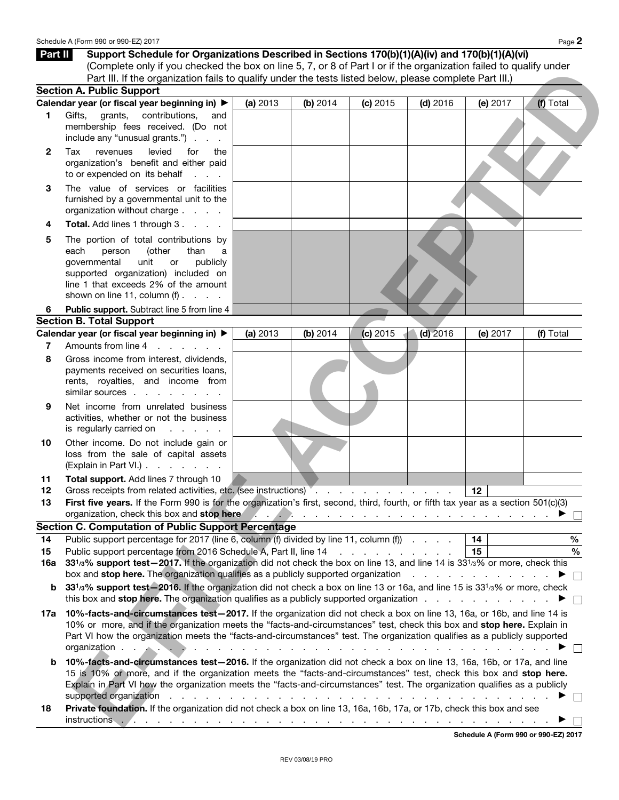| Part II        | Support Schedule for Organizations Described in Sections 170(b)(1)(A)(iv) and 170(b)(1)(A)(vi)                                                                                                                                                                                                                                                                                     |          |            |            |            |          |               |
|----------------|------------------------------------------------------------------------------------------------------------------------------------------------------------------------------------------------------------------------------------------------------------------------------------------------------------------------------------------------------------------------------------|----------|------------|------------|------------|----------|---------------|
|                | (Complete only if you checked the box on line 5, 7, or 8 of Part I or if the organization failed to qualify under                                                                                                                                                                                                                                                                  |          |            |            |            |          |               |
|                | Part III. If the organization fails to qualify under the tests listed below, please complete Part III.)                                                                                                                                                                                                                                                                            |          |            |            |            |          |               |
|                | <b>Section A. Public Support</b>                                                                                                                                                                                                                                                                                                                                                   |          |            |            |            |          |               |
|                | Calendar year (or fiscal year beginning in) ▶                                                                                                                                                                                                                                                                                                                                      | (a) 2013 | (b) 2014   | $(c)$ 2015 | $(d)$ 2016 | (e) 2017 | (f) Total     |
| 1              | contributions,<br>Gifts, grants,<br>and<br>membership fees received. (Do not<br>include any "unusual grants.")                                                                                                                                                                                                                                                                     |          |            |            |            |          |               |
| $\mathbf{2}$   | levied<br>revenues<br>Tax<br>for<br>the<br>organization's benefit and either paid<br>to or expended on its behalf<br><b>Contractor</b>                                                                                                                                                                                                                                             |          |            |            |            |          |               |
| 3              | The value of services or facilities<br>furnished by a governmental unit to the<br>organization without charge                                                                                                                                                                                                                                                                      |          |            |            |            |          |               |
| 4              | Total. Add lines 1 through 3.                                                                                                                                                                                                                                                                                                                                                      |          |            |            |            |          |               |
| 5              | The portion of total contributions by<br>each<br>(other<br>than<br>person<br>a<br>governmental<br>unit<br>publicly<br>or<br>supported organization) included on<br>line 1 that exceeds 2% of the amount<br>shown on line 11, column $(f)$ .                                                                                                                                        |          |            |            |            |          |               |
| 6              | Public support. Subtract line 5 from line 4                                                                                                                                                                                                                                                                                                                                        |          |            |            |            |          |               |
|                | <b>Section B. Total Support</b>                                                                                                                                                                                                                                                                                                                                                    |          |            |            |            |          |               |
|                | Calendar year (or fiscal year beginning in) ▶                                                                                                                                                                                                                                                                                                                                      | (a) 2013 | (b) $2014$ | (c) 2015   | $(d)$ 2016 | (e) 2017 | (f) Total     |
| 7              | Amounts from line 4<br>and a state of the state                                                                                                                                                                                                                                                                                                                                    |          |            |            |            |          |               |
| 8              | Gross income from interest, dividends,<br>payments received on securities loans,<br>rents, royalties, and income from<br>similar sources                                                                                                                                                                                                                                           |          |            |            |            |          |               |
| 9              | Net income from unrelated business<br>activities, whether or not the business<br>is regularly carried on<br>contractor and a                                                                                                                                                                                                                                                       |          |            |            |            |          |               |
| 10             | Other income. Do not include gain or<br>loss from the sale of capital assets<br>(Explain in Part VI.)                                                                                                                                                                                                                                                                              |          |            |            |            |          |               |
| 11<br>12<br>13 | Total support. Add lines 7 through 10<br>Gross receipts from related activities, etc. (see instructions)<br><b>First five years.</b> If the Form 990 is for the organization's first, second, third, fourth, or fifth tax year as a section 501(c)(3)                                                                                                                              |          |            |            |            | 12       |               |
|                | organization, check this box and stop here $\sqrt{1+\frac{1}{2}}$ . The state of the state of the state of the state of $\blacksquare$                                                                                                                                                                                                                                             |          |            |            |            |          |               |
|                | <b>Section C. Computation of Public Support Percentage</b>                                                                                                                                                                                                                                                                                                                         |          |            |            |            |          |               |
| 14             | Public support percentage for 2017 (line 6, column (f) divided by line 11, column (f)                                                                                                                                                                                                                                                                                              |          |            |            |            | 14       | $\%$          |
| 15<br>16a      | Public support percentage from 2016 Schedule A, Part II, line 14<br>331/3% support test-2017. If the organization did not check the box on line 13, and line 14 is 331/3% or more, check this<br>box and stop here. The organization qualifies as a publicly supported organization $\ldots$ , $\ldots$ , $\ldots$                                                                 |          |            |            |            | 15       | $\frac{0}{0}$ |
| b              | 33 <sup>1</sup> /3% support test-2016. If the organization did not check a box on line 13 or 16a, and line 15 is 33 <sup>1</sup> /3% or more, check<br>this box and <b>stop here.</b> The organization qualifies as a publicly supported organization $\cdots$ $\cdots$ $\cdots$                                                                                                   |          |            |            |            |          |               |
|                | 17a 10%-facts-and-circumstances test-2017. If the organization did not check a box on line 13, 16a, or 16b, and line 14 is<br>10% or more, and if the organization meets the "facts-and-circumstances" test, check this box and stop here. Explain in<br>Part VI how the organization meets the "facts-and-circumstances" test. The organization qualifies as a publicly supported |          |            |            |            |          |               |
| b              | 10%-facts-and-circumstances test-2016. If the organization did not check a box on line 13, 16a, 16b, or 17a, and line<br>15 is 10% or more, and if the organization meets the "facts-and-circumstances" test, check this box and stop here.<br>Explain in Part VI how the organization meets the "facts-and-circumstances" test. The organization qualifies as a publicly          |          |            |            |            |          |               |
| 18             | Private foundation. If the organization did not check a box on line 13, 16a, 16b, 17a, or 17b, check this box and see                                                                                                                                                                                                                                                              |          |            |            |            |          |               |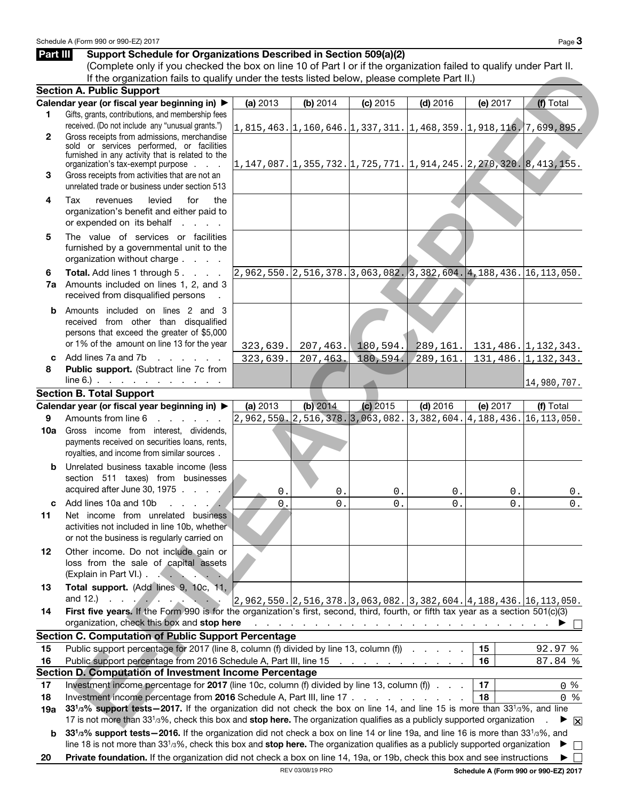### **Part III** Support Schedule for Organizations Described in Section 509(a)(2)

(Complete only if you checked the box on line 10 of Part I or if the organization failed to qualify under Part II. If the organization fails to qualify under the tests listed below, please complete Part II.)

|              | (Complete only if you checked the box on line 10 of Part I or if the organization failed to qualify under Part II.<br>If the organization fails to qualify under the tests listed below, please complete Part II.)                                                                                                      |                      |            |          |                                                                                                       |          |                                                                                                                                         |
|--------------|-------------------------------------------------------------------------------------------------------------------------------------------------------------------------------------------------------------------------------------------------------------------------------------------------------------------------|----------------------|------------|----------|-------------------------------------------------------------------------------------------------------|----------|-----------------------------------------------------------------------------------------------------------------------------------------|
|              | <b>Section A. Public Support</b>                                                                                                                                                                                                                                                                                        |                      |            |          |                                                                                                       |          |                                                                                                                                         |
|              | Calendar year (or fiscal year beginning in) ▶                                                                                                                                                                                                                                                                           | (a) 2013             | (b) 2014   | (c) 2015 | $(d)$ 2016                                                                                            | (e) 2017 | (f) Total                                                                                                                               |
| 1.           | Gifts, grants, contributions, and membership fees<br>received. (Do not include any "unusual grants.")                                                                                                                                                                                                                   |                      |            |          |                                                                                                       |          | 1,815,463. 1,160,646. 1,337,311. 1,468,359. 1,918,116. 7,699,895.                                                                       |
| $\mathbf{2}$ | Gross receipts from admissions, merchandise<br>sold or services performed, or facilities<br>furnished in any activity that is related to the<br>organization's tax-exempt purpose                                                                                                                                       |                      |            |          |                                                                                                       |          | $\left 1,147,087.\right 1,355,732.\left 1,725,771.\right 1,914,245.\left 2,270,320.\right 8,413,155.$                                   |
| 3            | Gross receipts from activities that are not an<br>unrelated trade or business under section 513                                                                                                                                                                                                                         |                      |            |          |                                                                                                       |          |                                                                                                                                         |
| 4            | levied<br>for<br>Tax<br>revenues<br>the<br>organization's benefit and either paid to<br>or expended on its behalf<br><b>Contractor</b>                                                                                                                                                                                  |                      |            |          |                                                                                                       |          |                                                                                                                                         |
| 5            | The value of services or facilities<br>furnished by a governmental unit to the<br>organization without charge                                                                                                                                                                                                           |                      |            |          |                                                                                                       |          |                                                                                                                                         |
| 6<br>7a      | <b>Total.</b> Add lines 1 through 5.<br>Amounts included on lines 1, 2, and 3<br>received from disqualified persons                                                                                                                                                                                                     |                      |            |          |                                                                                                       |          | $\overline{)2,962,550.}\overline{)2,516,378.}\overline{)3,063,082.}\overline{)3,382,604.}\overline{)4,188,436.}\overline{)16,113,050.}$ |
| b            | Amounts included on lines 2 and 3<br>received from other than disqualified<br>persons that exceed the greater of \$5,000<br>or 1% of the amount on line 13 for the year                                                                                                                                                 |                      |            | 180,594. |                                                                                                       |          |                                                                                                                                         |
|              | c Add lines 7a and 7b<br>and the company of the                                                                                                                                                                                                                                                                         | 323,639.<br>323,639. | 207,463.   | 180,594. | 289, 161.                                                                                             |          | 289, 161.   131, 486.   1, 132, 343.                                                                                                    |
| 8            | Public support. (Subtract line 7c from<br>$line 6.)$                                                                                                                                                                                                                                                                    |                      | 207, 463.  |          |                                                                                                       |          | $131, 486. \vert 1, 132, 343.$<br>14,980,707.                                                                                           |
|              | <b>Section B. Total Support</b>                                                                                                                                                                                                                                                                                         |                      |            |          |                                                                                                       |          |                                                                                                                                         |
|              | Calendar year (or fiscal year beginning in) ▶                                                                                                                                                                                                                                                                           | (a) 2013             | $(b)$ 2014 | (c) 2015 | $(d)$ 2016                                                                                            | (e) 2017 | (f) Total                                                                                                                               |
| 9            | Amounts from line 6<br>and a state of the state of                                                                                                                                                                                                                                                                      |                      |            |          |                                                                                                       |          | 2,962,550. 2,516,378. 3,063,082. 3,382,604. 4,188,436. 16,113,050.                                                                      |
| 10a          | Gross income from interest, dividends,<br>payments received on securities loans, rents,<br>royalties, and income from similar sources.                                                                                                                                                                                  |                      |            |          |                                                                                                       |          |                                                                                                                                         |
| b            | Unrelated business taxable income (less<br>section 511 taxes) from businesses<br>acquired after June 30, 1975                                                                                                                                                                                                           | $0$ .                | 0.         | $0$ .    | $\mathsf 0$ .                                                                                         | 0.       | 0.                                                                                                                                      |
|              | c Add lines 10a and 10b<br>$\mathbf{r}$ and $\mathbf{r}$ and $\mathbf{r}$                                                                                                                                                                                                                                               | $0$ .                | 0.         | 0.       | 0.                                                                                                    | 0.       | $0$ .                                                                                                                                   |
|              | 11 Net income from unrelated business<br>activities not included in line 10b, whether<br>or not the business is regularly carried on                                                                                                                                                                                    |                      |            |          |                                                                                                       |          |                                                                                                                                         |
| 12           | Other income. Do not include gain or<br>loss from the sale of capital assets<br>(Explain in Part VI.).<br>N.                                                                                                                                                                                                            |                      |            |          |                                                                                                       |          |                                                                                                                                         |
| 13           | Total support. (Add lines 9, 10c, 11,<br>and 12.) $\qquad \qquad$                                                                                                                                                                                                                                                       |                      |            |          |                                                                                                       |          | $\vert 2$ ,962,550. $\vert 2$ ,516,378. $\vert 3$ ,063,082. $\vert 3$ ,382,604. $\vert 4$ ,188,436. $\vert 16$ ,113,050.                |
| 14           | First five years. If the Form 990 is for the organization's first, second, third, fourth, or fifth tax year as a section 501(c)(3)<br>organization, check this box and stop here                                                                                                                                        |                      |            |          | $\rightarrow$ . The contract of the contract of the contract of the contract of $\blacktriangleright$ |          |                                                                                                                                         |
|              | <b>Section C. Computation of Public Support Percentage</b>                                                                                                                                                                                                                                                              |                      |            |          |                                                                                                       |          |                                                                                                                                         |
| 15           | Public support percentage for 2017 (line 8, column (f) divided by line 13, column (f)<br>Public support percentage from 2016 Schedule A, Part III, line 15 \[mattless et al., et al., et al., et al., et al., et al., et al., et al., et al., et al., et al., et al., et al., et al., et al., et al., et al., et al., e |                      |            |          |                                                                                                       | 15<br>16 | 92.97 %<br>87.84 %                                                                                                                      |
| 16           | Section D. Computation of Investment Income Percentage                                                                                                                                                                                                                                                                  |                      |            |          |                                                                                                       |          |                                                                                                                                         |
| 17           | Investment income percentage for 2017 (line 10c, column (f) divided by line 13, column (f)                                                                                                                                                                                                                              |                      |            |          |                                                                                                       | 17       | $0\%$                                                                                                                                   |
| 18           | Investment income percentage from 2016 Schedule A, Part III, line 17                                                                                                                                                                                                                                                    |                      |            |          |                                                                                                       | 18       | $0\%$                                                                                                                                   |
| <b>19a</b>   | 33 <sup>1</sup> /3% support tests - 2017. If the organization did not check the box on line 14, and line 15 is more than 33 <sup>1</sup> /3%, and line                                                                                                                                                                  |                      |            |          |                                                                                                       |          |                                                                                                                                         |
|              | 17 is not more than 33 <sup>1</sup> /3%, check this box and stop here. The organization qualifies as a publicly supported organization                                                                                                                                                                                  |                      |            |          |                                                                                                       |          | $\mathbf{\overline{X}}$                                                                                                                 |
| b            | 33 <sup>1</sup> /3% support tests - 2016. If the organization did not check a box on line 14 or line 19a, and line 16 is more than 33 <sup>1</sup> /3%, and<br>line 18 is not more than $3313%$ , check this box and stop here. The organization qualifies as a publicly supported organization                         |                      |            |          |                                                                                                       |          | $\Box$<br>▶                                                                                                                             |
| 20           | Private foundation. If the organization did not check a box on line 14, 19a, or 19b, check this box and see instructions                                                                                                                                                                                                |                      |            |          |                                                                                                       |          | ▶ │ │                                                                                                                                   |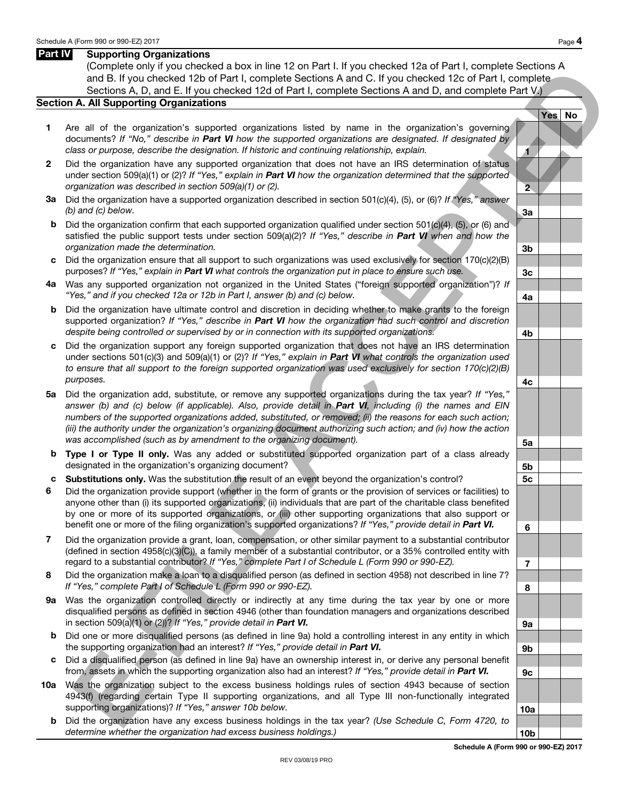#### **Part IV Supporting Organizations**

(Complete only if you checked a box in line 12 on Part I. If you checked 12a of Part I, complete Sections A and B. If you checked 12b of Part I, complete Sections A and C. If you checked 12c of Part I, complete Sections A, D, and E, If you checked 12d of Part I, complete Sections A and D, and complete Part V.)

#### **Section A. All Supporting Organizations**

- **1** Are all of the organization's supported organizations listed by name in the organization's governing documents? If "No," describe in *Part VI* how the supported organizations are designated. If designated by class or purpose, describe the designation. If historic and continuing relationship, explain. **1**
- **2** Did the organization have any supported organization that does not have an IRS determination of status under section 509(a)(1) or (2)? If "Yes," explain in *Part VI* how the organization determined that the supported organization was described in section 509(a)(1) or (2). **2**
- **3a** Did the organization have a supported organization described in section 501(c)(4), (5), or (6)? If "Yes," answer (b) and (c) below. **3a**
- **b** Did the organization confirm that each supported organization qualified under section 501(c)(4), (5), or (6) and satisfied the public support tests under section 509(a)(2)? If "Yes," describe in Part VI when and how the organization made the determination. **3b**
- **c** Did the organization ensure that all support to such organizations was used exclusively for section 170(c)(2)(B) purposes? If "Yes," explain in *Part VI* what controls the organization put in place to ensure such use. **3c**
- **4a** Was any supported organization not organized in the United States ("foreign supported organization")? If "Yes," and if you checked 12a or 12b in Part I, answer (b) and (c) below. **4a**
- **b** Did the organization have ultimate control and discretion in deciding whether to make grants to the foreign supported organization? If "Yes," describe in *Part VI* how the organization had such control and discretion despite being controlled or supervised by or in connection with its supported organizations. **4b**
- **c** Did the organization support any foreign supported organization that does not have an IRS determination under sections 501(c)(3) and 509(a)(1) or (2)? If "Yes," explain in *Part VI* what controls the organization used to ensure that all support to the foreign supported organization was used exclusively for section 170(c)(2)(B) purposes. **4c**
- **5a** Did the organization add, substitute, or remove any supported organizations during the tax year? If "Yes," answer (b) and (c) below (if applicable). Also, provide detail in *Part VI*, including (i) the names and EIN numbers of the supported organizations added, substituted, or removed; (ii) the reasons for each such action; (iii) the authority under the organization's organizing document authorizing such action; and (iv) how the action was accomplished (such as by amendment to the organizing document). **5a** COMPUSE ON the United States of the line of 2 of 148 Line year 864 Line 2 and the state of 148 Chinacteristics of the line of 148 Chinacteristics of the line of 148 Chinacteristics of the line of 148 Chinacteristics of the
- **b Type I or Type II only.** Was any added or substituted supported organization part of a class already designated in the organization's organizing document? **5b**
- **c Substitutions only.** Was the substitution the result of an event beyond the organization's control? **5c**
- **6** Did the organization provide support (whether in the form of grants or the provision of services or facilities) to anyone other than (i) its supported organizations, (ii) individuals that are part of the charitable class benefited by one or more of its supported organizations, or (iii) other supporting organizations that also support or benefit one or more of the filing organization's supported organizations? If "Yes," provide detail in *Part VI.* **6**
- **7** Did the organization provide a grant, loan, compensation, or other similar payment to a substantial contributor (defined in section 4958(c)(3)(C)), a family member of a substantial contributor, or a 35% controlled entity with regard to a substantial contributor? If "Yes," complete Part I of Schedule L (Form 990 or 990-EZ). **7**
- **8** Did the organization make a loan to a disqualified person (as defined in section 4958) not described in line 7? If "Yes," complete Part I of Schedule L (Form 990 or 990-EZ). **8**
- **9a** Was the organization controlled directly or indirectly at any time during the tax year by one or more disqualified persons as defined in section 4946 (other than foundation managers and organizations described in section 509(a)(1) or (2))? If "Yes," provide detail in *Part VI.* **9a**
- **b** Did one or more disqualified persons (as defined in line 9a) hold a controlling interest in any entity in which the supporting organization had an interest? If "Yes," provide detail in **Part VI. 9b 9b**
- **c** Did a disqualified person (as defined in line 9a) have an ownership interest in, or derive any personal benefit from, assets in which the supporting organization also had an interest? If "Yes," provide detail in *Part VI.* **9c**
- **10a** Was the organization subject to the excess business holdings rules of section 4943 because of section 4943(f) (regarding certain Type II supporting organizations, and all Type III non-functionally integrated supporting organizations)? If "Yes," answer 10b below. **10a 10a 10a 10a 10a** 
	- **b** Did the organization have any excess business holdings in the tax year? (Use Schedule C, Form 4720, to determine whether the organization had excess business holdings.) **10b**

**Yes No**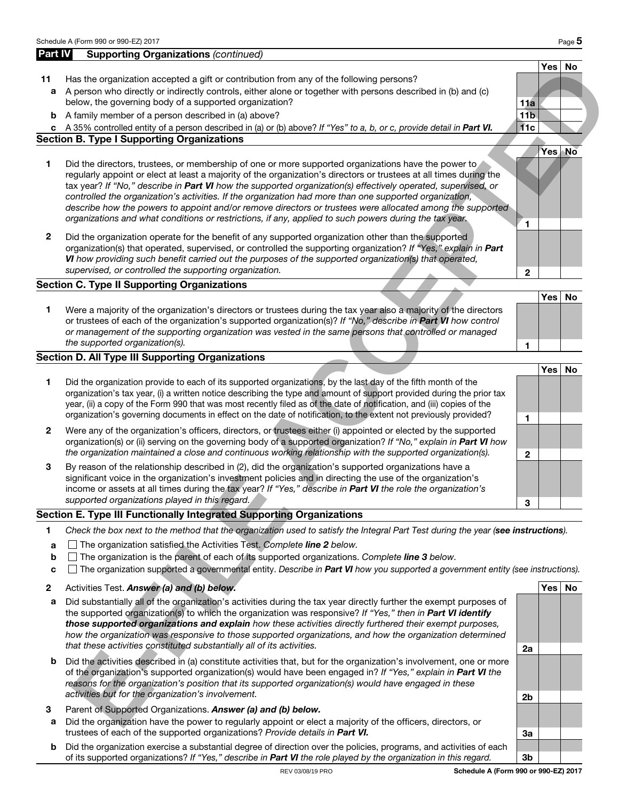#### Schedule A (Form 990 or 990-EZ) 2017 Page **5 Part IV** Supporting Organizations (continued)

- **11** Has the organization accepted a gift or contribution from any of the following persons? **a** A person who directly or indirectly controls, either alone or together with persons described in (b) and (c) below, the governing body of a supported organization? **11a**
	- **b** A family member of a person described in (a) above? **11b 11b**

#### **Section C. Type II Supporting Organizations**

#### **Section D. All Type III Supporting Organizations**

|                  |                                                                                                                                                                                                                                                                                                                                                                                                                                                                                                                                                                                                                                                                              |                 | Yes   No   |    |
|------------------|------------------------------------------------------------------------------------------------------------------------------------------------------------------------------------------------------------------------------------------------------------------------------------------------------------------------------------------------------------------------------------------------------------------------------------------------------------------------------------------------------------------------------------------------------------------------------------------------------------------------------------------------------------------------------|-----------------|------------|----|
| 11               | Has the organization accepted a gift or contribution from any of the following persons?                                                                                                                                                                                                                                                                                                                                                                                                                                                                                                                                                                                      |                 |            |    |
|                  | a A person who directly or indirectly controls, either alone or together with persons described in (b) and (c)                                                                                                                                                                                                                                                                                                                                                                                                                                                                                                                                                               |                 |            |    |
|                  | below, the governing body of a supported organization?                                                                                                                                                                                                                                                                                                                                                                                                                                                                                                                                                                                                                       | 11a             |            |    |
| b                | A family member of a person described in (a) above?                                                                                                                                                                                                                                                                                                                                                                                                                                                                                                                                                                                                                          | 11 <sub>b</sub> |            |    |
| C                | A 35% controlled entity of a person described in (a) or (b) above? If "Yes" to a, b, or c, provide detail in Part VI.                                                                                                                                                                                                                                                                                                                                                                                                                                                                                                                                                        | 11c             |            |    |
|                  | Section B. Type I Supporting Organizations                                                                                                                                                                                                                                                                                                                                                                                                                                                                                                                                                                                                                                   |                 |            |    |
|                  |                                                                                                                                                                                                                                                                                                                                                                                                                                                                                                                                                                                                                                                                              |                 | Yes No     |    |
| 1                | Did the directors, trustees, or membership of one or more supported organizations have the power to<br>regularly appoint or elect at least a majority of the organization's directors or trustees at all times during the<br>tax year? If "No," describe in Part VI how the supported organization(s) effectively operated, supervised, or<br>controlled the organization's activities. If the organization had more than one supported organization,<br>describe how the powers to appoint and/or remove directors or trustees were allocated among the supported<br>organizations and what conditions or restrictions, if any, applied to such powers during the tax year. | 1               |            |    |
| $\mathbf{2}$     | Did the organization operate for the benefit of any supported organization other than the supported<br>organization(s) that operated, supervised, or controlled the supporting organization? If "Yes," explain in Part<br>VI how providing such benefit carried out the purposes of the supported organization(s) that operated,<br>supervised, or controlled the supporting organization.                                                                                                                                                                                                                                                                                   | $\mathbf{2}$    |            |    |
|                  | Section C. Type II Supporting Organizations                                                                                                                                                                                                                                                                                                                                                                                                                                                                                                                                                                                                                                  |                 |            |    |
|                  |                                                                                                                                                                                                                                                                                                                                                                                                                                                                                                                                                                                                                                                                              |                 | <b>Yes</b> | No |
| 1                | Were a majority of the organization's directors or trustees during the tax year also a majority of the directors<br>or trustees of each of the organization's supported organization(s)? If "No," describe in Part VI how control<br>or management of the supporting organization was vested in the same persons that controlled or managed<br>the supported organization(s).                                                                                                                                                                                                                                                                                                | 1               |            |    |
|                  | Section D. All Type III Supporting Organizations                                                                                                                                                                                                                                                                                                                                                                                                                                                                                                                                                                                                                             |                 |            |    |
|                  |                                                                                                                                                                                                                                                                                                                                                                                                                                                                                                                                                                                                                                                                              |                 | <b>Yes</b> | No |
| 1                | Did the organization provide to each of its supported organizations, by the last day of the fifth month of the<br>organization's tax year, (i) a written notice describing the type and amount of support provided during the prior tax<br>year, (ii) a copy of the Form 990 that was most recently filed as of the date of notification, and (iii) copies of the<br>organization's governing documents in effect on the date of notification, to the extent not previously provided?                                                                                                                                                                                        | 1               |            |    |
| $\mathbf{2}$     | Were any of the organization's officers, directors, or trustees either (i) appointed or elected by the supported<br>organization(s) or (ii) serving on the governing body of a supported organization? If "No," explain in Part VI how<br>the organization maintained a close and continuous working relationship with the supported organization(s).                                                                                                                                                                                                                                                                                                                        | $\mathbf{2}$    |            |    |
| 3                | By reason of the relationship described in (2), did the organization's supported organizations have a<br>significant voice in the organization's investment policies and in directing the use of the organization's<br>income or assets at all times during the tax year? If "Yes," describe in Part VI the role the organization's<br>supported organizations played in this regard.                                                                                                                                                                                                                                                                                        | 3               |            |    |
|                  | Section E. Type III Functionally Integrated Supporting Organizations                                                                                                                                                                                                                                                                                                                                                                                                                                                                                                                                                                                                         |                 |            |    |
|                  |                                                                                                                                                                                                                                                                                                                                                                                                                                                                                                                                                                                                                                                                              |                 |            |    |
| 1<br>a<br>b<br>c | Check the box next to the method that the organization used to satisfy the Integral Part Test during the year (see instructions).<br>The organization satisfied the Activities Test. Complete line 2 below.<br>The organization is the parent of each of its supported organizations. Complete line 3 below.<br>The organization supported a governmental entity. Describe in Part VI how you supported a government entity (see instructions).                                                                                                                                                                                                                              |                 |            |    |
|                  |                                                                                                                                                                                                                                                                                                                                                                                                                                                                                                                                                                                                                                                                              |                 | Yes No     |    |
| 2                | Activities Test. Answer (a) and (b) below.                                                                                                                                                                                                                                                                                                                                                                                                                                                                                                                                                                                                                                   |                 |            |    |
| а                | Did substantially all of the organization's activities during the tax year directly further the exempt purposes of<br>the supported organization(s) to which the organization was responsive? If "Yes," then in Part VI identify<br>those supported organizations and explain how these activities directly furthered their exempt purposes,<br>how the organization was responsive to those supported organizations, and how the organization determined<br>that these activities constituted substantially all of its activities.                                                                                                                                          | 2a              |            |    |
| b                | Did the activities described in (a) constitute activities that, but for the organization's involvement, one or more<br>of the organization's supported organization(s) would have been engaged in? If "Yes," explain in Part VI the<br>reasons for the organization's position that its supported organization(s) would have engaged in these<br>activities but for the organization's involvement.                                                                                                                                                                                                                                                                          | 2b              |            |    |
| 3                | Parent of Supported Organizations. Answer (a) and (b) below.                                                                                                                                                                                                                                                                                                                                                                                                                                                                                                                                                                                                                 |                 |            |    |
| а                | Did the organization have the power to regularly appoint or elect a majority of the officers, directors, or                                                                                                                                                                                                                                                                                                                                                                                                                                                                                                                                                                  |                 |            |    |

#### **Section E. Type III Functionally Integrated Supporting Organizations**

- **1** Check the box next to the method that the organization used to satisfy the Integral Part Test during the year (*see instructions*).
- **a** The organization satisfied the Activities Test. Complete *line 2* below.
- **b** The organization is the parent of each of its supported organizations. Complete **line 3** below.
- **c** The organization supported a governmental entity. Describe in *Part VI* how you supported a government entity (see instructions).
- **2** Activities Test. **Answer** (a) and (b) below.
- **a** Did substantially all of the organization's activities during the tax year directly further the exempt purposes of the supported organization(s) to which the organization was responsive? If "Yes," then in *Part VI identify those supported organizations and explain* how these activities directly furthered their exempt purposes, how the organization was responsive to those supported organizations, and how the organization determined that these activities constituted substantially all of its activities. **2a**
- **b** Did the activities described in (a) constitute activities that, but for the organization's involvement, one or more of the organization's supported organization(s) would have been engaged in? If "Yes," explain in *Part VI* the reasons for the organization's position that its supported organization(s) would have engaged in these activities but for the organization's involvement. **2b**
- **3** Parent of Supported Organizations. *Answer (a) and (b) below.*
- **a** Did the organization have the power to regularly appoint or elect a majority of the officers, directors, or trustees of each of the supported organizations? Provide details in *Part VI.* **3a**
- **b** Did the organization exercise a substantial degree of direction over the policies, programs, and activities of each of its supported organizations? If "Yes," describe in *Part VI* the role played by the organization in this regard. **3b**

#### REV 03/08/19 PRO **Schedule A (Form 990 or 990-EZ) 2017**

|   |                | Yes | <b>No</b> |
|---|----------------|-----|-----------|
| f |                |     |           |
| J |                |     |           |
|   | 2a             |     |           |
| ë |                |     |           |
|   | 2 <sub>b</sub> |     |           |
|   |                |     |           |
|   | 3a             |     |           |
| h |                |     |           |

**Yes No**

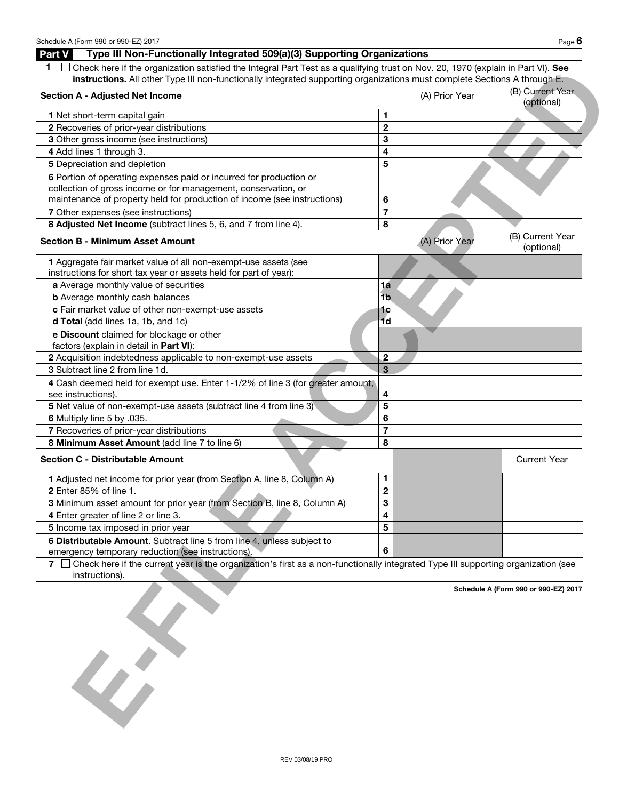### **Part V Type III Non-Functionally Integrated 509(a)(3) Supporting Organizations 1** Check here if the organization satisfied the Integral Part Test as a qualifying trust on Nov. 20, 1970 (explain in Part VI). **See instructions.** All other Type III non-functionally integrated supporting organizations must complete Sections A through E. **Section A - Adjusted Net Income** (A) Prior Year (B) Current Year (B) Current Year (B) Current Year (B) Current Year (B) Current Year (B) Current Year (B) Current Year (B) Current Year (B) Current Year (B) Current Year (B) **1. Secondary 1. The Contract of Contract of Contract of Contract of Contract of Contract of Contract of Contract O 1** Net short-term capital gain **1 1 2** Recoveries of prior-year distributions **2**

| <b>Section A - Adjusted Net Income</b>                                                                                                              |                         | (A) Prior Year | (B) Current Year<br>(optional)       |
|-----------------------------------------------------------------------------------------------------------------------------------------------------|-------------------------|----------------|--------------------------------------|
| 1 Net short-term capital gain                                                                                                                       | 1                       |                |                                      |
| 2 Recoveries of prior-year distributions                                                                                                            | $\mathbf 2$             |                |                                      |
| 3 Other gross income (see instructions)                                                                                                             | 3                       |                |                                      |
| 4 Add lines 1 through 3.                                                                                                                            | 4                       |                |                                      |
| 5 Depreciation and depletion                                                                                                                        | 5                       |                |                                      |
| 6 Portion of operating expenses paid or incurred for production or                                                                                  |                         |                |                                      |
| collection of gross income or for management, conservation, or                                                                                      |                         |                |                                      |
| maintenance of property held for production of income (see instructions)                                                                            | 6                       |                |                                      |
| 7 Other expenses (see instructions)                                                                                                                 | 7                       |                |                                      |
| 8 Adjusted Net Income (subtract lines 5, 6, and 7 from line 4).                                                                                     | 8                       |                |                                      |
| <b>Section B - Minimum Asset Amount</b>                                                                                                             |                         | (A) Prior Year | (B) Current Year<br>(optional)       |
| 1 Aggregate fair market value of all non-exempt-use assets (see                                                                                     |                         |                |                                      |
| instructions for short tax year or assets held for part of year):                                                                                   |                         |                |                                      |
| a Average monthly value of securities                                                                                                               | 1a                      |                |                                      |
| <b>b</b> Average monthly cash balances                                                                                                              | 1 <sub>b</sub>          |                |                                      |
| c Fair market value of other non-exempt-use assets                                                                                                  | 1c                      |                |                                      |
| d Total (add lines 1a, 1b, and 1c)                                                                                                                  | 1d                      |                |                                      |
| e Discount claimed for blockage or other                                                                                                            |                         |                |                                      |
| factors (explain in detail in Part VI):                                                                                                             |                         |                |                                      |
| 2 Acquisition indebtedness applicable to non-exempt-use assets                                                                                      | $\overline{\mathbf{c}}$ |                |                                      |
| 3 Subtract line 2 from line 1d.                                                                                                                     | $\mathbf{3}$            |                |                                      |
| 4 Cash deemed held for exempt use. Enter 1-1/2% of line 3 (for greater amount,<br>see instructions).                                                | 4                       |                |                                      |
| 5 Net value of non-exempt-use assets (subtract line 4 from line 3)                                                                                  | 5                       |                |                                      |
| 6 Multiply line 5 by .035.                                                                                                                          | 6                       |                |                                      |
| 7 Recoveries of prior-year distributions                                                                                                            | 7                       |                |                                      |
| 8 Minimum Asset Amount (add line 7 to line 6)                                                                                                       | 8                       |                |                                      |
| <b>Section C - Distributable Amount</b>                                                                                                             |                         |                | <b>Current Year</b>                  |
| 1 Adjusted net income for prior year (from Section A, line 8, Column A)                                                                             | 1                       |                |                                      |
| 2 Enter 85% of line 1.                                                                                                                              | $\mathbf 2$             |                |                                      |
| 3 Minimum asset amount for prior year (from Section B, line 8, Column A)                                                                            | 3                       |                |                                      |
| 4 Enter greater of line 2 or line 3.                                                                                                                | 4                       |                |                                      |
| 5 Income tax imposed in prior year                                                                                                                  | 5                       |                |                                      |
| 6 Distributable Amount. Subtract line 5 from line 4, unless subject to<br>emergency temporary reduction (see instructions).                         | 6                       |                |                                      |
| Check here if the current year is the organization's first as a non-functionally integrated Type III supporting organization (see<br>instructions). |                         |                |                                      |
|                                                                                                                                                     |                         |                | Schedule A (Form 990 or 990-EZ) 2017 |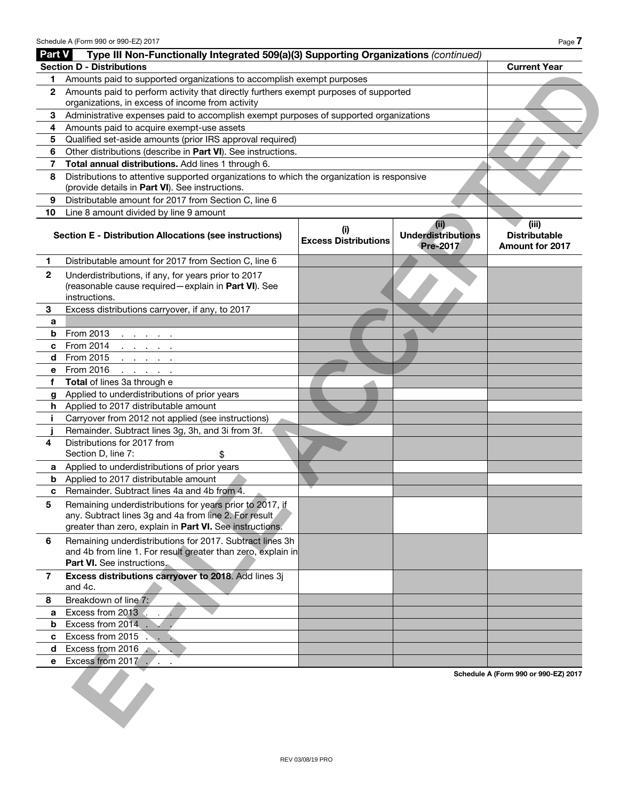| <b>Part V</b> | Type III Non-Functionally Integrated 509(a)(3) Supporting Organizations (continued)                                                                                           |                                    |                                                      |                                                  |
|---------------|-------------------------------------------------------------------------------------------------------------------------------------------------------------------------------|------------------------------------|------------------------------------------------------|--------------------------------------------------|
|               | <b>Section D - Distributions</b>                                                                                                                                              |                                    |                                                      | <b>Current Year</b>                              |
| 1.            | Amounts paid to supported organizations to accomplish exempt purposes                                                                                                         |                                    |                                                      |                                                  |
| $\mathbf{2}$  | Amounts paid to perform activity that directly furthers exempt purposes of supported<br>organizations, in excess of income from activity                                      |                                    |                                                      |                                                  |
| 3.            | Administrative expenses paid to accomplish exempt purposes of supported organizations                                                                                         |                                    |                                                      |                                                  |
| 4             | Amounts paid to acquire exempt-use assets                                                                                                                                     |                                    |                                                      |                                                  |
| 5.            | Qualified set-aside amounts (prior IRS approval required)                                                                                                                     |                                    |                                                      |                                                  |
| 6             | Other distributions (describe in Part VI). See instructions.                                                                                                                  |                                    |                                                      |                                                  |
| 7             | Total annual distributions. Add lines 1 through 6.                                                                                                                            |                                    |                                                      |                                                  |
| 8             | Distributions to attentive supported organizations to which the organization is responsive<br>(provide details in Part VI). See instructions.                                 |                                    |                                                      |                                                  |
| 9             | Distributable amount for 2017 from Section C, line 6                                                                                                                          |                                    |                                                      |                                                  |
| 10            | Line 8 amount divided by line 9 amount                                                                                                                                        |                                    |                                                      |                                                  |
|               | <b>Section E - Distribution Allocations (see instructions)</b>                                                                                                                | (i)<br><b>Excess Distributions</b> | (ii)<br><b>Underdistributions</b><br><b>Pre-2017</b> | (iii)<br><b>Distributable</b><br>Amount for 2017 |
| 1             | Distributable amount for 2017 from Section C, line 6                                                                                                                          |                                    |                                                      |                                                  |
| $\mathbf{2}$  | Underdistributions, if any, for years prior to 2017<br>(reasonable cause required-explain in Part VI). See<br>instructions.                                                   |                                    |                                                      |                                                  |
| 3             | Excess distributions carryover, if any, to 2017                                                                                                                               |                                    |                                                      |                                                  |
| a             |                                                                                                                                                                               |                                    |                                                      |                                                  |
| b             | From 2013<br>the contract of the con-                                                                                                                                         |                                    |                                                      |                                                  |
| c             | From 2014<br>and a straight and                                                                                                                                               |                                    |                                                      |                                                  |
| d             | From 2015<br>and a strategic and                                                                                                                                              |                                    |                                                      |                                                  |
| е             | From 2016<br>and a strategic and                                                                                                                                              |                                    |                                                      |                                                  |
| f             | Total of lines 3a through e                                                                                                                                                   |                                    |                                                      |                                                  |
| g             | Applied to underdistributions of prior years                                                                                                                                  |                                    |                                                      |                                                  |
|               | h Applied to 2017 distributable amount                                                                                                                                        |                                    |                                                      |                                                  |
| i.            | Carryover from 2012 not applied (see instructions)                                                                                                                            |                                    |                                                      |                                                  |
|               | Remainder. Subtract lines 3g, 3h, and 3i from 3f.                                                                                                                             |                                    |                                                      |                                                  |
| 4             | Distributions for 2017 from<br>Section D, line 7:                                                                                                                             |                                    |                                                      |                                                  |
|               | a Applied to underdistributions of prior years                                                                                                                                |                                    |                                                      |                                                  |
| b             | Applied to 2017 distributable amount                                                                                                                                          |                                    |                                                      |                                                  |
| C             | Remainder. Subtract lines 4a and 4b from 4.                                                                                                                                   |                                    |                                                      |                                                  |
| 5             | Remaining underdistributions for years prior to 2017, if<br>any. Subtract lines 3g and 4a from line 2. For result<br>greater than zero, explain in Part VI. See instructions. |                                    |                                                      |                                                  |
| 6             | Remaining underdistributions for 2017. Subtract lines 3h<br>and 4b from line 1. For result greater than zero, explain in<br>Part VI. See instructions.                        |                                    |                                                      |                                                  |
| 7             | Excess distributions carryover to 2018. Add lines 3j<br>and 4c.                                                                                                               |                                    |                                                      |                                                  |
| 8             | Breakdown of line 7:                                                                                                                                                          |                                    |                                                      |                                                  |
| a             | Excess from 2013                                                                                                                                                              |                                    |                                                      |                                                  |
| b             | Excess from 2014                                                                                                                                                              |                                    |                                                      |                                                  |
| c             | Excess from 2015                                                                                                                                                              |                                    |                                                      |                                                  |
| d             | Excess from 2016                                                                                                                                                              |                                    |                                                      |                                                  |
| e             | Excess from 2017                                                                                                                                                              |                                    |                                                      |                                                  |
|               |                                                                                                                                                                               |                                    |                                                      | Schedule A (Form 990 or 990-EZ) 2017             |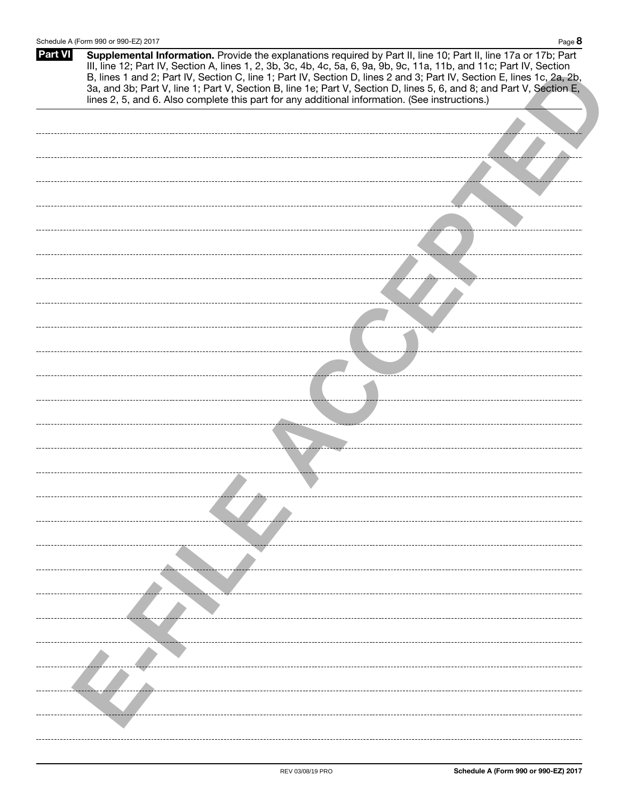|                | Page 8<br>Schedule A (Form 990 or 990-EZ) 2017                                                                                                                                                                                                 |
|----------------|------------------------------------------------------------------------------------------------------------------------------------------------------------------------------------------------------------------------------------------------|
| <b>Part VI</b> | Supplemental Information. Provide the explanations required by Part II, line 10; Part II, line 17a or 17b; Part                                                                                                                                |
|                | III, line 12; Part IV, Section A, lines 1, 2, 3b, 3c, 4b, 4c, 5a, 6, 9a, 9b, 9c, 11a, 11b, and 11c; Part IV, Section<br>B, lines 1 and 2; Part IV, Section C, line 1; Part IV, Section D, lines 2 and 3; Part IV, Section E, lines 1c, 2a, 2b, |
|                | 3a, and 3b; Part V, line 1; Part V, Section B, line 1e; Part V, Section D, lines 5, 6, and 8; and Part V, Section E,<br>lines 2, 5, and 6. Also complete this part for any additional information. (See instructions.)                         |

| III, line 12; Part IV, Section A, lines 1, 2, 3b, 3c, 4b, 4c, 5a, 6, 9a, 9b, 9c, 11a, 11b, and 11c; Part IV, Section                                                                                                          |  |
|-------------------------------------------------------------------------------------------------------------------------------------------------------------------------------------------------------------------------------|--|
| B, lines 1 and 2; Part IV, Section C, line 1; Part IV, Section D, lines 2 and 3; Part IV, Section E, lines 1c, 2a, 2b, 3a, and 3b; Part V, line 1; Part V, Section B, line 1e; Part V, Section D, lines 5, 6, and 8; and Part |  |
|                                                                                                                                                                                                                               |  |
|                                                                                                                                                                                                                               |  |
|                                                                                                                                                                                                                               |  |
|                                                                                                                                                                                                                               |  |
|                                                                                                                                                                                                                               |  |
|                                                                                                                                                                                                                               |  |
|                                                                                                                                                                                                                               |  |
|                                                                                                                                                                                                                               |  |
|                                                                                                                                                                                                                               |  |
|                                                                                                                                                                                                                               |  |
|                                                                                                                                                                                                                               |  |
|                                                                                                                                                                                                                               |  |
|                                                                                                                                                                                                                               |  |
|                                                                                                                                                                                                                               |  |
|                                                                                                                                                                                                                               |  |
|                                                                                                                                                                                                                               |  |
|                                                                                                                                                                                                                               |  |
|                                                                                                                                                                                                                               |  |
|                                                                                                                                                                                                                               |  |
|                                                                                                                                                                                                                               |  |
|                                                                                                                                                                                                                               |  |
|                                                                                                                                                                                                                               |  |
|                                                                                                                                                                                                                               |  |
|                                                                                                                                                                                                                               |  |
|                                                                                                                                                                                                                               |  |
|                                                                                                                                                                                                                               |  |
|                                                                                                                                                                                                                               |  |
|                                                                                                                                                                                                                               |  |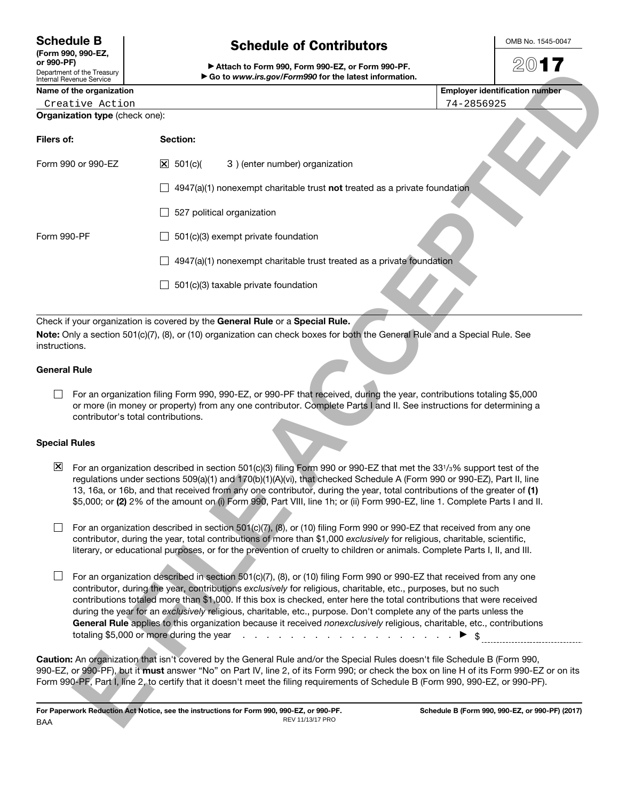|  |  | <b>Schedule B</b> |
|--|--|-------------------|
|--|--|-------------------|

**(Form 990, 990-EZ, or 990-PF)** Department of the Treasury

#### Interna

## **Schedule of Contributors**

Attach to Form 990, Form 990-EZ, or Form 990-PF.

OMB No. 1545-0047

20**17**

| Department of the ricasury<br>Internal Revenue Service |          | Go to www.irs.gov/Form990 for the latest information. |                                       |  |
|--------------------------------------------------------|----------|-------------------------------------------------------|---------------------------------------|--|
| Name of the organization                               |          |                                                       | <b>Employer identification number</b> |  |
| Creative Action                                        |          |                                                       | 74-2856925                            |  |
| <b>Organization type (check one):</b>                  |          |                                                       |                                       |  |
| Filers of :                                            | Section. |                                                       |                                       |  |

| ן וייטכּכּ וט           | Department of the Treasury<br>Internal Revenue Service | Attach to Form 990, Form 990-EZ, or Form 990-PF.<br>Go to www.irs.gov/Form990 for the latest information.                                                                                                                                                                                                                                                                                                                                                                                                                                                                                                           |            | ZV 1 7                                          |
|-------------------------|--------------------------------------------------------|---------------------------------------------------------------------------------------------------------------------------------------------------------------------------------------------------------------------------------------------------------------------------------------------------------------------------------------------------------------------------------------------------------------------------------------------------------------------------------------------------------------------------------------------------------------------------------------------------------------------|------------|-------------------------------------------------|
|                         | Name of the organization                               |                                                                                                                                                                                                                                                                                                                                                                                                                                                                                                                                                                                                                     |            | <b>Employer identification number</b>           |
|                         | Creative Action                                        |                                                                                                                                                                                                                                                                                                                                                                                                                                                                                                                                                                                                                     | 74-2856925 |                                                 |
|                         | Organization type (check one):                         |                                                                                                                                                                                                                                                                                                                                                                                                                                                                                                                                                                                                                     |            |                                                 |
| Filers of:              |                                                        | Section:                                                                                                                                                                                                                                                                                                                                                                                                                                                                                                                                                                                                            |            |                                                 |
|                         | Form 990 or 990-EZ                                     | $\boxed{\mathbf{X}}$ 501(c)(<br>3) (enter number) organization                                                                                                                                                                                                                                                                                                                                                                                                                                                                                                                                                      |            |                                                 |
|                         |                                                        | 4947(a)(1) nonexempt charitable trust not treated as a private foundation                                                                                                                                                                                                                                                                                                                                                                                                                                                                                                                                           |            |                                                 |
|                         |                                                        | 527 political organization                                                                                                                                                                                                                                                                                                                                                                                                                                                                                                                                                                                          |            |                                                 |
| Form 990-PF             |                                                        | 501(c)(3) exempt private foundation                                                                                                                                                                                                                                                                                                                                                                                                                                                                                                                                                                                 |            |                                                 |
|                         |                                                        | 4947(a)(1) nonexempt charitable trust treated as a private foundation                                                                                                                                                                                                                                                                                                                                                                                                                                                                                                                                               |            |                                                 |
|                         |                                                        | 501(c)(3) taxable private foundation                                                                                                                                                                                                                                                                                                                                                                                                                                                                                                                                                                                |            |                                                 |
|                         |                                                        | Check if your organization is covered by the General Rule or a Special Rule.                                                                                                                                                                                                                                                                                                                                                                                                                                                                                                                                        |            |                                                 |
| instructions.           |                                                        | Note: Only a section 501(c)(7), (8), or (10) organization can check boxes for both the General Rule and a Special Rule. See                                                                                                                                                                                                                                                                                                                                                                                                                                                                                         |            |                                                 |
| <b>General Rule</b>     |                                                        |                                                                                                                                                                                                                                                                                                                                                                                                                                                                                                                                                                                                                     |            |                                                 |
|                         |                                                        | For an organization filing Form 990, 990-EZ, or 990-PF that received, during the year, contributions totaling \$5,000<br>or more (in money or property) from any one contributor. Complete Parts I and II. See instructions for determining a<br>contributor's total contributions.                                                                                                                                                                                                                                                                                                                                 |            |                                                 |
| <b>Special Rules</b>    |                                                        |                                                                                                                                                                                                                                                                                                                                                                                                                                                                                                                                                                                                                     |            |                                                 |
| $\overline{\mathbf{x}}$ |                                                        | For an organization described in section 501(c)(3) filing Form 990 or 990-EZ that met the 331/3% support test of the<br>regulations under sections 509(a)(1) and 170(b)(1)(A)(vi), that checked Schedule A (Form 990 or 990-EZ), Part II, line<br>13, 16a, or 16b, and that received from any one contributor, during the year, total contributions of the greater of (1)<br>\$5,000; or (2) 2% of the amount on (i) Form 990, Part VIII, line 1h; or (ii) Form 990-EZ, line 1. Complete Parts I and II.                                                                                                            |            |                                                 |
|                         |                                                        | For an organization described in section 501(c)(7), (8), or (10) filing Form 990 or 990-EZ that received from any one<br>contributor, during the year, total contributions of more than \$1,000 exclusively for religious, charitable, scientific,<br>literary, or educational purposes, or for the prevention of cruelty to children or animals. Complete Parts I, II, and III.                                                                                                                                                                                                                                    |            |                                                 |
|                         |                                                        | For an organization described in section 501(c)(7), (8), or (10) filing Form 990 or 990-EZ that received from any one<br>contributor, during the year, contributions exclusively for religious, charitable, etc., purposes, but no such<br>contributions totaled more than \$1,000. If this box is checked, enter here the total contributions that were received<br>during the year for an exclusively religious, charitable, etc., purpose. Don't complete any of the parts unless the<br>General Rule applies to this organization because it received nonexclusively religious, charitable, etc., contributions | \$         |                                                 |
|                         |                                                        | Caution: An organization that isn't covered by the General Rule and/or the Special Rules doesn't file Schedule B (Form 990,<br>990-EZ, or 990-PF), but it must answer "No" on Part IV, line 2, of its Form 990; or check the box on line H of its Form 990-EZ or on its<br>Form 990-PF, Part I, line 2, to certify that it doesn't meet the filing requirements of Schedule B (Form 990, 990-EZ, or 990-PF).                                                                                                                                                                                                        |            |                                                 |
| BAA                     |                                                        | For Paperwork Reduction Act Notice, see the instructions for Form 990, 990-EZ, or 990-PF.<br>REV 11/13/17 PRO                                                                                                                                                                                                                                                                                                                                                                                                                                                                                                       |            | Schedule B (Form 990, 990-EZ, or 990-PF) (2017) |

#### **General Rule**

#### **Special Rules**

- $\boxtimes$  For an organization described in section 501(c)(3) filing Form 990 or 990-EZ that met the 331/<sub>3</sub>% support test of the regulations under sections 509(a)(1) and 170(b)(1)(A)(vi), that checked Schedule A (Form 990 or 990-EZ), Part II, line 13, 16a, or 16b, and that received from any one contributor, during the year, total contributions of the greater of **(1)**  \$5,000; or **(2)** 2% of the amount on (i) Form 990, Part VIII, line 1h; or (ii) Form 990-EZ, line 1. Complete Parts I and II.
- For an organization described in section 501(c)(7), (8), or (10) filing Form 990 or 990-EZ that received from any one contributor, during the year, total contributions of more than \$1,000 exclusively for religious, charitable, scientific, literary, or educational purposes, or for the prevention of cruelty to children or animals. Complete Parts I, II, and III.
- $\Box$  For an organization described in section 501(c)(7), (8), or (10) filing Form 990 or 990-EZ that received from any one contributor, during the year, contributions exclusively for religious, charitable, etc., purposes, but no such contributions totaled more than \$1,000. If this box is checked, enter here the total contributions that were received during the year for an exclusively religious, charitable, etc., purpose. Don't complete any of the parts unless the General Rule applies to this organization because it received nonexclusively religious, charitable, etc., contributions totaling \$5,000 or more during the year  $\ldots$  . . . . . . . . . . . . . . . . .  $\blacktriangleright$  \$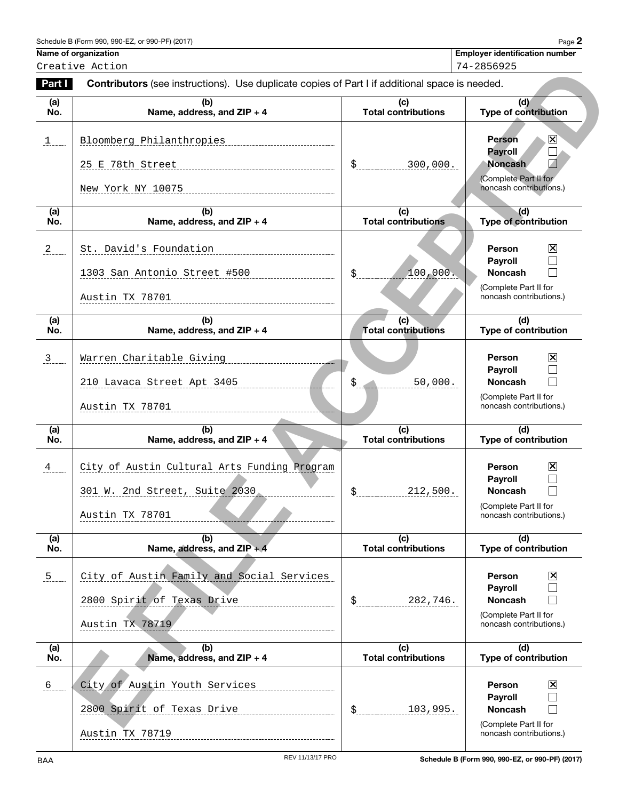**Name of organization** 

Creative Action 74-2856925

|                 | Creative Action                                                                                       |                                   | 74-2856925                                                                                                          |
|-----------------|-------------------------------------------------------------------------------------------------------|-----------------------------------|---------------------------------------------------------------------------------------------------------------------|
| Part I          | <b>Contributors</b> (see instructions). Use duplicate copies of Part I if additional space is needed. |                                   |                                                                                                                     |
| (a)<br>No.      | (b)<br>Name, address, and ZIP + 4                                                                     | (c)<br><b>Total contributions</b> | (d)<br><b>Type of contribution</b>                                                                                  |
| 1               | Bloomberg Philanthropies<br>25 E 78th Street                                                          | 300,000.<br>\$                    | $\mathbf{X}$<br><b>Person</b><br>Payroll<br><b>Noncash</b><br>И                                                     |
|                 | New York NY 10075                                                                                     |                                   | (Complete Part II for<br>noncash contributions.)                                                                    |
| (a)<br>No.      | (b)<br>Name, address, and ZIP + 4                                                                     | (c)<br><b>Total contributions</b> | (d)<br><b>Type of contribution</b>                                                                                  |
| 2               | St. David's Foundation                                                                                |                                   | $\mathbf{\Sigma}$<br><b>Person</b><br>Payroll                                                                       |
|                 | 1303 San Antonio Street #500<br>Austin TX 78701                                                       | 100,000.<br>\$                    | <b>Noncash</b><br>(Complete Part II for<br>noncash contributions.)                                                  |
| (a)<br>No.      | (b)<br>Name, address, and ZIP + 4                                                                     | (c)<br><b>Total contributions</b> | (d)<br><b>Type of contribution</b>                                                                                  |
| $\frac{3}{2}$   | Warren Charitable Giving<br>210 Lavaca Street Apt 3405                                                | \$<br>50,000.                     | $\boxtimes$<br><b>Person</b><br>Payroll<br><b>Noncash</b>                                                           |
|                 | Austin TX 78701                                                                                       |                                   | (Complete Part II for<br>noncash contributions.)                                                                    |
| (a)<br>No.      | (b)<br>Name, address, and ZIP + 4                                                                     | (c)<br><b>Total contributions</b> | (d)<br><b>Type of contribution</b>                                                                                  |
| $\frac{4}{1}$   | City of Austin Cultural Arts Funding Program<br>301 W. 2nd Street, Suite 2030<br>Austin TX 78701      | 212,500.<br>\$                    | $\mathbf{\Sigma}$<br>Person<br><b>Payroll</b><br><b>Noncash</b><br>(Complete Part II for<br>noncash contributions.) |
| (a)<br>No.      | (b)<br>Name, address, and $ZIP + 4$                                                                   | (c)<br><b>Total contributions</b> | (d)<br>Type of contribution                                                                                         |
| 5               | City of Austin Family and Social Services<br>2800 Spirit of Texas Drive<br>Austin TX 78719            | \$<br>282,746.                    | $\mathbf{\Sigma}$<br><b>Person</b><br>Payroll<br><b>Noncash</b><br>(Complete Part II for<br>noncash contributions.) |
| (a)<br>No.      | (b)<br>Name, address, and ZIP + 4                                                                     | (c)<br><b>Total contributions</b> | (d)<br>Type of contribution                                                                                         |
| $\underline{6}$ | City of Austin Youth Services<br>2800 Spirit of Texas Drive<br>Austin TX 78719                        | \$<br>103,995.                    | $\boxtimes$<br><b>Person</b><br>Payroll<br><b>Noncash</b><br>(Complete Part II for<br>noncash contributions.)       |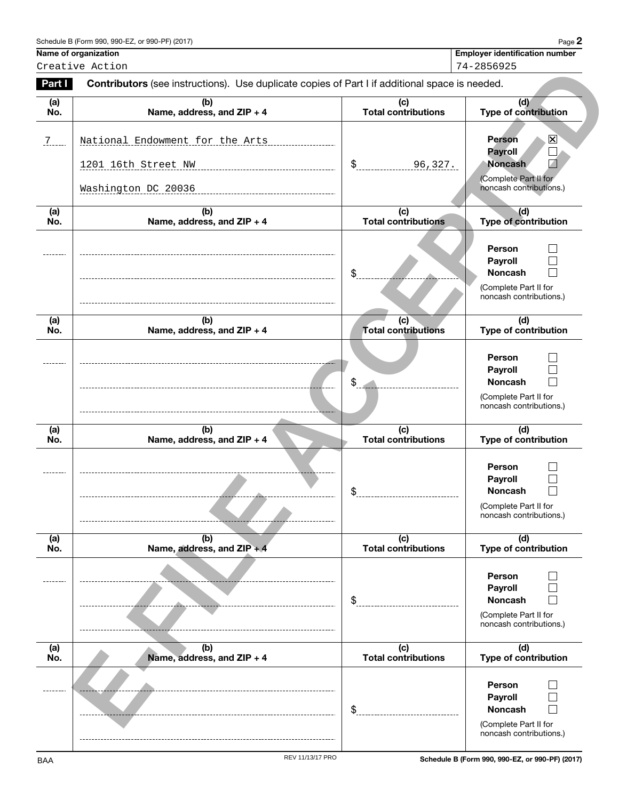| Schedule B (Form 990, 990-EZ, or 990-PF) (2017) |  | Page |  |
|-------------------------------------------------|--|------|--|
|-------------------------------------------------|--|------|--|

**Name of organization** 

Creative Action 74-2856925

|            | Creative Action                                                                                |                                   | 74-2856925                                                                                                          |
|------------|------------------------------------------------------------------------------------------------|-----------------------------------|---------------------------------------------------------------------------------------------------------------------|
| Part I     | Contributors (see instructions). Use duplicate copies of Part I if additional space is needed. |                                   |                                                                                                                     |
| (a)<br>No. | (b)<br>Name, address, and ZIP + 4                                                              | (c)<br><b>Total contributions</b> | (d)<br><b>Type of contribution</b>                                                                                  |
| $7 - 7$    | National Endowment for the Arts<br>1201 16th Street NW<br>Washington DC 20036                  | 96,327.<br>$\frac{1}{2}$          | $\mathbf{X}$<br><b>Person</b><br>Payroll<br><b>Noncash</b><br>и<br>(Complete Part II for<br>noncash contributions.) |
| (a)<br>No. | (b)<br>Name, address, and ZIP + 4                                                              | (c)<br><b>Total contributions</b> | (d)<br>Type of contribution                                                                                         |
|            |                                                                                                | \$                                | Person<br>Payroll<br>Noncash<br>(Complete Part II for<br>noncash contributions.)                                    |
| (a)<br>No. | (b)<br>Name, address, and ZIP + 4                                                              | (c)<br><b>Total contributions</b> | (d)<br><b>Type of contribution</b>                                                                                  |
|            |                                                                                                | \$                                | Person<br>Payroll<br>Noncash<br>(Complete Part II for<br>noncash contributions.)                                    |
| (a)<br>No. | (b)<br>Name, address, and ZIP + 4                                                              | (c)<br><b>Total contributions</b> | (d)<br>Type of contribution                                                                                         |
|            |                                                                                                | \$                                | Person<br>Payroll<br><b>Noncash</b><br>(Complete Part II for<br>noncash contributions.)                             |
| (a)<br>No. | (b)<br>Name, address, and ZIP + 4                                                              | (c)<br><b>Total contributions</b> | (d)<br>Type of contribution                                                                                         |
|            |                                                                                                | \$                                | Person<br>Payroll<br>Noncash<br>(Complete Part II for<br>noncash contributions.)                                    |
| (a)<br>No. | (b)<br>Name, address, and ZIP + 4                                                              | (c)<br><b>Total contributions</b> | (d)<br>Type of contribution                                                                                         |
|            |                                                                                                | \$                                | Person<br>Payroll<br><b>Noncash</b><br>(Complete Part II for<br>noncash contributions.)                             |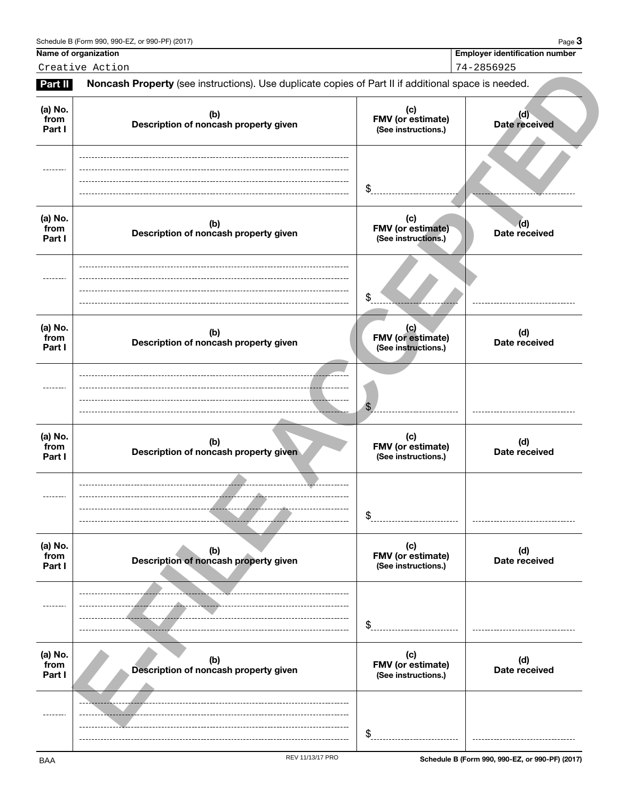**Name of organization Employer identification number**

Creative Action 74-2856925

|                           | Creative Action                                                                                     |                                                        | 74-2856925                  |
|---------------------------|-----------------------------------------------------------------------------------------------------|--------------------------------------------------------|-----------------------------|
| <b>Part II</b>            | Noncash Property (see instructions). Use duplicate copies of Part II if additional space is needed. |                                                        |                             |
| (a) No.<br>from<br>Part I | (b)<br>Description of noncash property given                                                        | (c)<br>FMV (or estimate)<br>(See instructions.)        | (d)<br><b>Date received</b> |
| --------                  |                                                                                                     | \$                                                     |                             |
| (a) No.<br>from<br>Part I | (b)<br>Description of noncash property given                                                        | (c)<br><b>FMV</b> (or estimate)<br>(See instructions.) | (d)<br>Date received        |
| .                         |                                                                                                     | \$                                                     |                             |
| (a) No.<br>from<br>Part I | (b)<br>Description of noncash property given                                                        | (c)<br><b>FMV</b> (or estimate)<br>(See instructions.) | (d)<br>Date received        |
| .                         |                                                                                                     | \$                                                     |                             |
| (a) No.<br>from<br>Part I | (b)<br>Description of noncash property given                                                        | (c)<br>FMV (or estimate)<br>(See instructions.)        | (d)<br>Date received        |
| -------                   |                                                                                                     | ፍ                                                      |                             |
| (a) No.<br>from<br>Part I | (b)<br>Description of noncash property given                                                        | (c)<br>FMV (or estimate)<br>(See instructions.)        | (d)<br>Date received        |
|                           |                                                                                                     | \$                                                     |                             |
| (a) No.<br>from<br>Part I | (b)<br>Description of noncash property given                                                        | (c)<br>FMV (or estimate)<br>(See instructions.)        | (d)<br>Date received        |
|                           |                                                                                                     | \$                                                     |                             |
|                           |                                                                                                     |                                                        |                             |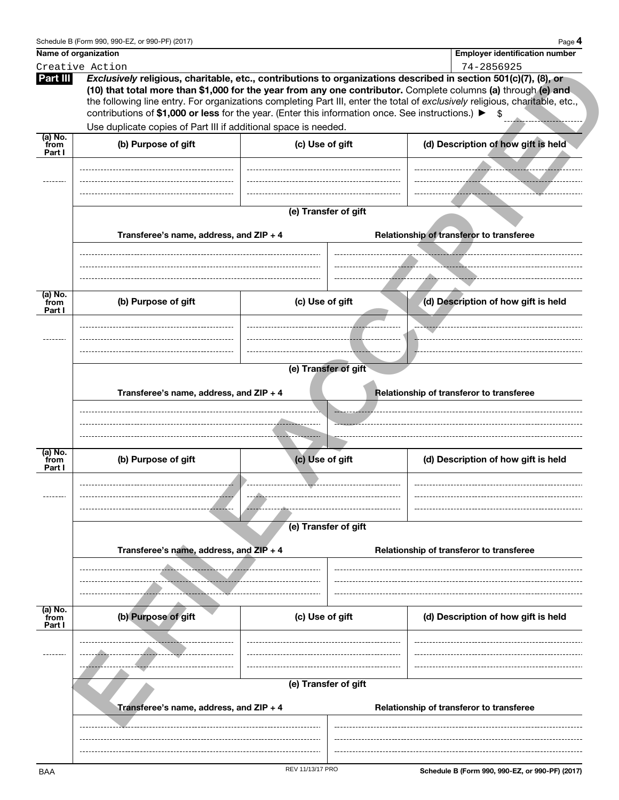|                           | Name of organization                                                                                                                                                                                                                                                                                                                                                                                                                                                                                                                     |                 |                      |  | <b>Employer identification number</b>    |
|---------------------------|------------------------------------------------------------------------------------------------------------------------------------------------------------------------------------------------------------------------------------------------------------------------------------------------------------------------------------------------------------------------------------------------------------------------------------------------------------------------------------------------------------------------------------------|-----------------|----------------------|--|------------------------------------------|
|                           | Creative Action                                                                                                                                                                                                                                                                                                                                                                                                                                                                                                                          |                 |                      |  | 74-2856925                               |
| Part III                  | Exclusively religious, charitable, etc., contributions to organizations described in section 501(c)(7), (8), or<br>(10) that total more than \$1,000 for the year from any one contributor. Complete columns (a) through (e) and<br>the following line entry. For organizations completing Part III, enter the total of exclusively religious, charitable, etc.,<br>contributions of \$1,000 or less for the year. (Enter this information once. See instructions.) ▶<br>Use duplicate copies of Part III if additional space is needed. |                 |                      |  | \$                                       |
| (a) No.                   | (b) Purpose of gift                                                                                                                                                                                                                                                                                                                                                                                                                                                                                                                      | (c) Use of gift |                      |  | (d) Description of how gift is held      |
| from<br>Part I            |                                                                                                                                                                                                                                                                                                                                                                                                                                                                                                                                          |                 |                      |  |                                          |
|                           |                                                                                                                                                                                                                                                                                                                                                                                                                                                                                                                                          |                 | (e) Transfer of gift |  |                                          |
|                           | Transferee's name, address, and ZIP + 4                                                                                                                                                                                                                                                                                                                                                                                                                                                                                                  |                 |                      |  | Relationship of transferor to transferee |
|                           |                                                                                                                                                                                                                                                                                                                                                                                                                                                                                                                                          |                 |                      |  |                                          |
| (a) No.<br>from<br>Part I | (b) Purpose of gift                                                                                                                                                                                                                                                                                                                                                                                                                                                                                                                      | (c) Use of gift |                      |  | (d) Description of how gift is held      |
|                           |                                                                                                                                                                                                                                                                                                                                                                                                                                                                                                                                          |                 |                      |  |                                          |
|                           |                                                                                                                                                                                                                                                                                                                                                                                                                                                                                                                                          |                 | (e) Transfer of gift |  |                                          |
|                           | Transferee's name, address, and ZIP + 4                                                                                                                                                                                                                                                                                                                                                                                                                                                                                                  |                 |                      |  | Relationship of transferor to transferee |
|                           |                                                                                                                                                                                                                                                                                                                                                                                                                                                                                                                                          |                 |                      |  |                                          |
| (a) No.<br>from<br>Part I | (b) Purpose of gift                                                                                                                                                                                                                                                                                                                                                                                                                                                                                                                      | (c) Use of gift |                      |  | (d) Description of how gift is held      |
|                           |                                                                                                                                                                                                                                                                                                                                                                                                                                                                                                                                          |                 |                      |  |                                          |
|                           |                                                                                                                                                                                                                                                                                                                                                                                                                                                                                                                                          |                 | (e) Transfer of gift |  |                                          |
|                           | Transferee's name, address, and ZIP + 4                                                                                                                                                                                                                                                                                                                                                                                                                                                                                                  |                 |                      |  | Relationship of transferor to transferee |
|                           |                                                                                                                                                                                                                                                                                                                                                                                                                                                                                                                                          |                 |                      |  |                                          |
| (a) No.<br>from<br>Part I | (b) Purpose of gift                                                                                                                                                                                                                                                                                                                                                                                                                                                                                                                      | (c) Use of gift |                      |  | (d) Description of how gift is held      |
|                           |                                                                                                                                                                                                                                                                                                                                                                                                                                                                                                                                          |                 |                      |  |                                          |
|                           |                                                                                                                                                                                                                                                                                                                                                                                                                                                                                                                                          |                 |                      |  |                                          |
|                           | Transferee's name, address, and ZIP + 4                                                                                                                                                                                                                                                                                                                                                                                                                                                                                                  |                 | (e) Transfer of gift |  | Relationship of transferor to transferee |
|                           |                                                                                                                                                                                                                                                                                                                                                                                                                                                                                                                                          |                 |                      |  |                                          |
|                           |                                                                                                                                                                                                                                                                                                                                                                                                                                                                                                                                          |                 |                      |  |                                          |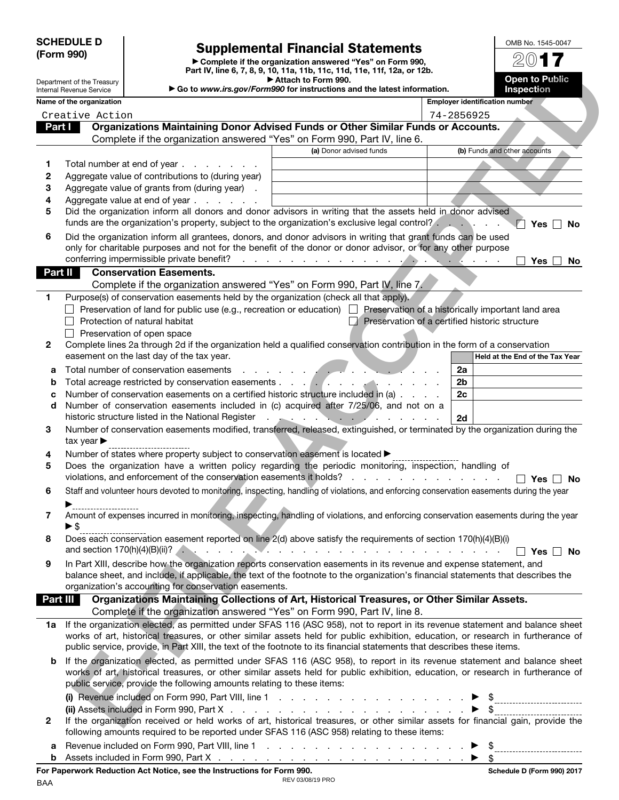| <b>SCHEDULE D</b> |  |
|-------------------|--|
| (Form 990)        |  |

## **Supplemental Financial Statements**

▶ Complete if the organization answered "Yes" on Form 990, **Part IV, line 6, 7, 8, 9, 10, 11a, 11b, 11c, 11d, 11e, 11f, 12a, or 12b.**  OMB No. 1545-0047 20**17**

|                          |                                                        |                                                                                                                                      | <b>Pomplete in the organization answered Test on Form 350</b><br>Part IV, line 6, 7, 8, 9, 10, 11a, 11b, 11c, 11d, 11e, 11f, 12a, or 12b.                                                                                                                    |                                       | 4 U M                               |  |  |  |
|--------------------------|--------------------------------------------------------|--------------------------------------------------------------------------------------------------------------------------------------|--------------------------------------------------------------------------------------------------------------------------------------------------------------------------------------------------------------------------------------------------------------|---------------------------------------|-------------------------------------|--|--|--|
|                          | Department of the Treasury<br>Internal Revenue Service |                                                                                                                                      | Attach to Form 990.<br>Go to www.irs.gov/Form990 for instructions and the latest information.                                                                                                                                                                |                                       | <b>Open to Public</b><br>Inspection |  |  |  |
| Name of the organization |                                                        |                                                                                                                                      |                                                                                                                                                                                                                                                              | <b>Employer identification number</b> |                                     |  |  |  |
|                          | Creative Action                                        |                                                                                                                                      |                                                                                                                                                                                                                                                              | 74-2856925                            |                                     |  |  |  |
|                          | Part I                                                 |                                                                                                                                      | Organizations Maintaining Donor Advised Funds or Other Similar Funds or Accounts.                                                                                                                                                                            |                                       |                                     |  |  |  |
|                          |                                                        |                                                                                                                                      | Complete if the organization answered "Yes" on Form 990, Part IV, line 6.                                                                                                                                                                                    |                                       |                                     |  |  |  |
|                          |                                                        |                                                                                                                                      | (a) Donor advised funds                                                                                                                                                                                                                                      |                                       | (b) Funds and other accounts        |  |  |  |
| 1                        |                                                        | Total number at end of year                                                                                                          |                                                                                                                                                                                                                                                              |                                       |                                     |  |  |  |
| 2                        |                                                        | Aggregate value of contributions to (during year)                                                                                    |                                                                                                                                                                                                                                                              |                                       |                                     |  |  |  |
| 3                        |                                                        | Aggregate value of grants from (during year) .<br>Aggregate value at end of year                                                     |                                                                                                                                                                                                                                                              |                                       |                                     |  |  |  |
| 4<br>5                   |                                                        |                                                                                                                                      | Did the organization inform all donors and donor advisors in writing that the assets held in donor advised                                                                                                                                                   |                                       |                                     |  |  |  |
|                          |                                                        |                                                                                                                                      | funds are the organization's property, subject to the organization's exclusive legal control? T Yes                                                                                                                                                          |                                       | No                                  |  |  |  |
| 6                        |                                                        |                                                                                                                                      | Did the organization inform all grantees, donors, and donor advisors in writing that grant funds can be used                                                                                                                                                 |                                       |                                     |  |  |  |
|                          |                                                        |                                                                                                                                      | only for charitable purposes and not for the benefit of the donor or donor advisor, or for any other purpose                                                                                                                                                 |                                       |                                     |  |  |  |
|                          |                                                        |                                                                                                                                      |                                                                                                                                                                                                                                                              |                                       | <b>Yes</b><br><b>No</b>             |  |  |  |
|                          | Part II                                                | <b>Conservation Easements.</b>                                                                                                       |                                                                                                                                                                                                                                                              |                                       |                                     |  |  |  |
|                          |                                                        |                                                                                                                                      | Complete if the organization answered "Yes" on Form 990, Part IV, line 7.                                                                                                                                                                                    |                                       |                                     |  |  |  |
| 1                        |                                                        | Purpose(s) of conservation easements held by the organization (check all that apply).                                                |                                                                                                                                                                                                                                                              |                                       |                                     |  |  |  |
|                          |                                                        |                                                                                                                                      | Preservation of land for public use (e.g., recreation or education) □ Preservation of a historically important land area                                                                                                                                     |                                       |                                     |  |  |  |
|                          |                                                        | Protection of natural habitat                                                                                                        | $\Box$ Preservation of a certified historic structure                                                                                                                                                                                                        |                                       |                                     |  |  |  |
| $\mathbf{2}$             |                                                        | Preservation of open space                                                                                                           | Complete lines 2a through 2d if the organization held a qualified conservation contribution in the form of a conservation                                                                                                                                    |                                       |                                     |  |  |  |
|                          |                                                        | easement on the last day of the tax year.                                                                                            |                                                                                                                                                                                                                                                              |                                       | Held at the End of the Tax Year     |  |  |  |
| а                        |                                                        | Total number of conservation easements                                                                                               | $\mathbf{r}$ and $\mathbf{r}$ and $\mathbf{r}$ and $\mathbf{r}$                                                                                                                                                                                              | 2a                                    |                                     |  |  |  |
| b                        |                                                        |                                                                                                                                      |                                                                                                                                                                                                                                                              | 2b                                    |                                     |  |  |  |
| с                        |                                                        |                                                                                                                                      | Number of conservation easements on a certified historic structure included in (a)                                                                                                                                                                           | 2c                                    |                                     |  |  |  |
| d                        |                                                        |                                                                                                                                      | Number of conservation easements included in (c) acquired after 7/25/06, and not on a                                                                                                                                                                        |                                       |                                     |  |  |  |
|                          |                                                        | historic structure listed in the National Register                                                                                   | the policy of the second control of the second control of                                                                                                                                                                                                    | 2d                                    |                                     |  |  |  |
| 3                        | tax year $\blacktriangleright$                         |                                                                                                                                      | Number of conservation easements modified, transferred, released, extinguished, or terminated by the organization during the                                                                                                                                 |                                       |                                     |  |  |  |
| 4                        |                                                        | Number of states where property subject to conservation easement is located >                                                        |                                                                                                                                                                                                                                                              |                                       |                                     |  |  |  |
| 5                        |                                                        |                                                                                                                                      | Does the organization have a written policy regarding the periodic monitoring, inspection, handling of                                                                                                                                                       |                                       |                                     |  |  |  |
|                          |                                                        |                                                                                                                                      | violations, and enforcement of the conservation easements it holds?                                                                                                                                                                                          |                                       | ∣∣ Yes ∣∣ No                        |  |  |  |
| 6                        |                                                        |                                                                                                                                      | Staff and volunteer hours devoted to monitoring, inspecting, handling of violations, and enforcing conservation easements during the year                                                                                                                    |                                       |                                     |  |  |  |
|                          | $\blacktriangleright$ \$                               |                                                                                                                                      | Amount of expenses incurred in monitoring, inspecting, handling of violations, and enforcing conservation easements during the year                                                                                                                          |                                       |                                     |  |  |  |
| 8                        |                                                        |                                                                                                                                      | Does each conservation easement reported on line 2(d) above satisfy the requirements of section 170(h)(4)(B)(i)                                                                                                                                              |                                       |                                     |  |  |  |
|                          |                                                        |                                                                                                                                      | and section 170(h)(4)(B)(ii)?                                                                                                                                                                                                                                |                                       | ∣ ∣ Yes ∣ ∣ No                      |  |  |  |
| 9                        |                                                        |                                                                                                                                      | In Part XIII, describe how the organization reports conservation easements in its revenue and expense statement, and                                                                                                                                         |                                       |                                     |  |  |  |
|                          |                                                        |                                                                                                                                      | balance sheet, and include, if applicable, the text of the footnote to the organization's financial statements that describes the                                                                                                                            |                                       |                                     |  |  |  |
|                          |                                                        | organization's accounting for conservation easements.                                                                                |                                                                                                                                                                                                                                                              |                                       |                                     |  |  |  |
|                          | Part III                                               |                                                                                                                                      | Organizations Maintaining Collections of Art, Historical Treasures, or Other Similar Assets.<br>Complete if the organization answered "Yes" on Form 990, Part IV, line 8.                                                                                    |                                       |                                     |  |  |  |
| 1a                       |                                                        |                                                                                                                                      | If the organization elected, as permitted under SFAS 116 (ASC 958), not to report in its revenue statement and balance sheet                                                                                                                                 |                                       |                                     |  |  |  |
|                          |                                                        |                                                                                                                                      | works of art, historical treasures, or other similar assets held for public exhibition, education, or research in furtherance of<br>public service, provide, in Part XIII, the text of the footnote to its financial statements that describes these items.  |                                       |                                     |  |  |  |
| b                        |                                                        | public service, provide the following amounts relating to these items:                                                               | If the organization elected, as permitted under SFAS 116 (ASC 958), to report in its revenue statement and balance sheet<br>works of art, historical treasures, or other similar assets held for public exhibition, education, or research in furtherance of |                                       |                                     |  |  |  |
|                          |                                                        | (i) Revenue included on Form 990, Part VIII, line 1 ▶ \$                                                                             |                                                                                                                                                                                                                                                              |                                       |                                     |  |  |  |
|                          |                                                        |                                                                                                                                      |                                                                                                                                                                                                                                                              |                                       |                                     |  |  |  |
| $\mathbf{2}$             |                                                        |                                                                                                                                      | If the organization received or held works of art, historical treasures, or other similar assets for financial gain, provide the<br>following amounts required to be reported under SFAS 116 (ASC 958) relating to these items:                              |                                       |                                     |  |  |  |
| а                        |                                                        |                                                                                                                                      |                                                                                                                                                                                                                                                              |                                       |                                     |  |  |  |
| b                        |                                                        | Assets included in Form 990, Part X $\ldots$ $\ldots$ $\ldots$ $\ldots$ $\ldots$ $\ldots$ $\ldots$ $\ldots$ $\blacktriangleright$ \$ |                                                                                                                                                                                                                                                              |                                       |                                     |  |  |  |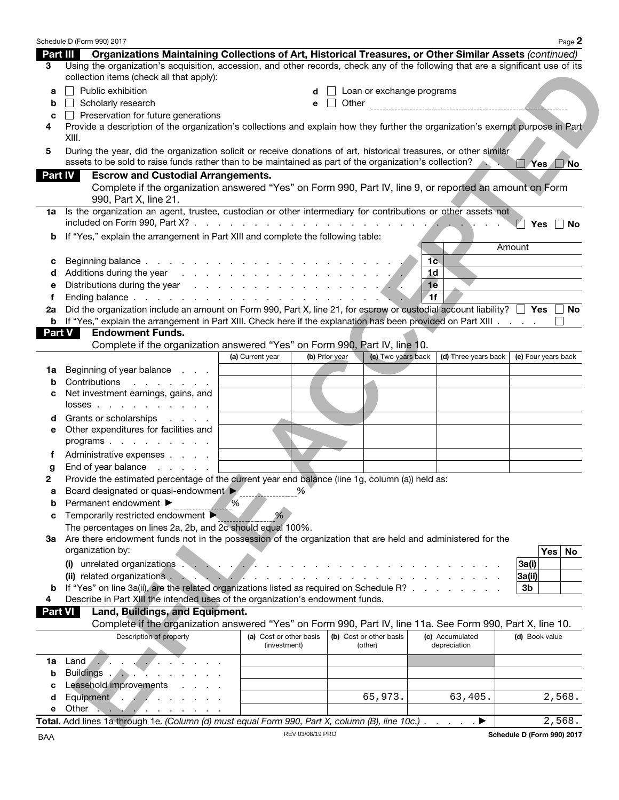|                | Schedule D (Form 990) 2017                                                                                                                                                                                                     |                                         |                                                                                                                                                                                                                                |                                 | Page 2                  |
|----------------|--------------------------------------------------------------------------------------------------------------------------------------------------------------------------------------------------------------------------------|-----------------------------------------|--------------------------------------------------------------------------------------------------------------------------------------------------------------------------------------------------------------------------------|---------------------------------|-------------------------|
|                | Organizations Maintaining Collections of Art, Historical Treasures, or Other Similar Assets (continued)<br>Part III                                                                                                            |                                         |                                                                                                                                                                                                                                |                                 |                         |
| 3              | Using the organization's acquisition, accession, and other records, check any of the following that are a significant use of its<br>collection items (check all that apply):                                                   |                                         |                                                                                                                                                                                                                                |                                 |                         |
| a              | Public exhibition                                                                                                                                                                                                              |                                         | Loan or exchange programs                                                                                                                                                                                                      |                                 |                         |
| b              | Scholarly research                                                                                                                                                                                                             | e                                       |                                                                                                                                                                                                                                |                                 |                         |
| c              | Preservation for future generations                                                                                                                                                                                            |                                         |                                                                                                                                                                                                                                |                                 |                         |
| 4              | Provide a description of the organization's collections and explain how they further the organization's exempt purpose in Part<br>XIII.                                                                                        |                                         |                                                                                                                                                                                                                                |                                 |                         |
| 5              | During the year, did the organization solicit or receive donations of art, historical treasures, or other similar<br>assets to be sold to raise funds rather than to be maintained as part of the organization's collection?   |                                         |                                                                                                                                                                                                                                |                                 | Yes □No                 |
| <b>Part IV</b> | <b>Escrow and Custodial Arrangements.</b>                                                                                                                                                                                      |                                         |                                                                                                                                                                                                                                |                                 |                         |
|                | Complete if the organization answered "Yes" on Form 990, Part IV, line 9, or reported an amount on Form<br>990, Part X, line 21.                                                                                               |                                         |                                                                                                                                                                                                                                |                                 |                         |
| 1a l           | Is the organization an agent, trustee, custodian or other intermediary for contributions or other assets not                                                                                                                   |                                         |                                                                                                                                                                                                                                |                                 | Yes<br>∣ ∣No            |
| b              | If "Yes," explain the arrangement in Part XIII and complete the following table:                                                                                                                                               |                                         |                                                                                                                                                                                                                                |                                 |                         |
|                |                                                                                                                                                                                                                                |                                         |                                                                                                                                                                                                                                |                                 | Amount                  |
| с              |                                                                                                                                                                                                                                |                                         |                                                                                                                                                                                                                                | 1c                              |                         |
|                | Additions during the year response to response the set of the set of the set of the set of the set of the set of the set of the set of the set of the set of the set of the set of the set of the set of the set of the set of |                                         |                                                                                                                                                                                                                                | 4d                              |                         |
| е              | Distributions during the year response to the contract of the set of the contract of the contract of the contract of the contract of the contract of the contract of the contract of the contract of the contract of the contr |                                         |                                                                                                                                                                                                                                | 1e                              |                         |
|                |                                                                                                                                                                                                                                |                                         |                                                                                                                                                                                                                                | 1f                              |                         |
| 2a             | Did the organization include an amount on Form 990, Part X, line 21, for escrow or custodial account liability? $\square$ Yes $\square$ No                                                                                     |                                         |                                                                                                                                                                                                                                |                                 |                         |
|                | b If "Yes," explain the arrangement in Part XIII. Check here if the explanation has been provided on Part XIII                                                                                                                 |                                         |                                                                                                                                                                                                                                |                                 |                         |
| <b>Part V</b>  | <b>Endowment Funds.</b>                                                                                                                                                                                                        |                                         |                                                                                                                                                                                                                                |                                 |                         |
|                | Complete if the organization answered "Yes" on Form 990, Part IV, line 10.                                                                                                                                                     |                                         |                                                                                                                                                                                                                                |                                 |                         |
|                |                                                                                                                                                                                                                                | (a) Current year                        | (c) Two years back<br>(b) Prior year                                                                                                                                                                                           | (d) Three years back            | (e) Four years back     |
| 1a             | Beginning of year balance                                                                                                                                                                                                      |                                         |                                                                                                                                                                                                                                |                                 |                         |
|                | Contributions<br>and the contract of the contract of                                                                                                                                                                           |                                         |                                                                                                                                                                                                                                |                                 |                         |
| с              | Net investment earnings, gains, and<br>$losses$                                                                                                                                                                                |                                         |                                                                                                                                                                                                                                |                                 |                         |
|                | Grants or scholarships                                                                                                                                                                                                         |                                         |                                                                                                                                                                                                                                |                                 |                         |
| е              | Other expenditures for facilities and<br>programs                                                                                                                                                                              |                                         |                                                                                                                                                                                                                                |                                 |                         |
| Ť.             | Administrative expenses                                                                                                                                                                                                        |                                         |                                                                                                                                                                                                                                |                                 |                         |
| g              | End of year balance<br>and the company of the company                                                                                                                                                                          |                                         |                                                                                                                                                                                                                                |                                 |                         |
| 2              | Provide the estimated percentage of the current year end balance (line 1g, column (a)) held as:                                                                                                                                |                                         |                                                                                                                                                                                                                                |                                 |                         |
| a              | Board designated or quasi-endowment ▶                                                                                                                                                                                          | ℅                                       |                                                                                                                                                                                                                                |                                 |                         |
| b              | Permanent endowment ▶                                                                                                                                                                                                          | %                                       |                                                                                                                                                                                                                                |                                 |                         |
| c              | Temporarily restricted endowment                                                                                                                                                                                               | %                                       |                                                                                                                                                                                                                                |                                 |                         |
|                | The percentages on lines 2a, 2b, and 2c should equal 100%.                                                                                                                                                                     |                                         |                                                                                                                                                                                                                                |                                 |                         |
|                | 3a Are there endowment funds not in the possession of the organization that are held and administered for the                                                                                                                  |                                         |                                                                                                                                                                                                                                |                                 |                         |
|                | organization by:                                                                                                                                                                                                               |                                         |                                                                                                                                                                                                                                |                                 | <b>No</b><br><b>Yes</b> |
|                | (i) unrelated organizations.                                                                                                                                                                                                   |                                         | and the contract of the contract of the contract of the contract of the contract of the contract of the contract of the contract of the contract of the contract of the contract of the contract of the contract of the contra |                                 | 3a(i)                   |
|                | (ii) related organizations.                                                                                                                                                                                                    |                                         |                                                                                                                                                                                                                                |                                 | 3a(ii)                  |
|                | If "Yes" on line 3a(ii), are the related organizations listed as required on Schedule R?                                                                                                                                       |                                         |                                                                                                                                                                                                                                |                                 | 3b                      |
| 4              | Describe in Part XIII the intended uses of the organization's endowment funds.                                                                                                                                                 |                                         |                                                                                                                                                                                                                                |                                 |                         |
| <b>Part VI</b> | Land, Buildings, and Equipment.                                                                                                                                                                                                |                                         |                                                                                                                                                                                                                                |                                 |                         |
|                | Complete if the organization answered "Yes" on Form 990, Part IV, line 11a. See Form 990, Part X, line 10.                                                                                                                     |                                         |                                                                                                                                                                                                                                |                                 |                         |
|                | Description of property                                                                                                                                                                                                        | (a) Cost or other basis<br>(investment) | (b) Cost or other basis<br>(other)                                                                                                                                                                                             | (c) Accumulated<br>depreciation | (d) Book value          |
| 1a             | Land                                                                                                                                                                                                                           |                                         |                                                                                                                                                                                                                                |                                 |                         |
| b              | <b>Buildings</b><br>$\mathbf{r}$ , $\mathbf{r}$ , $\mathbf{r}$ , $\mathbf{r}$                                                                                                                                                  |                                         |                                                                                                                                                                                                                                |                                 |                         |
|                | Leasehold improvements                                                                                                                                                                                                         |                                         |                                                                                                                                                                                                                                |                                 |                         |
| d              | Equipment                                                                                                                                                                                                                      |                                         | 65,973.                                                                                                                                                                                                                        | 63,405.                         | 2,568.                  |
| e              | Other<br>and the contract of the contract of<br>Total. Add lines 1a through 1e. (Column (d) must equal Form 990, Part X, column (B), line 10c.).                                                                               |                                         |                                                                                                                                                                                                                                |                                 | 2,568.                  |
|                |                                                                                                                                                                                                                                |                                         |                                                                                                                                                                                                                                |                                 |                         |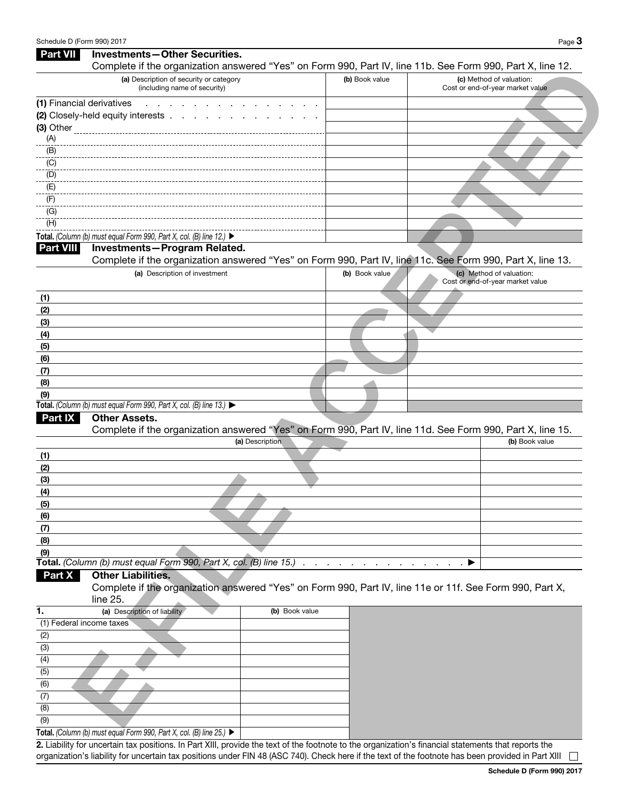Total. (Column (b) must equal Form 990, Part X, col. (B) line 25.) ▶

| <b>Part VII</b>  | <b>Investments-Other Securities.</b>                                                                       |                |                                                              |
|------------------|------------------------------------------------------------------------------------------------------------|----------------|--------------------------------------------------------------|
|                  | Complete if the organization answered "Yes" on Form 990, Part IV, line 11b. See Form 990, Part X, line 12. |                |                                                              |
|                  | (a) Description of security or category<br>(including name of security)                                    | (b) Book value | (c) Method of valuation:<br>Cost or end-of-year market value |
|                  | (1) Financial derivatives                                                                                  |                |                                                              |
|                  | (2) Closely-held equity interests .                                                                        |                |                                                              |
| (3) Other        |                                                                                                            |                |                                                              |
| (A)              |                                                                                                            |                |                                                              |
| (B)              |                                                                                                            |                |                                                              |
| (C)              |                                                                                                            |                |                                                              |
| (D)              |                                                                                                            |                |                                                              |
| (E)              |                                                                                                            |                |                                                              |
| (F)              |                                                                                                            |                |                                                              |
| (G)              |                                                                                                            |                |                                                              |
| (H)              |                                                                                                            |                |                                                              |
|                  | Total. (Column (b) must equal Form 990, Part X, col. (B) line 12.) ▶                                       |                |                                                              |
| <b>Part VIII</b> | Investments-Program Related.                                                                               |                |                                                              |
|                  | Complete if the organization answered "Yes" on Form 990, Part IV, line 11c. See Form 990, Part X, line 13. |                |                                                              |
|                  | (a) Description of investment                                                                              | (b) Book value | (c) Method of valuation:<br>Cost or end-of-year market value |
| (1)              |                                                                                                            |                |                                                              |
| (2)              |                                                                                                            |                |                                                              |
| (3)              |                                                                                                            |                |                                                              |
| (4)              |                                                                                                            |                |                                                              |
| (5)              |                                                                                                            |                |                                                              |
| (6)              |                                                                                                            |                |                                                              |
| (7)              |                                                                                                            |                |                                                              |
| (8)              |                                                                                                            |                |                                                              |
| (9)              |                                                                                                            |                |                                                              |
|                  | Total. (Column (b) must equal Form 990, Part X, col. (B) line 13.)                                         |                |                                                              |
| <b>Part IX</b>   | <b>Other Assets.</b>                                                                                       |                |                                                              |
|                  | Complete if the organization answered "Yes" on Form 990, Part IV, line 11d. See Form 990, Part X, line 15. |                |                                                              |
|                  | (a) Description                                                                                            |                | (b) Book value                                               |
| (1)              |                                                                                                            |                |                                                              |
| (2)              |                                                                                                            |                |                                                              |
| (3)              |                                                                                                            |                |                                                              |
| (4)              |                                                                                                            |                |                                                              |
| (5)              |                                                                                                            |                |                                                              |
| (6)              |                                                                                                            |                |                                                              |
| (7)              |                                                                                                            |                |                                                              |
| (8)              |                                                                                                            |                |                                                              |
| (9)              |                                                                                                            |                |                                                              |
|                  | Total. (Column (b) must equal Form 990, Part X, col. (B) line 15.)                                         |                | $\cdot$                                                      |
| Part X           | <b>Other Liabilities.</b>                                                                                  |                |                                                              |
|                  | Complete if the organization answered "Yes" on Form 990, Part IV, line 11e or 11f. See Form 990, Part X,   |                |                                                              |
|                  | line 25.                                                                                                   |                |                                                              |
| 1.               | (a) Description of liability<br>(b) Book value                                                             |                |                                                              |
|                  | (1) Federal income taxes                                                                                   |                |                                                              |
| (2)              |                                                                                                            |                |                                                              |
| (3)              |                                                                                                            |                |                                                              |
| (4)              |                                                                                                            |                |                                                              |
| (5)              |                                                                                                            |                |                                                              |
| (6)              |                                                                                                            |                |                                                              |
| (7)              |                                                                                                            |                |                                                              |
| (8)              |                                                                                                            |                |                                                              |
| (9)              |                                                                                                            |                |                                                              |

**2.** Liability for uncertain tax positions. In Part XIII, provide the text of the footnote to the organization's financial statements that reports the organization's liability for uncertain tax positions under FIN 48 (ASC 740). Check here if the text of the footnote has been provided in Part XIII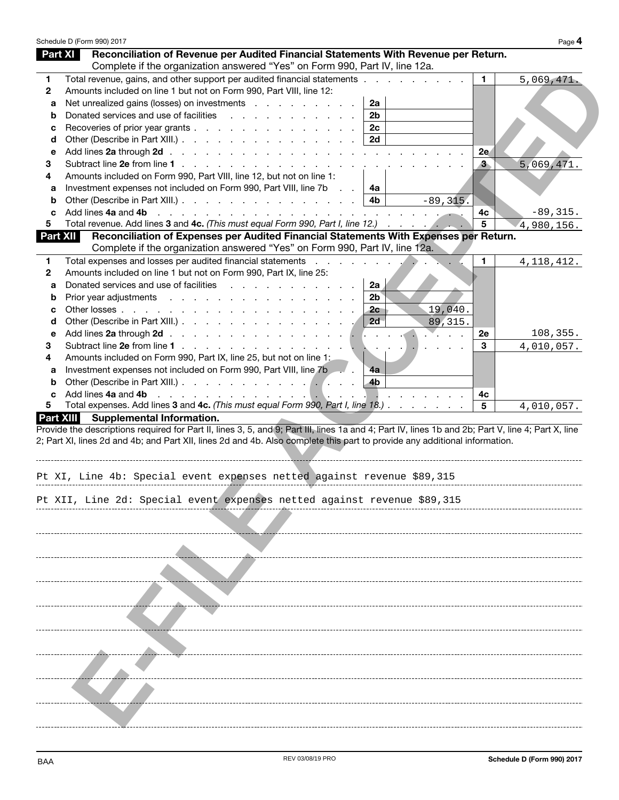|                 | Schedule D (Form 990) 2017                                                                                                                                                                                                                                                      |                | Page 4       |
|-----------------|---------------------------------------------------------------------------------------------------------------------------------------------------------------------------------------------------------------------------------------------------------------------------------|----------------|--------------|
| <b>Part XI</b>  | Reconciliation of Revenue per Audited Financial Statements With Revenue per Return.                                                                                                                                                                                             |                |              |
|                 | Complete if the organization answered "Yes" on Form 990, Part IV, line 12a.                                                                                                                                                                                                     |                |              |
| 1               | Total revenue, gains, and other support per audited financial statements                                                                                                                                                                                                        | 1              | 5,069,471.   |
| 2               | Amounts included on line 1 but not on Form 990, Part VIII, line 12:                                                                                                                                                                                                             |                |              |
| a               | Net unrealized gains (losses) on investments<br>2a                                                                                                                                                                                                                              |                |              |
| b               | 2 <sub>b</sub><br>Donated services and use of facilities                                                                                                                                                                                                                        |                |              |
| с               | 2c<br>Recoveries of prior year grants                                                                                                                                                                                                                                           |                |              |
| d               | 2d                                                                                                                                                                                                                                                                              |                |              |
| е               |                                                                                                                                                                                                                                                                                 | 2e             |              |
| 3               |                                                                                                                                                                                                                                                                                 | 3 <sub>1</sub> | 5,069,471.   |
| 4               | Amounts included on Form 990, Part VIII, line 12, but not on line 1:                                                                                                                                                                                                            |                |              |
| а               | Investment expenses not included on Form 990, Part VIII, line 7b<br>$\Delta \sim 10^{-1}$<br>4a                                                                                                                                                                                 |                |              |
| b               | 4b<br>$-89, 315.$                                                                                                                                                                                                                                                               |                |              |
|                 | Add lines 4a and 4b<br>and a series of the contract of the contract of the contract of the contract of the contract of the contract of                                                                                                                                          | 4с             | $-89,315.$   |
| 5               | Total revenue. Add lines 3 and 4c. (This must equal Form 990, Part I, line 12.)                                                                                                                                                                                                 | $5\phantom{1}$ | 4,980,156.   |
| <b>Part XII</b> | Reconciliation of Expenses per Audited Financial Statements With Expenses per Return.                                                                                                                                                                                           |                |              |
|                 | Complete if the organization answered "Yes" on Form 990, Part IV, line 12a.                                                                                                                                                                                                     |                |              |
| 1               | Total expenses and losses per audited financial statements                                                                                                                                                                                                                      | 1              | 4, 118, 412. |
| 2               | Amounts included on line 1 but not on Form 990, Part IX, line 25:                                                                                                                                                                                                               |                |              |
| a               | Donated services and use of facilities<br>2a<br>2 <sub>b</sub>                                                                                                                                                                                                                  |                |              |
| b               | Prior year adjustments                                                                                                                                                                                                                                                          |                |              |
| с               | 2c<br>19,040.<br>2d <sub>1</sub>                                                                                                                                                                                                                                                |                |              |
| d               | 89, 315.<br>Other (Describe in Part XIII.)                                                                                                                                                                                                                                      |                |              |
| е               | $\mathbf{1}^{\prime}$ , $\mathbf{1}^{\prime}$ , $\mathbf{1}^{\prime}$                                                                                                                                                                                                           | 2e             | 108, 355.    |
| 3               | Subtract line 2e from line 1                                                                                                                                                                                                                                                    | 3              | 4,010,057.   |
| 4               | Amounts included on Form 990, Part IX, line 25, but not on line 1:                                                                                                                                                                                                              |                |              |
| a               | Investment expenses not included on Form 990, Part VIII, line 7b<br>4a<br>$\sim$                                                                                                                                                                                                |                |              |
| b               | 4 <sub>b</sub>                                                                                                                                                                                                                                                                  |                |              |
| с               | Add lines 4a and 4b<br>and the contract of the contract of the<br>$\mathbf{a}$ and $\mathbf{a}$                                                                                                                                                                                 | 4с             |              |
| 5<br>Part XIII  | Total expenses. Add lines 3 and 4c. (This must equal Form 990, Part I, line 18.)<br><b>Supplemental Information.</b>                                                                                                                                                            | 5              | 4,010,057.   |
|                 | 2; Part XI, lines 2d and 4b; and Part XII, lines 2d and 4b. Also complete this part to provide any additional information.<br>Pt XI, Line 4b: Special event expenses netted against revenue \$89,315<br>Pt XII, Line 2d: Special event expenses netted against revenue \$89,315 |                |              |
|                 |                                                                                                                                                                                                                                                                                 |                |              |
|                 |                                                                                                                                                                                                                                                                                 |                |              |
|                 |                                                                                                                                                                                                                                                                                 |                |              |
|                 |                                                                                                                                                                                                                                                                                 |                |              |
|                 |                                                                                                                                                                                                                                                                                 |                |              |
|                 |                                                                                                                                                                                                                                                                                 |                |              |
|                 |                                                                                                                                                                                                                                                                                 |                |              |
|                 |                                                                                                                                                                                                                                                                                 |                |              |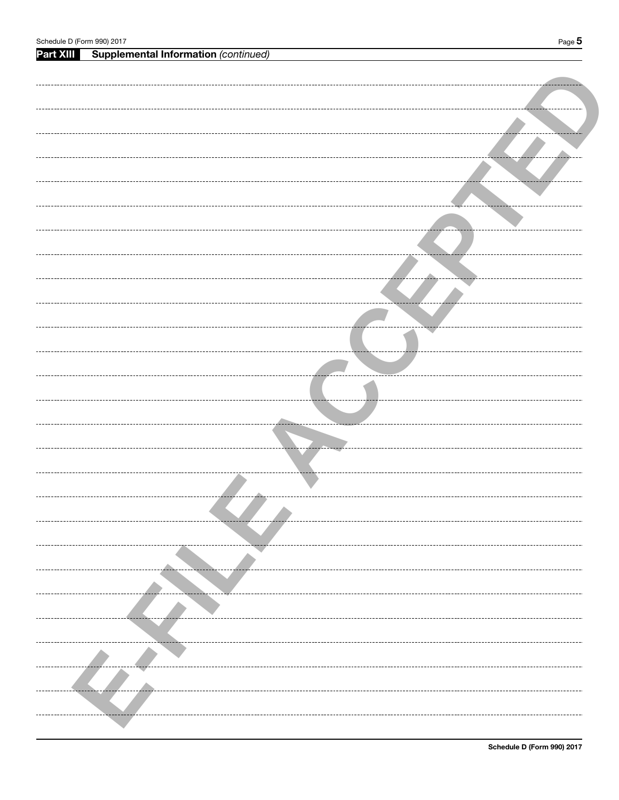| Schedule D (Form 990) 2017                        | Page $5$ |
|---------------------------------------------------|----------|
| Supplemental Information (continued)<br>Part XIII |          |
|                                                   |          |
|                                                   |          |
|                                                   |          |
|                                                   |          |
|                                                   |          |
|                                                   |          |
|                                                   |          |
|                                                   |          |
|                                                   |          |
|                                                   |          |
|                                                   |          |
|                                                   |          |
|                                                   |          |
|                                                   |          |
|                                                   |          |
|                                                   |          |
|                                                   |          |
|                                                   |          |
|                                                   |          |
|                                                   |          |
|                                                   |          |
|                                                   |          |
|                                                   |          |
|                                                   |          |
|                                                   |          |
|                                                   |          |
|                                                   |          |
|                                                   |          |
|                                                   |          |
|                                                   |          |
|                                                   |          |
|                                                   |          |
|                                                   |          |
|                                                   |          |
|                                                   |          |
|                                                   |          |
|                                                   |          |
|                                                   |          |
|                                                   |          |
|                                                   |          |
|                                                   |          |
|                                                   |          |
|                                                   |          |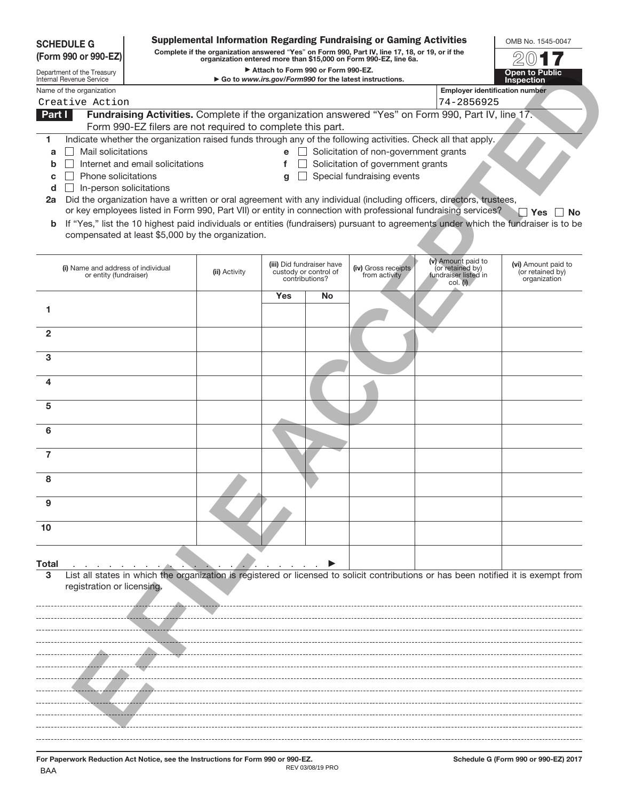| <b>SCHEDULE G</b><br>(Form 990 or 990-EZ)<br>Department of the Treasury<br>Internal Revenue Service |                                                              | <b>Supplemental Information Regarding Fundraising or Gaming Activities</b><br>Complete if the organization answered "Yes" on Form 990, Part IV, line 17, 18, or 19, or if the<br>organization entered more than \$15,000 on Form 990-EZ, line 6a.<br>Attach to Form 990 or Form 990-EZ.<br>Go to www.irs.gov/Form990 for the latest instructions.                                                                                 |                                                                                                           |            |                                                                      |                                                    |                                                                                                                     | OMB No. 1545-0047<br><b>Open to Public</b>                                                                                          |
|-----------------------------------------------------------------------------------------------------|--------------------------------------------------------------|-----------------------------------------------------------------------------------------------------------------------------------------------------------------------------------------------------------------------------------------------------------------------------------------------------------------------------------------------------------------------------------------------------------------------------------|-----------------------------------------------------------------------------------------------------------|------------|----------------------------------------------------------------------|----------------------------------------------------|---------------------------------------------------------------------------------------------------------------------|-------------------------------------------------------------------------------------------------------------------------------------|
|                                                                                                     | Name of the organization                                     |                                                                                                                                                                                                                                                                                                                                                                                                                                   |                                                                                                           |            |                                                                      |                                                    |                                                                                                                     | <b>Inspection</b><br><b>Employer identification number</b>                                                                          |
|                                                                                                     | Creative Action                                              |                                                                                                                                                                                                                                                                                                                                                                                                                                   |                                                                                                           |            |                                                                      |                                                    | 74-2856925                                                                                                          |                                                                                                                                     |
| Part I                                                                                              |                                                              | Form 990-EZ filers are not required to complete this part.                                                                                                                                                                                                                                                                                                                                                                        |                                                                                                           |            |                                                                      |                                                    | Fundraising Activities. Complete if the organization answered "Yes" on Form 990, Part IV, line 17.                  |                                                                                                                                     |
| 1                                                                                                   |                                                              |                                                                                                                                                                                                                                                                                                                                                                                                                                   |                                                                                                           |            |                                                                      |                                                    | Indicate whether the organization raised funds through any of the following activities. Check all that apply,       |                                                                                                                                     |
| a                                                                                                   | Mail solicitations                                           |                                                                                                                                                                                                                                                                                                                                                                                                                                   |                                                                                                           |            |                                                                      | $\mathbf{e}$ Solicitation of non-government grants |                                                                                                                     |                                                                                                                                     |
| b                                                                                                   |                                                              | Internet and email solicitations                                                                                                                                                                                                                                                                                                                                                                                                  |                                                                                                           | f          |                                                                      | Solicitation of government grants                  |                                                                                                                     |                                                                                                                                     |
| C                                                                                                   | Phone solicitations                                          |                                                                                                                                                                                                                                                                                                                                                                                                                                   |                                                                                                           | q          |                                                                      | Special fundraising events                         |                                                                                                                     |                                                                                                                                     |
| d<br>2a                                                                                             | In-person solicitations                                      |                                                                                                                                                                                                                                                                                                                                                                                                                                   |                                                                                                           |            |                                                                      |                                                    | Did the organization have a written or oral agreement with any individual (including officers, directors, trustees, |                                                                                                                                     |
|                                                                                                     |                                                              |                                                                                                                                                                                                                                                                                                                                                                                                                                   |                                                                                                           |            |                                                                      |                                                    | or key employees listed in Form 990, Part VII) or entity in connection with professional fundraising services?      | ∏ Yes ⊺<br>∣ No                                                                                                                     |
| b                                                                                                   |                                                              | compensated at least \$5,000 by the organization.                                                                                                                                                                                                                                                                                                                                                                                 |                                                                                                           |            |                                                                      |                                                    |                                                                                                                     | If "Yes," list the 10 highest paid individuals or entities (fundraisers) pursuant to agreements under which the fundraiser is to be |
|                                                                                                     | (i) Name and address of individual<br>or entity (fundraiser) |                                                                                                                                                                                                                                                                                                                                                                                                                                   | (ii) Activity                                                                                             |            | (iii) Did fundraiser have<br>custody or control of<br>contributions? | (iv) Gross receipts<br>from activity               | (v) Amount paid to<br>(or retained by)<br>fundraiser listed in<br>$col.$ (i)                                        | (vi) Amount paid to<br>(or retained by)<br>organization                                                                             |
|                                                                                                     |                                                              |                                                                                                                                                                                                                                                                                                                                                                                                                                   |                                                                                                           | <b>Yes</b> | No                                                                   |                                                    |                                                                                                                     |                                                                                                                                     |
| 1                                                                                                   |                                                              |                                                                                                                                                                                                                                                                                                                                                                                                                                   |                                                                                                           |            |                                                                      |                                                    |                                                                                                                     |                                                                                                                                     |
| $\mathbf{2}$                                                                                        |                                                              |                                                                                                                                                                                                                                                                                                                                                                                                                                   |                                                                                                           |            |                                                                      |                                                    |                                                                                                                     |                                                                                                                                     |
| 3                                                                                                   |                                                              |                                                                                                                                                                                                                                                                                                                                                                                                                                   |                                                                                                           |            |                                                                      |                                                    |                                                                                                                     |                                                                                                                                     |
| 4                                                                                                   |                                                              |                                                                                                                                                                                                                                                                                                                                                                                                                                   |                                                                                                           |            |                                                                      |                                                    |                                                                                                                     |                                                                                                                                     |
| 5                                                                                                   |                                                              |                                                                                                                                                                                                                                                                                                                                                                                                                                   |                                                                                                           |            |                                                                      |                                                    |                                                                                                                     |                                                                                                                                     |
| 6                                                                                                   |                                                              |                                                                                                                                                                                                                                                                                                                                                                                                                                   |                                                                                                           |            |                                                                      |                                                    |                                                                                                                     |                                                                                                                                     |
| $\overline{7}$                                                                                      |                                                              |                                                                                                                                                                                                                                                                                                                                                                                                                                   |                                                                                                           |            |                                                                      |                                                    |                                                                                                                     |                                                                                                                                     |
| 8                                                                                                   |                                                              |                                                                                                                                                                                                                                                                                                                                                                                                                                   |                                                                                                           |            |                                                                      |                                                    |                                                                                                                     |                                                                                                                                     |
| 9                                                                                                   |                                                              |                                                                                                                                                                                                                                                                                                                                                                                                                                   |                                                                                                           |            |                                                                      |                                                    |                                                                                                                     |                                                                                                                                     |
| 10                                                                                                  |                                                              |                                                                                                                                                                                                                                                                                                                                                                                                                                   |                                                                                                           |            |                                                                      |                                                    |                                                                                                                     |                                                                                                                                     |
| Total<br>3                                                                                          | registration or licensing.                                   | $\label{eq:2.1} \begin{array}{cccccccccc} \mathbf{1} & \mathbf{1} & \mathbf{1} & \mathbf{1} & \mathbf{1} & \mathbf{1} & \mathbf{1} & \mathbf{1} & \mathbf{1} & \mathbf{1} & \mathbf{1} & \mathbf{1} & \mathbf{1} & \mathbf{1} & \mathbf{1} & \mathbf{1} & \mathbf{1} & \mathbf{1} & \mathbf{1} & \mathbf{1} & \mathbf{1} & \mathbf{1} & \mathbf{1} & \mathbf{1} & \mathbf{1} & \mathbf{1} & \mathbf{1} & \mathbf{1} & \mathbf{1}$ | $\mathcal{L} = \mathcal{L} \mathcal{L}$ , where $\mathcal{L} = \mathcal{L} \mathcal{L}$<br><b>Service</b> |            |                                                                      |                                                    |                                                                                                                     | List all states in which the organization is registered or licensed to solicit contributions or has been notified it is exempt from |
|                                                                                                     |                                                              |                                                                                                                                                                                                                                                                                                                                                                                                                                   |                                                                                                           |            |                                                                      |                                                    |                                                                                                                     |                                                                                                                                     |
|                                                                                                     |                                                              |                                                                                                                                                                                                                                                                                                                                                                                                                                   |                                                                                                           |            |                                                                      |                                                    |                                                                                                                     |                                                                                                                                     |
|                                                                                                     |                                                              |                                                                                                                                                                                                                                                                                                                                                                                                                                   |                                                                                                           |            |                                                                      |                                                    |                                                                                                                     |                                                                                                                                     |
|                                                                                                     |                                                              |                                                                                                                                                                                                                                                                                                                                                                                                                                   |                                                                                                           |            |                                                                      |                                                    |                                                                                                                     |                                                                                                                                     |
|                                                                                                     |                                                              |                                                                                                                                                                                                                                                                                                                                                                                                                                   |                                                                                                           |            |                                                                      |                                                    |                                                                                                                     |                                                                                                                                     |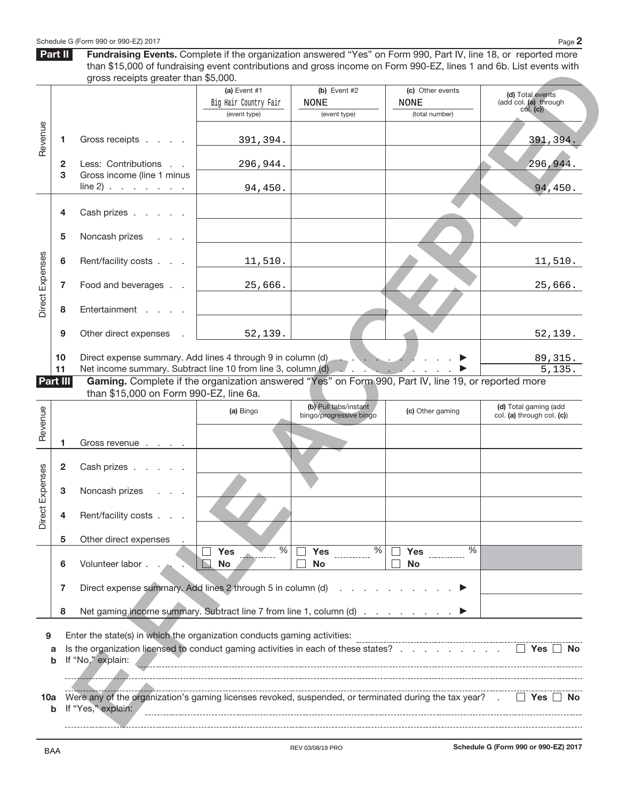gross receipts greater than \$5,000.

Earth Studente Controller and the studies and provide the controller three controllers and the studies of the studies of the studies of the studies of the studies of the studies of the studies of the studies of the studie **(d)** Total events (add col. **(a)** through col. **(c)**) Big Hair Country Fair | NONE | NONE (event type) (event type) (total number) Direct Expenses **Revenue** 391,394. **1** Gross receipts . . . . 391,394. 296,944. **2** Less: Contributions . . 296,944. **3** Gross income (line 1 minus  $line 2) . . . . . . . .$ 94,450. **4** Cash prizes ..... **5** Noncash prizes . . . Expenses **6** Rent/facility costs . . . 11,510. 11,510. 25,666. **7** Food and beverages . . 25,666. Direct **8** Entertainment .... **9** Other direct expenses . 52,139. 52,139. **10** Direct expense summary. Add lines 4 through 9 in column (d) . . . . . . . . . . a 89,315. **11** Net income summary. Subtract line 10 from line 3, column (d) 5,135. **Part III Gaming.** Complete if the organization answered "Yes" on Form 990, Part IV, line 19, or reported more than \$15,000 on Form 990-EZ, line 6a. experience (a) Bingo<br>
Cash prizes (a) Bingo<br>
2 Cash prizes (b) Pull tabs/instant<br>
2 Cash prizes (b) Pull tabs/instant<br>
2 Cash prizes (b) Pull tabs/instant<br>
2 Cash prizes (b) Pull tabs/instant<br>
bingo/progressive bin<br>
2 Cash bingo/progressive bingo **(c)** Other gaming **(d)** Total gaming (add Revenue col. **(a)** through col. **(c)**) **1** Gross revenue .... **2** Cash prizes ... **3** Noncash prizes **4** Rent/facility costs . . . **5** Other direct expenses **Yes** % **Yes** % **Yes** % **No 6** Volunteer labor. **No No 7** Direct expense summary. Add lines 2 through 5 in column (d) . . . . . **8** Net gaming income summary. Subtract line 7 from line 1, column (d) . . . . . . . . . ▶ **9** Enter the state(s) in which the organization conducts gaming activities: **a** Is the organization licensed to conduct gaming activities in each of these states? ............ **Yes** Mo **b** If "No," explain: **10a** Were any of the organization's gaming licenses revoked, suspended, or terminated during the tax year? . □ Yes □ No **b** If "Yes," explain: **Schedule G (Form 990 or 990-EZ) 2017** REV 03/08/19 PROBAA

Part II **Fundraising Events.** Complete if the organization answered "Yes" on Form 990, Part IV, line 18, or reported more

**(a)** Event #1

than \$15,000 of fundraising event contributions and gross income on Form 990-EZ, lines 1 and 6b. List events with

**(b)** Event #2

**(c)** Other events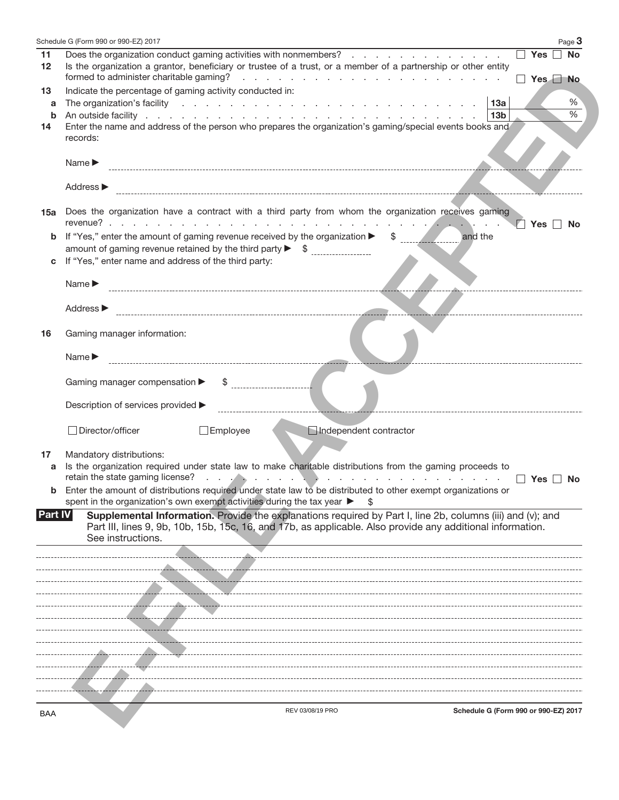|              | Schedule G (Form 990 or 990-EZ) 2017<br>Page 3                                                                                                                                                                                                                                                                                                                                                                  |
|--------------|-----------------------------------------------------------------------------------------------------------------------------------------------------------------------------------------------------------------------------------------------------------------------------------------------------------------------------------------------------------------------------------------------------------------|
| 11<br>12     | Does the organization conduct gaming activities with nonmembers?<br>$\Box$ Yes $\Box$ No<br>Is the organization a grantor, beneficiary or trustee of a trust, or a member of a partnership or other entity<br>Yes No                                                                                                                                                                                            |
| 13<br>a<br>b | Indicate the percentage of gaming activity conducted in:<br>%<br> 13a <br>$\%$<br>13 <sub>b</sub>                                                                                                                                                                                                                                                                                                               |
| 14           | Enter the name and address of the person who prepares the organization's gaming/special events books and<br>records:                                                                                                                                                                                                                                                                                            |
|              | Name $\blacktriangleright$                                                                                                                                                                                                                                                                                                                                                                                      |
|              | Address $\blacktriangleright$                                                                                                                                                                                                                                                                                                                                                                                   |
| 15а          | Does the organization have a contract with a third party from whom the organization receives gaming<br>$\blacksquare$ Yes $\blacksquare$ No                                                                                                                                                                                                                                                                     |
| b            | If "Yes," enter the amount of gaming revenue received by the organization ><br>$\updownarrow$<br>and the<br>amount of gaming revenue retained by the third party $\blacktriangleright$ \$ \\ \times \\ \times \times \times \times \times \times \times \times \times \times \times \times \times \times \times \times \times \times \times \times \time                                                        |
| c            | If "Yes," enter name and address of the third party:<br>Name $\blacktriangleright$                                                                                                                                                                                                                                                                                                                              |
|              | Address <sup>&gt;</sup>                                                                                                                                                                                                                                                                                                                                                                                         |
| 16           | Gaming manager information:                                                                                                                                                                                                                                                                                                                                                                                     |
|              | Name $\blacktriangleright$                                                                                                                                                                                                                                                                                                                                                                                      |
|              | Gaming manager compensation ▶<br>$\begin{array}{c} \mathsf{S} \end{array} \begin{array}{c} \begin{array}{c} \mathsf{S} \end{array} \end{array}$                                                                                                                                                                                                                                                                 |
|              | Description of services provided ▶                                                                                                                                                                                                                                                                                                                                                                              |
|              | $\Box$ Employee<br>Director/officer<br>Independent contractor                                                                                                                                                                                                                                                                                                                                                   |
| 17<br>a<br>b | Mandatory distributions:<br>Is the organization required under state law to make charitable distributions from the gaming proceeds to<br>retain the state gaming license?<br>. □ Yes □ No<br>Enter the amount of distributions required under state law to be distributed to other exempt organizations or<br>spent in the organization's own exempt activities during the tax year $\blacktriangleright$<br>\$ |
| Part IV      | Supplemental Information. Provide the explanations required by Part I, line 2b, columns (iii) and (v); and<br>Part III, lines 9, 9b, 10b, 15b, 15c, 16, and 17b, as applicable. Also provide any additional information.<br>See instructions.                                                                                                                                                                   |
|              |                                                                                                                                                                                                                                                                                                                                                                                                                 |
|              |                                                                                                                                                                                                                                                                                                                                                                                                                 |
|              |                                                                                                                                                                                                                                                                                                                                                                                                                 |
|              |                                                                                                                                                                                                                                                                                                                                                                                                                 |
|              |                                                                                                                                                                                                                                                                                                                                                                                                                 |
|              | Schedule G (Form 990 or 990-EZ) 2017                                                                                                                                                                                                                                                                                                                                                                            |
| BAA          | REV 03/08/19 PRO                                                                                                                                                                                                                                                                                                                                                                                                |